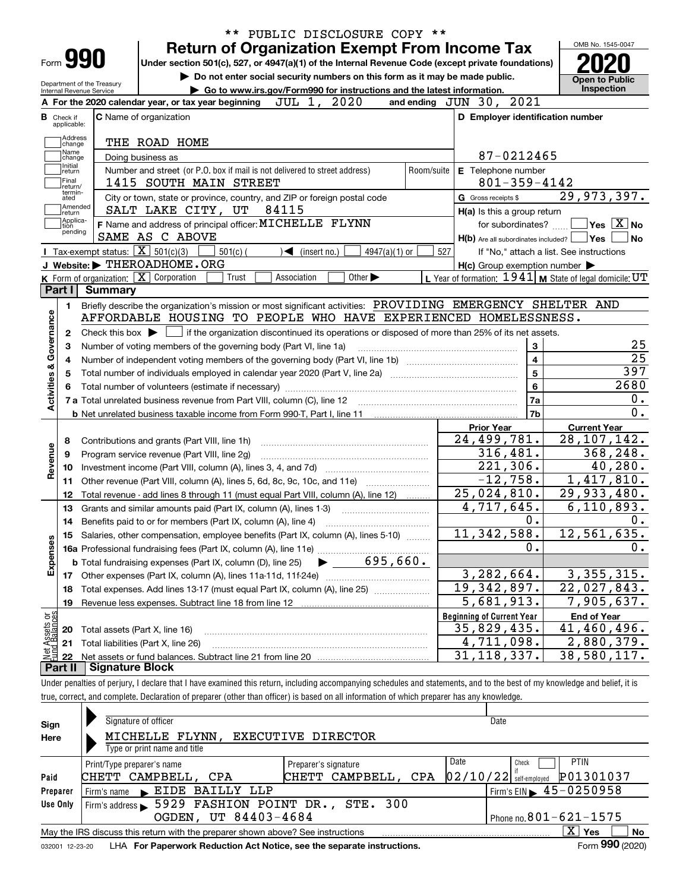|                                                                                                                                                     |                                                   | <b>Return of Organization Exempt From Income Tax</b>                                                                              |                                   |  |                             |            |                                                     |                                  |                                                           | OMB No. 1545-0047                                                                                                                                           |
|-----------------------------------------------------------------------------------------------------------------------------------------------------|---------------------------------------------------|-----------------------------------------------------------------------------------------------------------------------------------|-----------------------------------|--|-----------------------------|------------|-----------------------------------------------------|----------------------------------|-----------------------------------------------------------|-------------------------------------------------------------------------------------------------------------------------------------------------------------|
| Form 990                                                                                                                                            |                                                   | Under section 501(c), 527, or 4947(a)(1) of the Internal Revenue Code (except private foundations)                                |                                   |  |                             |            |                                                     |                                  |                                                           |                                                                                                                                                             |
|                                                                                                                                                     |                                                   | Do not enter social security numbers on this form as it may be made public.                                                       |                                   |  |                             |            |                                                     |                                  |                                                           | <b>Open to Public</b>                                                                                                                                       |
| Department of the Treasury<br>Internal Revenue Service                                                                                              |                                                   | Go to www.irs.gov/Form990 for instructions and the latest information.                                                            |                                   |  |                             |            |                                                     |                                  |                                                           | Inspection                                                                                                                                                  |
|                                                                                                                                                     |                                                   | A For the 2020 calendar year, or tax year beginning                                                                               | JUL 1, 2020                       |  |                             |            | and ending JUN 30, 2021                             |                                  |                                                           |                                                                                                                                                             |
| <b>B</b> Check if<br>applicable:                                                                                                                    | C Name of organization                            |                                                                                                                                   |                                   |  |                             |            |                                                     |                                  | D Employer identification number                          |                                                                                                                                                             |
| Address                                                                                                                                             |                                                   |                                                                                                                                   |                                   |  |                             |            |                                                     |                                  |                                                           |                                                                                                                                                             |
| change<br>Name                                                                                                                                      | THE ROAD HOME                                     |                                                                                                                                   |                                   |  |                             |            |                                                     |                                  |                                                           |                                                                                                                                                             |
| change<br>Initial                                                                                                                                   | Doing business as                                 |                                                                                                                                   |                                   |  |                             |            |                                                     | 87-0212465                       |                                                           |                                                                                                                                                             |
| return<br>Final                                                                                                                                     |                                                   | Number and street (or P.O. box if mail is not delivered to street address)                                                        |                                   |  |                             | Room/suite | E Telephone number                                  |                                  |                                                           |                                                                                                                                                             |
| return/<br>termin-                                                                                                                                  |                                                   | 1415 SOUTH MAIN STREET                                                                                                            |                                   |  |                             |            |                                                     | $801 - 359 - 4142$               |                                                           |                                                                                                                                                             |
| ated<br>Amended                                                                                                                                     |                                                   | City or town, state or province, country, and ZIP or foreign postal code                                                          | 84115                             |  |                             |            | G Gross receipts \$                                 |                                  | 29,973,397.                                               |                                                                                                                                                             |
| return<br> Applica-                                                                                                                                 |                                                   | SALT LAKE CITY, UT<br>F Name and address of principal officer: MICHELLE FLYNN                                                     |                                   |  |                             |            | H(a) Is this a group return                         |                                  |                                                           | $\sqrt{}$ Yes $\sqrt{}$ X $\sqrt{}$ No                                                                                                                      |
| tion<br>pending                                                                                                                                     | SAME AS C ABOVE                                   |                                                                                                                                   |                                   |  |                             |            |                                                     | for subordinates?                |                                                           | No                                                                                                                                                          |
|                                                                                                                                                     | Tax-exempt status: $\boxed{\mathbf{X}}$ 501(c)(3) | $501(c)$ (                                                                                                                        | $\blacktriangleleft$ (insert no.) |  | 4947(a)(1) or               | 527        |                                                     |                                  | $H(b)$ Are all subordinates included? $\Box$ Yes          |                                                                                                                                                             |
|                                                                                                                                                     | J Website: FIHEROADHOME.ORG                       |                                                                                                                                   |                                   |  |                             |            | $H(c)$ Group exemption number $\blacktriangleright$ |                                  | If "No," attach a list. See instructions                  |                                                                                                                                                             |
|                                                                                                                                                     | K Form of organization: X Corporation             | Trust                                                                                                                             | Association                       |  | Other $\blacktriangleright$ |            |                                                     |                                  | L Year of formation: 1941   M State of legal domicile: UT |                                                                                                                                                             |
| Part I                                                                                                                                              | <b>Summary</b>                                    |                                                                                                                                   |                                   |  |                             |            |                                                     |                                  |                                                           |                                                                                                                                                             |
| 1.                                                                                                                                                  |                                                   | Briefly describe the organization's mission or most significant activities: PROVIDING EMERGENCY SHELTER AND                       |                                   |  |                             |            |                                                     |                                  |                                                           |                                                                                                                                                             |
|                                                                                                                                                     |                                                   | AFFORDABLE HOUSING TO PEOPLE WHO HAVE EXPERIENCED HOMELESSNESS.                                                                   |                                   |  |                             |            |                                                     |                                  |                                                           |                                                                                                                                                             |
|                                                                                                                                                     |                                                   |                                                                                                                                   |                                   |  |                             |            |                                                     |                                  |                                                           |                                                                                                                                                             |
| Check this box $\triangleright$ $\blacksquare$ if the organization discontinued its operations or disposed of more than 25% of its net assets.<br>2 |                                                   |                                                                                                                                   |                                   |  |                             |            |                                                     |                                  |                                                           |                                                                                                                                                             |
|                                                                                                                                                     |                                                   |                                                                                                                                   |                                   |  |                             |            |                                                     |                                  |                                                           |                                                                                                                                                             |
| з                                                                                                                                                   |                                                   | Number of voting members of the governing body (Part VI, line 1a)                                                                 |                                   |  |                             |            |                                                     | 3                                |                                                           |                                                                                                                                                             |
| 4                                                                                                                                                   |                                                   |                                                                                                                                   |                                   |  |                             |            |                                                     | $\overline{\mathbf{4}}$          |                                                           |                                                                                                                                                             |
| 5                                                                                                                                                   |                                                   |                                                                                                                                   |                                   |  |                             |            |                                                     | $\overline{5}$<br>$6\phantom{a}$ |                                                           |                                                                                                                                                             |
|                                                                                                                                                     |                                                   |                                                                                                                                   |                                   |  |                             |            |                                                     | 7a                               |                                                           |                                                                                                                                                             |
|                                                                                                                                                     |                                                   | 7 a Total unrelated business revenue from Part VIII, column (C), line 12 [11] [12] [11] [12] [11] [11] [12] [1                    |                                   |  |                             |            |                                                     | 7b                               |                                                           |                                                                                                                                                             |
|                                                                                                                                                     |                                                   | <b>b</b> Net unrelated business taxable income from Form 990-T, Part I, line 11 <b>manual</b> content to the subsequent of Net II |                                   |  |                             |            | <b>Prior Year</b>                                   |                                  | <b>Current Year</b>                                       |                                                                                                                                                             |
| 8                                                                                                                                                   | Contributions and grants (Part VIII, line 1h)     |                                                                                                                                   |                                   |  |                             |            | 24,499,781.                                         |                                  | $\overline{28,107,142}$ .                                 |                                                                                                                                                             |
| 9                                                                                                                                                   | Program service revenue (Part VIII, line 2g)      |                                                                                                                                   |                                   |  |                             |            |                                                     | 316,481.                         |                                                           |                                                                                                                                                             |
| 10                                                                                                                                                  |                                                   |                                                                                                                                   |                                   |  |                             |            |                                                     | 221,306.                         |                                                           |                                                                                                                                                             |
| 11                                                                                                                                                  |                                                   | Other revenue (Part VIII, column (A), lines 5, 6d, 8c, 9c, 10c, and 11e)                                                          |                                   |  |                             |            |                                                     | $-12,758.$                       |                                                           |                                                                                                                                                             |
| 12                                                                                                                                                  |                                                   | Total revenue - add lines 8 through 11 (must equal Part VIII, column (A), line 12)                                                |                                   |  |                             |            | 25,024,810.                                         |                                  | 29,933,480.                                               |                                                                                                                                                             |
| 13                                                                                                                                                  |                                                   | Grants and similar amounts paid (Part IX, column (A), lines 1-3)                                                                  |                                   |  |                             |            | $\overline{4,717}$ , 645.                           |                                  |                                                           |                                                                                                                                                             |
| 14                                                                                                                                                  |                                                   | Benefits paid to or for members (Part IX, column (A), line 4)                                                                     |                                   |  |                             |            |                                                     | 0.                               |                                                           |                                                                                                                                                             |
| 15                                                                                                                                                  |                                                   | Salaries, other compensation, employee benefits (Part IX, column (A), lines 5-10)                                                 |                                   |  |                             |            | 11, 342, 588.                                       |                                  | 12, 561, 635.                                             |                                                                                                                                                             |
|                                                                                                                                                     |                                                   |                                                                                                                                   |                                   |  |                             |            |                                                     | 0.                               |                                                           |                                                                                                                                                             |
|                                                                                                                                                     |                                                   |                                                                                                                                   |                                   |  |                             |            |                                                     |                                  |                                                           |                                                                                                                                                             |
|                                                                                                                                                     |                                                   |                                                                                                                                   |                                   |  |                             |            | 3,282,664.                                          |                                  |                                                           |                                                                                                                                                             |
| 18                                                                                                                                                  |                                                   | Total expenses. Add lines 13-17 (must equal Part IX, column (A), line 25)                                                         |                                   |  |                             |            | 19,342,897.                                         |                                  | $\overline{22}$ , 027, 843.                               |                                                                                                                                                             |
| 19                                                                                                                                                  |                                                   | Revenue less expenses. Subtract line 18 from line 12                                                                              |                                   |  |                             |            | 5,681,913.                                          |                                  |                                                           |                                                                                                                                                             |
|                                                                                                                                                     |                                                   |                                                                                                                                   |                                   |  |                             |            | <b>Beginning of Current Year</b>                    |                                  | <b>End of Year</b>                                        |                                                                                                                                                             |
| 20                                                                                                                                                  | Total assets (Part X, line 16)                    |                                                                                                                                   |                                   |  |                             |            | 35,829,435.                                         |                                  | 41,460,496.                                               | 25<br>$\overline{25}$<br>397<br>2680<br>0.<br>$\overline{0}$ .<br>368,248.<br>40,280.<br>1,417,810.<br>6, 110, 893.<br>0.<br>0.<br>3,355,315.<br>7,905,637. |
| Activities & Governance<br>Revenue<br>Expenses<br>Net Assets or<br>21                                                                               | Total liabilities (Part X, line 26)               |                                                                                                                                   |                                   |  |                             |            | 4,711,098.<br>$\overline{31}$ , 118, 337.           |                                  | 38,580,117.                                               | 2,880,379.                                                                                                                                                  |

true, correct, and complete. Declaration of preparer (other than officer) is based on all information of which preparer has any knowledge.

| Sign            | Signature of officer                                                            | Date                 |                                                   |  |  |  |  |  |  |  |  |
|-----------------|---------------------------------------------------------------------------------|----------------------|---------------------------------------------------|--|--|--|--|--|--|--|--|
| Here            | MICHELLE FLYNN,                                                                 | EXECUTIVE DIRECTOR   |                                                   |  |  |  |  |  |  |  |  |
|                 | Type or print name and title                                                    |                      |                                                   |  |  |  |  |  |  |  |  |
|                 | Print/Type preparer's name                                                      | Preparer's signature | Date<br><b>PTIN</b><br>Check                      |  |  |  |  |  |  |  |  |
| Paid            | CHETT CAMPBELL, CPA                                                             | CHETT CAMPBELL, CPA  | P01301037<br>$02/10/22$ self-employed             |  |  |  |  |  |  |  |  |
| Preparer        | Firm's name EIDE BAILLY LLP                                                     |                      | $1$ Firm's EIN $\blacktriangleright$ 45 - 0250958 |  |  |  |  |  |  |  |  |
| Use Only        | Firm's address 5929 FASHION POINT DR., STE. 300                                 |                      |                                                   |  |  |  |  |  |  |  |  |
|                 | OGDEN, UT 84403-4684<br>Phone no. $801 - 621 - 1575$                            |                      |                                                   |  |  |  |  |  |  |  |  |
|                 | May the IRS discuss this return with the preparer shown above? See instructions |                      | $X \vert Y$ es<br><b>No</b>                       |  |  |  |  |  |  |  |  |
| 032001 12-23-20 | LHA For Paperwork Reduction Act Notice, see the separate instructions.          |                      | Form 990 (2020)                                   |  |  |  |  |  |  |  |  |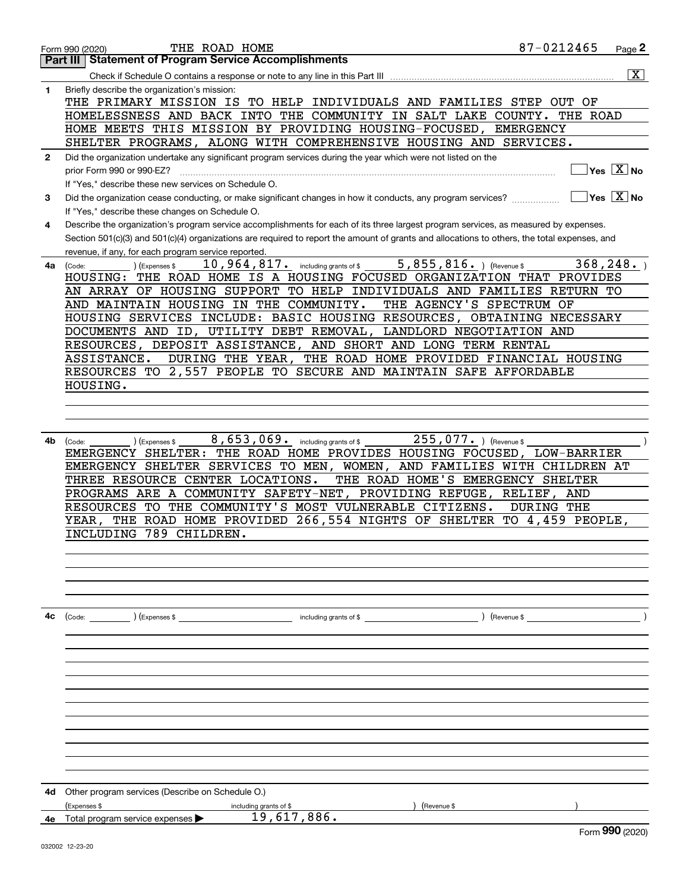| <b>Statement of Program Service Accomplishments</b><br>Part III<br>$\overline{\text{X}}$<br>Briefly describe the organization's mission:<br>1<br>THE PRIMARY MISSION IS TO HELP INDIVIDUALS AND FAMILIES STEP OUT OF<br>HOMELESSNESS AND BACK INTO THE COMMUNITY IN SALT LAKE COUNTY.<br>THE ROAD<br>HOME MEETS THIS MISSION BY PROVIDING HOUSING-FOCUSED,<br><b>EMERGENCY</b><br>SHELTER PROGRAMS, ALONG WITH COMPREHENSIVE HOUSING AND SERVICES.<br>Did the organization undertake any significant program services during the year which were not listed on the<br>$\mathbf{2}$<br>$Yes \ \overline{X}$ No<br>prior Form 990 or 990-EZ?<br>If "Yes," describe these new services on Schedule O.<br>$\sqrt{}$ Yes $\sqrt{}$ X $\sqrt{}$ No<br>Did the organization cease conducting, or make significant changes in how it conducts, any program services?<br>3<br>If "Yes," describe these changes on Schedule O.<br>Describe the organization's program service accomplishments for each of its three largest program services, as measured by expenses.<br>4<br>Section 501(c)(3) and 501(c)(4) organizations are required to report the amount of grants and allocations to others, the total expenses, and<br>revenue, if any, for each program service reported.<br>$\overline{5,855,816}$ . (Revenue \$<br>368, 248.<br>$10$ , $964$ , $817$ e including grants of \$<br>(Expenses \$<br>4a<br>(Code:<br>THE ROAD HOME IS A HOUSING FOCUSED ORGANIZATION THAT PROVIDES<br>HOUSING:<br>AN ARRAY OF HOUSING SUPPORT TO HELP INDIVIDUALS AND FAMILIES RETURN TO<br>THE AGENCY'S SPECTRUM OF<br>AND MAINTAIN HOUSING IN THE COMMUNITY.<br>HOUSING SERVICES INCLUDE: BASIC HOUSING RESOURCES, OBTAINING NECESSARY<br>DOCUMENTS AND ID, UTILITY DEBT REMOVAL, LANDLORD NEGOTIATION AND<br>RESOURCES, DEPOSIT ASSISTANCE, AND SHORT AND LONG TERM RENTAL<br>DURING THE YEAR, THE ROAD HOME PROVIDED FINANCIAL HOUSING<br>ASSISTANCE.<br>RESOURCES TO 2,557 PEOPLE TO SECURE AND MAINTAIN SAFE AFFORDABLE<br>HOUSING.<br>8,653,069. including grants of \$<br>255,077. ) (Revenue \$<br>4b.<br>(Expenses \$<br>(Code:<br>EMERGENCY SHELTER: THE ROAD HOME PROVIDES HOUSING FOCUSED, LOW-BARRIER<br>EMERGENCY SHELTER SERVICES TO MEN, WOMEN, AND FAMILIES WITH CHILDREN AT<br>THE ROAD HOME'S EMERGENCY SHELTER<br>THREE RESOURCE CENTER LOCATIONS.<br>PROGRAMS ARE A COMMUNITY SAFETY-NET, PROVIDING REFUGE, RELIEF,<br>AND<br>RESOURCES TO THE COMMUNITY'S MOST VULNERABLE CITIZENS.<br>DURING THE<br>THE ROAD HOME PROVIDED 266, 554 NIGHTS OF SHELTER TO 4, 459 PEOPLE,<br>YEAR.<br>INCLUDING 789 CHILDREN.<br>$\frac{1}{2}$ including grants of \$ $\frac{1}{2}$<br>4c<br>$\left(\text{Code:}\right)$ $\left(\text{Expenses $}\right)$<br>) (Revenue \$<br>Other program services (Describe on Schedule O.)<br>4d<br>(Expenses \$<br>including grants of \$<br>Revenue \$<br>19,617,886.<br>Total program service expenses $\blacktriangleright$<br>4e<br>Form 990 (2020) | 87-0212465<br>THE ROAD HOME<br>Form 990 (2020) | Page 2 |
|---------------------------------------------------------------------------------------------------------------------------------------------------------------------------------------------------------------------------------------------------------------------------------------------------------------------------------------------------------------------------------------------------------------------------------------------------------------------------------------------------------------------------------------------------------------------------------------------------------------------------------------------------------------------------------------------------------------------------------------------------------------------------------------------------------------------------------------------------------------------------------------------------------------------------------------------------------------------------------------------------------------------------------------------------------------------------------------------------------------------------------------------------------------------------------------------------------------------------------------------------------------------------------------------------------------------------------------------------------------------------------------------------------------------------------------------------------------------------------------------------------------------------------------------------------------------------------------------------------------------------------------------------------------------------------------------------------------------------------------------------------------------------------------------------------------------------------------------------------------------------------------------------------------------------------------------------------------------------------------------------------------------------------------------------------------------------------------------------------------------------------------------------------------------------------------------------------------------------------------------------------------------------------------------------------------------------------------------------------------------------------------------------------------------------------------------------------------------------------------------------------------------------------------------------------------------------------------------------------------------------------------------------------------------------------------------------------------------------------------------------------------------------------------------------------------------------------------------------------------------------------------------------------------------------------------------------------------------------------|------------------------------------------------|--------|
|                                                                                                                                                                                                                                                                                                                                                                                                                                                                                                                                                                                                                                                                                                                                                                                                                                                                                                                                                                                                                                                                                                                                                                                                                                                                                                                                                                                                                                                                                                                                                                                                                                                                                                                                                                                                                                                                                                                                                                                                                                                                                                                                                                                                                                                                                                                                                                                                                                                                                                                                                                                                                                                                                                                                                                                                                                                                                                                                                                                 |                                                |        |
|                                                                                                                                                                                                                                                                                                                                                                                                                                                                                                                                                                                                                                                                                                                                                                                                                                                                                                                                                                                                                                                                                                                                                                                                                                                                                                                                                                                                                                                                                                                                                                                                                                                                                                                                                                                                                                                                                                                                                                                                                                                                                                                                                                                                                                                                                                                                                                                                                                                                                                                                                                                                                                                                                                                                                                                                                                                                                                                                                                                 |                                                |        |
|                                                                                                                                                                                                                                                                                                                                                                                                                                                                                                                                                                                                                                                                                                                                                                                                                                                                                                                                                                                                                                                                                                                                                                                                                                                                                                                                                                                                                                                                                                                                                                                                                                                                                                                                                                                                                                                                                                                                                                                                                                                                                                                                                                                                                                                                                                                                                                                                                                                                                                                                                                                                                                                                                                                                                                                                                                                                                                                                                                                 |                                                |        |
|                                                                                                                                                                                                                                                                                                                                                                                                                                                                                                                                                                                                                                                                                                                                                                                                                                                                                                                                                                                                                                                                                                                                                                                                                                                                                                                                                                                                                                                                                                                                                                                                                                                                                                                                                                                                                                                                                                                                                                                                                                                                                                                                                                                                                                                                                                                                                                                                                                                                                                                                                                                                                                                                                                                                                                                                                                                                                                                                                                                 |                                                |        |
|                                                                                                                                                                                                                                                                                                                                                                                                                                                                                                                                                                                                                                                                                                                                                                                                                                                                                                                                                                                                                                                                                                                                                                                                                                                                                                                                                                                                                                                                                                                                                                                                                                                                                                                                                                                                                                                                                                                                                                                                                                                                                                                                                                                                                                                                                                                                                                                                                                                                                                                                                                                                                                                                                                                                                                                                                                                                                                                                                                                 |                                                |        |
|                                                                                                                                                                                                                                                                                                                                                                                                                                                                                                                                                                                                                                                                                                                                                                                                                                                                                                                                                                                                                                                                                                                                                                                                                                                                                                                                                                                                                                                                                                                                                                                                                                                                                                                                                                                                                                                                                                                                                                                                                                                                                                                                                                                                                                                                                                                                                                                                                                                                                                                                                                                                                                                                                                                                                                                                                                                                                                                                                                                 |                                                |        |
|                                                                                                                                                                                                                                                                                                                                                                                                                                                                                                                                                                                                                                                                                                                                                                                                                                                                                                                                                                                                                                                                                                                                                                                                                                                                                                                                                                                                                                                                                                                                                                                                                                                                                                                                                                                                                                                                                                                                                                                                                                                                                                                                                                                                                                                                                                                                                                                                                                                                                                                                                                                                                                                                                                                                                                                                                                                                                                                                                                                 |                                                |        |
|                                                                                                                                                                                                                                                                                                                                                                                                                                                                                                                                                                                                                                                                                                                                                                                                                                                                                                                                                                                                                                                                                                                                                                                                                                                                                                                                                                                                                                                                                                                                                                                                                                                                                                                                                                                                                                                                                                                                                                                                                                                                                                                                                                                                                                                                                                                                                                                                                                                                                                                                                                                                                                                                                                                                                                                                                                                                                                                                                                                 |                                                |        |
|                                                                                                                                                                                                                                                                                                                                                                                                                                                                                                                                                                                                                                                                                                                                                                                                                                                                                                                                                                                                                                                                                                                                                                                                                                                                                                                                                                                                                                                                                                                                                                                                                                                                                                                                                                                                                                                                                                                                                                                                                                                                                                                                                                                                                                                                                                                                                                                                                                                                                                                                                                                                                                                                                                                                                                                                                                                                                                                                                                                 |                                                |        |
|                                                                                                                                                                                                                                                                                                                                                                                                                                                                                                                                                                                                                                                                                                                                                                                                                                                                                                                                                                                                                                                                                                                                                                                                                                                                                                                                                                                                                                                                                                                                                                                                                                                                                                                                                                                                                                                                                                                                                                                                                                                                                                                                                                                                                                                                                                                                                                                                                                                                                                                                                                                                                                                                                                                                                                                                                                                                                                                                                                                 |                                                |        |
|                                                                                                                                                                                                                                                                                                                                                                                                                                                                                                                                                                                                                                                                                                                                                                                                                                                                                                                                                                                                                                                                                                                                                                                                                                                                                                                                                                                                                                                                                                                                                                                                                                                                                                                                                                                                                                                                                                                                                                                                                                                                                                                                                                                                                                                                                                                                                                                                                                                                                                                                                                                                                                                                                                                                                                                                                                                                                                                                                                                 |                                                |        |
|                                                                                                                                                                                                                                                                                                                                                                                                                                                                                                                                                                                                                                                                                                                                                                                                                                                                                                                                                                                                                                                                                                                                                                                                                                                                                                                                                                                                                                                                                                                                                                                                                                                                                                                                                                                                                                                                                                                                                                                                                                                                                                                                                                                                                                                                                                                                                                                                                                                                                                                                                                                                                                                                                                                                                                                                                                                                                                                                                                                 |                                                |        |
|                                                                                                                                                                                                                                                                                                                                                                                                                                                                                                                                                                                                                                                                                                                                                                                                                                                                                                                                                                                                                                                                                                                                                                                                                                                                                                                                                                                                                                                                                                                                                                                                                                                                                                                                                                                                                                                                                                                                                                                                                                                                                                                                                                                                                                                                                                                                                                                                                                                                                                                                                                                                                                                                                                                                                                                                                                                                                                                                                                                 |                                                |        |
|                                                                                                                                                                                                                                                                                                                                                                                                                                                                                                                                                                                                                                                                                                                                                                                                                                                                                                                                                                                                                                                                                                                                                                                                                                                                                                                                                                                                                                                                                                                                                                                                                                                                                                                                                                                                                                                                                                                                                                                                                                                                                                                                                                                                                                                                                                                                                                                                                                                                                                                                                                                                                                                                                                                                                                                                                                                                                                                                                                                 |                                                |        |
|                                                                                                                                                                                                                                                                                                                                                                                                                                                                                                                                                                                                                                                                                                                                                                                                                                                                                                                                                                                                                                                                                                                                                                                                                                                                                                                                                                                                                                                                                                                                                                                                                                                                                                                                                                                                                                                                                                                                                                                                                                                                                                                                                                                                                                                                                                                                                                                                                                                                                                                                                                                                                                                                                                                                                                                                                                                                                                                                                                                 |                                                |        |
|                                                                                                                                                                                                                                                                                                                                                                                                                                                                                                                                                                                                                                                                                                                                                                                                                                                                                                                                                                                                                                                                                                                                                                                                                                                                                                                                                                                                                                                                                                                                                                                                                                                                                                                                                                                                                                                                                                                                                                                                                                                                                                                                                                                                                                                                                                                                                                                                                                                                                                                                                                                                                                                                                                                                                                                                                                                                                                                                                                                 |                                                |        |
|                                                                                                                                                                                                                                                                                                                                                                                                                                                                                                                                                                                                                                                                                                                                                                                                                                                                                                                                                                                                                                                                                                                                                                                                                                                                                                                                                                                                                                                                                                                                                                                                                                                                                                                                                                                                                                                                                                                                                                                                                                                                                                                                                                                                                                                                                                                                                                                                                                                                                                                                                                                                                                                                                                                                                                                                                                                                                                                                                                                 |                                                |        |
|                                                                                                                                                                                                                                                                                                                                                                                                                                                                                                                                                                                                                                                                                                                                                                                                                                                                                                                                                                                                                                                                                                                                                                                                                                                                                                                                                                                                                                                                                                                                                                                                                                                                                                                                                                                                                                                                                                                                                                                                                                                                                                                                                                                                                                                                                                                                                                                                                                                                                                                                                                                                                                                                                                                                                                                                                                                                                                                                                                                 |                                                |        |
|                                                                                                                                                                                                                                                                                                                                                                                                                                                                                                                                                                                                                                                                                                                                                                                                                                                                                                                                                                                                                                                                                                                                                                                                                                                                                                                                                                                                                                                                                                                                                                                                                                                                                                                                                                                                                                                                                                                                                                                                                                                                                                                                                                                                                                                                                                                                                                                                                                                                                                                                                                                                                                                                                                                                                                                                                                                                                                                                                                                 |                                                |        |
|                                                                                                                                                                                                                                                                                                                                                                                                                                                                                                                                                                                                                                                                                                                                                                                                                                                                                                                                                                                                                                                                                                                                                                                                                                                                                                                                                                                                                                                                                                                                                                                                                                                                                                                                                                                                                                                                                                                                                                                                                                                                                                                                                                                                                                                                                                                                                                                                                                                                                                                                                                                                                                                                                                                                                                                                                                                                                                                                                                                 |                                                |        |
|                                                                                                                                                                                                                                                                                                                                                                                                                                                                                                                                                                                                                                                                                                                                                                                                                                                                                                                                                                                                                                                                                                                                                                                                                                                                                                                                                                                                                                                                                                                                                                                                                                                                                                                                                                                                                                                                                                                                                                                                                                                                                                                                                                                                                                                                                                                                                                                                                                                                                                                                                                                                                                                                                                                                                                                                                                                                                                                                                                                 |                                                |        |
|                                                                                                                                                                                                                                                                                                                                                                                                                                                                                                                                                                                                                                                                                                                                                                                                                                                                                                                                                                                                                                                                                                                                                                                                                                                                                                                                                                                                                                                                                                                                                                                                                                                                                                                                                                                                                                                                                                                                                                                                                                                                                                                                                                                                                                                                                                                                                                                                                                                                                                                                                                                                                                                                                                                                                                                                                                                                                                                                                                                 |                                                |        |
|                                                                                                                                                                                                                                                                                                                                                                                                                                                                                                                                                                                                                                                                                                                                                                                                                                                                                                                                                                                                                                                                                                                                                                                                                                                                                                                                                                                                                                                                                                                                                                                                                                                                                                                                                                                                                                                                                                                                                                                                                                                                                                                                                                                                                                                                                                                                                                                                                                                                                                                                                                                                                                                                                                                                                                                                                                                                                                                                                                                 |                                                |        |
|                                                                                                                                                                                                                                                                                                                                                                                                                                                                                                                                                                                                                                                                                                                                                                                                                                                                                                                                                                                                                                                                                                                                                                                                                                                                                                                                                                                                                                                                                                                                                                                                                                                                                                                                                                                                                                                                                                                                                                                                                                                                                                                                                                                                                                                                                                                                                                                                                                                                                                                                                                                                                                                                                                                                                                                                                                                                                                                                                                                 |                                                |        |
|                                                                                                                                                                                                                                                                                                                                                                                                                                                                                                                                                                                                                                                                                                                                                                                                                                                                                                                                                                                                                                                                                                                                                                                                                                                                                                                                                                                                                                                                                                                                                                                                                                                                                                                                                                                                                                                                                                                                                                                                                                                                                                                                                                                                                                                                                                                                                                                                                                                                                                                                                                                                                                                                                                                                                                                                                                                                                                                                                                                 |                                                |        |
|                                                                                                                                                                                                                                                                                                                                                                                                                                                                                                                                                                                                                                                                                                                                                                                                                                                                                                                                                                                                                                                                                                                                                                                                                                                                                                                                                                                                                                                                                                                                                                                                                                                                                                                                                                                                                                                                                                                                                                                                                                                                                                                                                                                                                                                                                                                                                                                                                                                                                                                                                                                                                                                                                                                                                                                                                                                                                                                                                                                 |                                                |        |
|                                                                                                                                                                                                                                                                                                                                                                                                                                                                                                                                                                                                                                                                                                                                                                                                                                                                                                                                                                                                                                                                                                                                                                                                                                                                                                                                                                                                                                                                                                                                                                                                                                                                                                                                                                                                                                                                                                                                                                                                                                                                                                                                                                                                                                                                                                                                                                                                                                                                                                                                                                                                                                                                                                                                                                                                                                                                                                                                                                                 |                                                |        |
|                                                                                                                                                                                                                                                                                                                                                                                                                                                                                                                                                                                                                                                                                                                                                                                                                                                                                                                                                                                                                                                                                                                                                                                                                                                                                                                                                                                                                                                                                                                                                                                                                                                                                                                                                                                                                                                                                                                                                                                                                                                                                                                                                                                                                                                                                                                                                                                                                                                                                                                                                                                                                                                                                                                                                                                                                                                                                                                                                                                 |                                                |        |
|                                                                                                                                                                                                                                                                                                                                                                                                                                                                                                                                                                                                                                                                                                                                                                                                                                                                                                                                                                                                                                                                                                                                                                                                                                                                                                                                                                                                                                                                                                                                                                                                                                                                                                                                                                                                                                                                                                                                                                                                                                                                                                                                                                                                                                                                                                                                                                                                                                                                                                                                                                                                                                                                                                                                                                                                                                                                                                                                                                                 |                                                |        |
|                                                                                                                                                                                                                                                                                                                                                                                                                                                                                                                                                                                                                                                                                                                                                                                                                                                                                                                                                                                                                                                                                                                                                                                                                                                                                                                                                                                                                                                                                                                                                                                                                                                                                                                                                                                                                                                                                                                                                                                                                                                                                                                                                                                                                                                                                                                                                                                                                                                                                                                                                                                                                                                                                                                                                                                                                                                                                                                                                                                 |                                                |        |
|                                                                                                                                                                                                                                                                                                                                                                                                                                                                                                                                                                                                                                                                                                                                                                                                                                                                                                                                                                                                                                                                                                                                                                                                                                                                                                                                                                                                                                                                                                                                                                                                                                                                                                                                                                                                                                                                                                                                                                                                                                                                                                                                                                                                                                                                                                                                                                                                                                                                                                                                                                                                                                                                                                                                                                                                                                                                                                                                                                                 |                                                |        |
|                                                                                                                                                                                                                                                                                                                                                                                                                                                                                                                                                                                                                                                                                                                                                                                                                                                                                                                                                                                                                                                                                                                                                                                                                                                                                                                                                                                                                                                                                                                                                                                                                                                                                                                                                                                                                                                                                                                                                                                                                                                                                                                                                                                                                                                                                                                                                                                                                                                                                                                                                                                                                                                                                                                                                                                                                                                                                                                                                                                 |                                                |        |
|                                                                                                                                                                                                                                                                                                                                                                                                                                                                                                                                                                                                                                                                                                                                                                                                                                                                                                                                                                                                                                                                                                                                                                                                                                                                                                                                                                                                                                                                                                                                                                                                                                                                                                                                                                                                                                                                                                                                                                                                                                                                                                                                                                                                                                                                                                                                                                                                                                                                                                                                                                                                                                                                                                                                                                                                                                                                                                                                                                                 |                                                |        |
|                                                                                                                                                                                                                                                                                                                                                                                                                                                                                                                                                                                                                                                                                                                                                                                                                                                                                                                                                                                                                                                                                                                                                                                                                                                                                                                                                                                                                                                                                                                                                                                                                                                                                                                                                                                                                                                                                                                                                                                                                                                                                                                                                                                                                                                                                                                                                                                                                                                                                                                                                                                                                                                                                                                                                                                                                                                                                                                                                                                 |                                                |        |
|                                                                                                                                                                                                                                                                                                                                                                                                                                                                                                                                                                                                                                                                                                                                                                                                                                                                                                                                                                                                                                                                                                                                                                                                                                                                                                                                                                                                                                                                                                                                                                                                                                                                                                                                                                                                                                                                                                                                                                                                                                                                                                                                                                                                                                                                                                                                                                                                                                                                                                                                                                                                                                                                                                                                                                                                                                                                                                                                                                                 |                                                |        |
|                                                                                                                                                                                                                                                                                                                                                                                                                                                                                                                                                                                                                                                                                                                                                                                                                                                                                                                                                                                                                                                                                                                                                                                                                                                                                                                                                                                                                                                                                                                                                                                                                                                                                                                                                                                                                                                                                                                                                                                                                                                                                                                                                                                                                                                                                                                                                                                                                                                                                                                                                                                                                                                                                                                                                                                                                                                                                                                                                                                 |                                                |        |
|                                                                                                                                                                                                                                                                                                                                                                                                                                                                                                                                                                                                                                                                                                                                                                                                                                                                                                                                                                                                                                                                                                                                                                                                                                                                                                                                                                                                                                                                                                                                                                                                                                                                                                                                                                                                                                                                                                                                                                                                                                                                                                                                                                                                                                                                                                                                                                                                                                                                                                                                                                                                                                                                                                                                                                                                                                                                                                                                                                                 |                                                |        |
|                                                                                                                                                                                                                                                                                                                                                                                                                                                                                                                                                                                                                                                                                                                                                                                                                                                                                                                                                                                                                                                                                                                                                                                                                                                                                                                                                                                                                                                                                                                                                                                                                                                                                                                                                                                                                                                                                                                                                                                                                                                                                                                                                                                                                                                                                                                                                                                                                                                                                                                                                                                                                                                                                                                                                                                                                                                                                                                                                                                 |                                                |        |
|                                                                                                                                                                                                                                                                                                                                                                                                                                                                                                                                                                                                                                                                                                                                                                                                                                                                                                                                                                                                                                                                                                                                                                                                                                                                                                                                                                                                                                                                                                                                                                                                                                                                                                                                                                                                                                                                                                                                                                                                                                                                                                                                                                                                                                                                                                                                                                                                                                                                                                                                                                                                                                                                                                                                                                                                                                                                                                                                                                                 |                                                |        |
|                                                                                                                                                                                                                                                                                                                                                                                                                                                                                                                                                                                                                                                                                                                                                                                                                                                                                                                                                                                                                                                                                                                                                                                                                                                                                                                                                                                                                                                                                                                                                                                                                                                                                                                                                                                                                                                                                                                                                                                                                                                                                                                                                                                                                                                                                                                                                                                                                                                                                                                                                                                                                                                                                                                                                                                                                                                                                                                                                                                 |                                                |        |
|                                                                                                                                                                                                                                                                                                                                                                                                                                                                                                                                                                                                                                                                                                                                                                                                                                                                                                                                                                                                                                                                                                                                                                                                                                                                                                                                                                                                                                                                                                                                                                                                                                                                                                                                                                                                                                                                                                                                                                                                                                                                                                                                                                                                                                                                                                                                                                                                                                                                                                                                                                                                                                                                                                                                                                                                                                                                                                                                                                                 |                                                |        |
|                                                                                                                                                                                                                                                                                                                                                                                                                                                                                                                                                                                                                                                                                                                                                                                                                                                                                                                                                                                                                                                                                                                                                                                                                                                                                                                                                                                                                                                                                                                                                                                                                                                                                                                                                                                                                                                                                                                                                                                                                                                                                                                                                                                                                                                                                                                                                                                                                                                                                                                                                                                                                                                                                                                                                                                                                                                                                                                                                                                 |                                                |        |
|                                                                                                                                                                                                                                                                                                                                                                                                                                                                                                                                                                                                                                                                                                                                                                                                                                                                                                                                                                                                                                                                                                                                                                                                                                                                                                                                                                                                                                                                                                                                                                                                                                                                                                                                                                                                                                                                                                                                                                                                                                                                                                                                                                                                                                                                                                                                                                                                                                                                                                                                                                                                                                                                                                                                                                                                                                                                                                                                                                                 |                                                |        |
|                                                                                                                                                                                                                                                                                                                                                                                                                                                                                                                                                                                                                                                                                                                                                                                                                                                                                                                                                                                                                                                                                                                                                                                                                                                                                                                                                                                                                                                                                                                                                                                                                                                                                                                                                                                                                                                                                                                                                                                                                                                                                                                                                                                                                                                                                                                                                                                                                                                                                                                                                                                                                                                                                                                                                                                                                                                                                                                                                                                 |                                                |        |
|                                                                                                                                                                                                                                                                                                                                                                                                                                                                                                                                                                                                                                                                                                                                                                                                                                                                                                                                                                                                                                                                                                                                                                                                                                                                                                                                                                                                                                                                                                                                                                                                                                                                                                                                                                                                                                                                                                                                                                                                                                                                                                                                                                                                                                                                                                                                                                                                                                                                                                                                                                                                                                                                                                                                                                                                                                                                                                                                                                                 |                                                |        |
|                                                                                                                                                                                                                                                                                                                                                                                                                                                                                                                                                                                                                                                                                                                                                                                                                                                                                                                                                                                                                                                                                                                                                                                                                                                                                                                                                                                                                                                                                                                                                                                                                                                                                                                                                                                                                                                                                                                                                                                                                                                                                                                                                                                                                                                                                                                                                                                                                                                                                                                                                                                                                                                                                                                                                                                                                                                                                                                                                                                 |                                                |        |
|                                                                                                                                                                                                                                                                                                                                                                                                                                                                                                                                                                                                                                                                                                                                                                                                                                                                                                                                                                                                                                                                                                                                                                                                                                                                                                                                                                                                                                                                                                                                                                                                                                                                                                                                                                                                                                                                                                                                                                                                                                                                                                                                                                                                                                                                                                                                                                                                                                                                                                                                                                                                                                                                                                                                                                                                                                                                                                                                                                                 |                                                |        |
|                                                                                                                                                                                                                                                                                                                                                                                                                                                                                                                                                                                                                                                                                                                                                                                                                                                                                                                                                                                                                                                                                                                                                                                                                                                                                                                                                                                                                                                                                                                                                                                                                                                                                                                                                                                                                                                                                                                                                                                                                                                                                                                                                                                                                                                                                                                                                                                                                                                                                                                                                                                                                                                                                                                                                                                                                                                                                                                                                                                 |                                                |        |
|                                                                                                                                                                                                                                                                                                                                                                                                                                                                                                                                                                                                                                                                                                                                                                                                                                                                                                                                                                                                                                                                                                                                                                                                                                                                                                                                                                                                                                                                                                                                                                                                                                                                                                                                                                                                                                                                                                                                                                                                                                                                                                                                                                                                                                                                                                                                                                                                                                                                                                                                                                                                                                                                                                                                                                                                                                                                                                                                                                                 |                                                |        |
|                                                                                                                                                                                                                                                                                                                                                                                                                                                                                                                                                                                                                                                                                                                                                                                                                                                                                                                                                                                                                                                                                                                                                                                                                                                                                                                                                                                                                                                                                                                                                                                                                                                                                                                                                                                                                                                                                                                                                                                                                                                                                                                                                                                                                                                                                                                                                                                                                                                                                                                                                                                                                                                                                                                                                                                                                                                                                                                                                                                 |                                                |        |
|                                                                                                                                                                                                                                                                                                                                                                                                                                                                                                                                                                                                                                                                                                                                                                                                                                                                                                                                                                                                                                                                                                                                                                                                                                                                                                                                                                                                                                                                                                                                                                                                                                                                                                                                                                                                                                                                                                                                                                                                                                                                                                                                                                                                                                                                                                                                                                                                                                                                                                                                                                                                                                                                                                                                                                                                                                                                                                                                                                                 |                                                |        |
|                                                                                                                                                                                                                                                                                                                                                                                                                                                                                                                                                                                                                                                                                                                                                                                                                                                                                                                                                                                                                                                                                                                                                                                                                                                                                                                                                                                                                                                                                                                                                                                                                                                                                                                                                                                                                                                                                                                                                                                                                                                                                                                                                                                                                                                                                                                                                                                                                                                                                                                                                                                                                                                                                                                                                                                                                                                                                                                                                                                 |                                                |        |
|                                                                                                                                                                                                                                                                                                                                                                                                                                                                                                                                                                                                                                                                                                                                                                                                                                                                                                                                                                                                                                                                                                                                                                                                                                                                                                                                                                                                                                                                                                                                                                                                                                                                                                                                                                                                                                                                                                                                                                                                                                                                                                                                                                                                                                                                                                                                                                                                                                                                                                                                                                                                                                                                                                                                                                                                                                                                                                                                                                                 |                                                |        |
|                                                                                                                                                                                                                                                                                                                                                                                                                                                                                                                                                                                                                                                                                                                                                                                                                                                                                                                                                                                                                                                                                                                                                                                                                                                                                                                                                                                                                                                                                                                                                                                                                                                                                                                                                                                                                                                                                                                                                                                                                                                                                                                                                                                                                                                                                                                                                                                                                                                                                                                                                                                                                                                                                                                                                                                                                                                                                                                                                                                 |                                                |        |
|                                                                                                                                                                                                                                                                                                                                                                                                                                                                                                                                                                                                                                                                                                                                                                                                                                                                                                                                                                                                                                                                                                                                                                                                                                                                                                                                                                                                                                                                                                                                                                                                                                                                                                                                                                                                                                                                                                                                                                                                                                                                                                                                                                                                                                                                                                                                                                                                                                                                                                                                                                                                                                                                                                                                                                                                                                                                                                                                                                                 |                                                |        |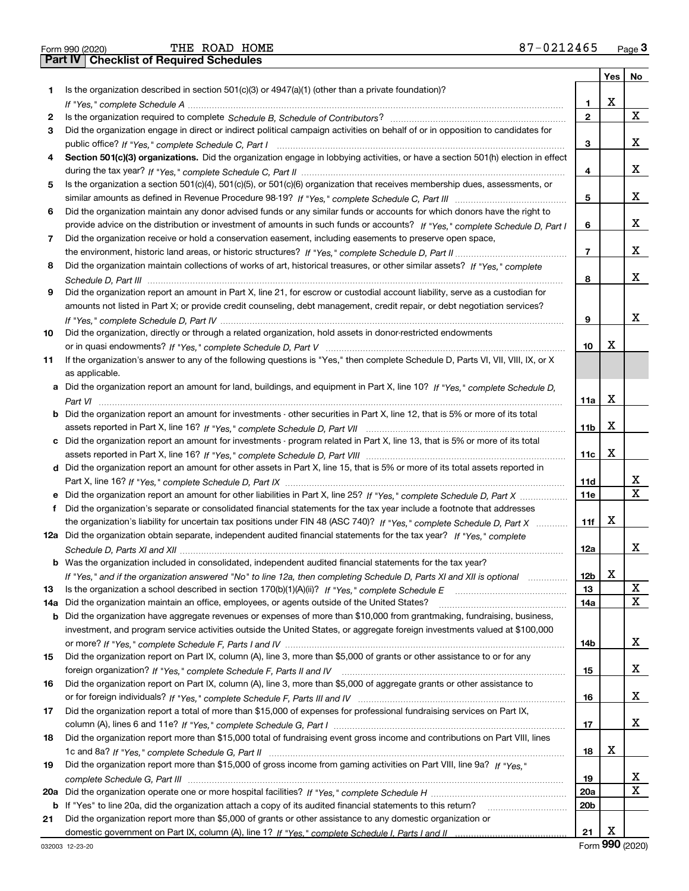|  | Form 990 (2020) |
|--|-----------------|

|     |                                                                                                                                       |                 | Yes | No |
|-----|---------------------------------------------------------------------------------------------------------------------------------------|-----------------|-----|----|
| 1.  | Is the organization described in section $501(c)(3)$ or $4947(a)(1)$ (other than a private foundation)?                               |                 |     |    |
|     |                                                                                                                                       | 1               | X   |    |
| 2   |                                                                                                                                       | $\mathbf{2}$    |     | х  |
| 3   | Did the organization engage in direct or indirect political campaign activities on behalf of or in opposition to candidates for       |                 |     |    |
|     |                                                                                                                                       | 3               |     | x  |
| 4   | Section 501(c)(3) organizations. Did the organization engage in lobbying activities, or have a section 501(h) election in effect      |                 |     |    |
|     |                                                                                                                                       | 4               |     | х  |
| 5   | Is the organization a section 501(c)(4), 501(c)(5), or 501(c)(6) organization that receives membership dues, assessments, or          |                 |     |    |
|     |                                                                                                                                       | 5               |     | x  |
| 6   | Did the organization maintain any donor advised funds or any similar funds or accounts for which donors have the right to             |                 |     |    |
|     | provide advice on the distribution or investment of amounts in such funds or accounts? If "Yes," complete Schedule D, Part I          | 6               |     | x  |
| 7   | Did the organization receive or hold a conservation easement, including easements to preserve open space,                             |                 |     |    |
|     |                                                                                                                                       | 7               |     | x  |
| 8   | Did the organization maintain collections of works of art, historical treasures, or other similar assets? If "Yes," complete          |                 |     |    |
|     |                                                                                                                                       | 8               |     | x  |
| 9   | Did the organization report an amount in Part X, line 21, for escrow or custodial account liability, serve as a custodian for         |                 |     |    |
|     | amounts not listed in Part X; or provide credit counseling, debt management, credit repair, or debt negotiation services?             |                 |     |    |
|     |                                                                                                                                       | 9               |     | x  |
| 10  | Did the organization, directly or through a related organization, hold assets in donor-restricted endowments                          |                 |     |    |
|     |                                                                                                                                       | 10              | х   |    |
| 11  | If the organization's answer to any of the following questions is "Yes," then complete Schedule D, Parts VI, VII, VIII, IX, or X      |                 |     |    |
|     | as applicable.                                                                                                                        |                 |     |    |
|     | a Did the organization report an amount for land, buildings, and equipment in Part X, line 10? If "Yes," complete Schedule D,         |                 |     |    |
|     |                                                                                                                                       | 11a             | Х   |    |
|     | <b>b</b> Did the organization report an amount for investments - other securities in Part X, line 12, that is 5% or more of its total |                 |     |    |
|     |                                                                                                                                       | 11b             | x   |    |
|     | c Did the organization report an amount for investments - program related in Part X, line 13, that is 5% or more of its total         |                 |     |    |
|     |                                                                                                                                       | 11c             | Х   |    |
|     | d Did the organization report an amount for other assets in Part X, line 15, that is 5% or more of its total assets reported in       |                 |     |    |
|     |                                                                                                                                       | 11d             |     | x  |
|     |                                                                                                                                       | <b>11e</b>      |     | X  |
| f   | Did the organization's separate or consolidated financial statements for the tax year include a footnote that addresses               |                 |     |    |
|     | the organization's liability for uncertain tax positions under FIN 48 (ASC 740)? If "Yes," complete Schedule D, Part X                | 11f             | х   |    |
|     | 12a Did the organization obtain separate, independent audited financial statements for the tax year? If "Yes," complete               |                 |     |    |
|     |                                                                                                                                       | 12a             |     | x  |
|     | <b>b</b> Was the organization included in consolidated, independent audited financial statements for the tax year?                    |                 |     |    |
|     | If "Yes," and if the organization answered "No" to line 12a, then completing Schedule D, Parts XI and XII is optional                 | 12 <sub>b</sub> | х   |    |
| 13  |                                                                                                                                       | 13              |     | X  |
|     | 14a Did the organization maintain an office, employees, or agents outside of the United States?                                       | 14a             |     | х  |
|     | <b>b</b> Did the organization have aggregate revenues or expenses of more than \$10,000 from grantmaking, fundraising, business,      |                 |     |    |
|     | investment, and program service activities outside the United States, or aggregate foreign investments valued at \$100,000            |                 |     |    |
|     |                                                                                                                                       | 14b             |     | x  |
| 15  | Did the organization report on Part IX, column (A), line 3, more than \$5,000 of grants or other assistance to or for any             |                 |     |    |
|     |                                                                                                                                       | 15              |     | х  |
| 16  | Did the organization report on Part IX, column (A), line 3, more than \$5,000 of aggregate grants or other assistance to              |                 |     |    |
|     |                                                                                                                                       | 16              |     | X  |
| 17  | Did the organization report a total of more than \$15,000 of expenses for professional fundraising services on Part IX,               |                 |     |    |
|     |                                                                                                                                       | 17              |     | х  |
| 18  | Did the organization report more than \$15,000 total of fundraising event gross income and contributions on Part VIII, lines          |                 |     |    |
|     |                                                                                                                                       | 18              | х   |    |
| 19  | Did the organization report more than \$15,000 of gross income from gaming activities on Part VIII, line 9a? If "Yes."                |                 |     |    |
|     |                                                                                                                                       | 19              |     | х  |
| 20a |                                                                                                                                       | 20a             |     | X  |
|     | <b>b</b> If "Yes" to line 20a, did the organization attach a copy of its audited financial statements to this return?                 | 20 <sub>b</sub> |     |    |
| 21  | Did the organization report more than \$5,000 of grants or other assistance to any domestic organization or                           |                 |     |    |
|     |                                                                                                                                       | 21              | х   |    |

Form (2020) **990**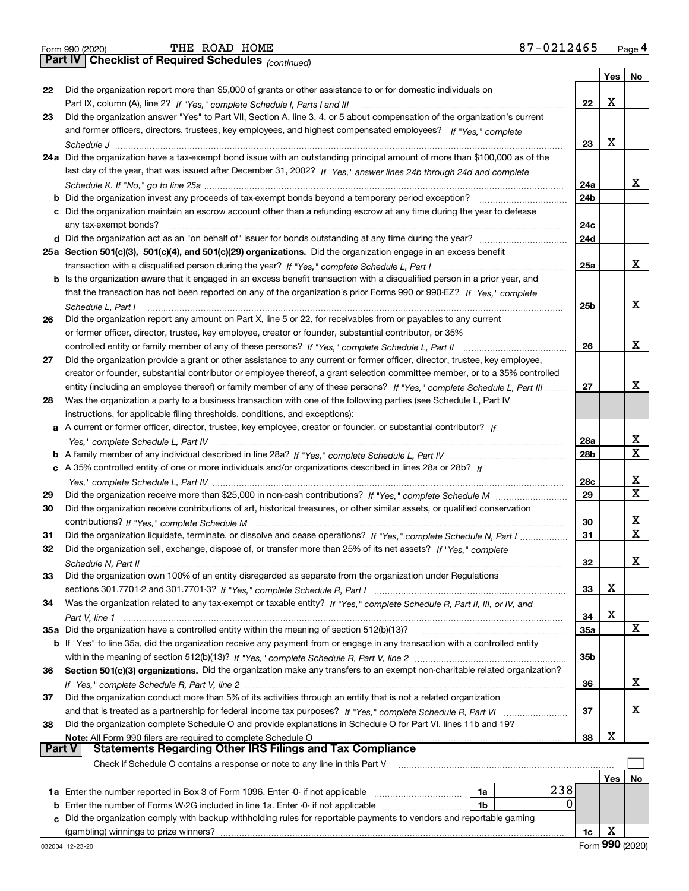|  | Form 990 (2020) |
|--|-----------------|

*(continued)*

|    |                                                                                                                                                                                                  |                 | Yes | No |
|----|--------------------------------------------------------------------------------------------------------------------------------------------------------------------------------------------------|-----------------|-----|----|
| 22 | Did the organization report more than \$5,000 of grants or other assistance to or for domestic individuals on                                                                                    |                 |     |    |
|    |                                                                                                                                                                                                  | 22              | x   |    |
| 23 | Did the organization answer "Yes" to Part VII, Section A, line 3, 4, or 5 about compensation of the organization's current                                                                       |                 |     |    |
|    | and former officers, directors, trustees, key employees, and highest compensated employees? If "Yes," complete                                                                                   |                 |     |    |
|    |                                                                                                                                                                                                  | 23              | x   |    |
|    | 24a Did the organization have a tax-exempt bond issue with an outstanding principal amount of more than \$100,000 as of the                                                                      |                 |     |    |
|    | last day of the year, that was issued after December 31, 2002? If "Yes," answer lines 24b through 24d and complete                                                                               |                 |     |    |
|    |                                                                                                                                                                                                  | 24a             |     | x  |
|    |                                                                                                                                                                                                  | 24 <sub>b</sub> |     |    |
|    | c Did the organization maintain an escrow account other than a refunding escrow at any time during the year to defease                                                                           |                 |     |    |
|    |                                                                                                                                                                                                  | 24c             |     |    |
|    |                                                                                                                                                                                                  | 24d             |     |    |
|    | 25a Section 501(c)(3), 501(c)(4), and 501(c)(29) organizations. Did the organization engage in an excess benefit                                                                                 |                 |     |    |
|    |                                                                                                                                                                                                  | 25a             |     | x  |
|    | b Is the organization aware that it engaged in an excess benefit transaction with a disqualified person in a prior year, and                                                                     |                 |     |    |
|    | that the transaction has not been reported on any of the organization's prior Forms 990 or 990-EZ? If "Yes." complete                                                                            |                 |     |    |
|    | Schedule L. Part I                                                                                                                                                                               | 25 <sub>b</sub> |     | x  |
| 26 | Did the organization report any amount on Part X, line 5 or 22, for receivables from or payables to any current                                                                                  |                 |     |    |
|    | or former officer, director, trustee, key employee, creator or founder, substantial contributor, or 35%                                                                                          |                 |     |    |
|    | controlled entity or family member of any of these persons? If "Yes," complete Schedule L, Part II                                                                                               | 26              |     | x  |
| 27 | Did the organization provide a grant or other assistance to any current or former officer, director, trustee, key employee,                                                                      |                 |     |    |
|    | creator or founder, substantial contributor or employee thereof, a grant selection committee member, or to a 35% controlled                                                                      |                 |     | х  |
|    | entity (including an employee thereof) or family member of any of these persons? If "Yes," complete Schedule L. Part III                                                                         | 27              |     |    |
| 28 | Was the organization a party to a business transaction with one of the following parties (see Schedule L, Part IV                                                                                |                 |     |    |
|    | instructions, for applicable filing thresholds, conditions, and exceptions):<br>A current or former officer, director, trustee, key employee, creator or founder, or substantial contributor? If |                 |     |    |
| а  |                                                                                                                                                                                                  | 28a             |     | х  |
|    |                                                                                                                                                                                                  | 28 <sub>b</sub> |     | X  |
|    | c A 35% controlled entity of one or more individuals and/or organizations described in lines 28a or 28b? If                                                                                      |                 |     |    |
|    |                                                                                                                                                                                                  | 28c             |     | х  |
| 29 |                                                                                                                                                                                                  | 29              |     | X  |
| 30 | Did the organization receive contributions of art, historical treasures, or other similar assets, or qualified conservation                                                                      |                 |     |    |
|    |                                                                                                                                                                                                  | 30              |     | х  |
| 31 | Did the organization liquidate, terminate, or dissolve and cease operations? If "Yes," complete Schedule N, Part I                                                                               | 31              |     | X  |
| 32 | Did the organization sell, exchange, dispose of, or transfer more than 25% of its net assets? If "Yes," complete                                                                                 |                 |     |    |
|    |                                                                                                                                                                                                  | 32              |     | х  |
| 33 | Did the organization own 100% of an entity disregarded as separate from the organization under Regulations                                                                                       |                 |     |    |
|    |                                                                                                                                                                                                  | 33              | х   |    |
| 34 | Was the organization related to any tax-exempt or taxable entity? If "Yes," complete Schedule R, Part II, III, or IV, and                                                                        |                 |     |    |
|    | Part V, line 1                                                                                                                                                                                   | 34              | X   |    |
|    | 35a Did the organization have a controlled entity within the meaning of section 512(b)(13)?                                                                                                      | 35a             |     | X  |
|    | b If "Yes" to line 35a, did the organization receive any payment from or engage in any transaction with a controlled entity                                                                      |                 |     |    |
|    |                                                                                                                                                                                                  | 35b             |     |    |
| 36 | Section 501(c)(3) organizations. Did the organization make any transfers to an exempt non-charitable related organization?                                                                       |                 |     |    |
|    |                                                                                                                                                                                                  | 36              |     | x  |
| 37 | Did the organization conduct more than 5% of its activities through an entity that is not a related organization                                                                                 |                 |     |    |
|    | and that is treated as a partnership for federal income tax purposes? If "Yes," complete Schedule R, Part VI                                                                                     | 37              |     | x  |
| 38 | Did the organization complete Schedule O and provide explanations in Schedule O for Part VI, lines 11b and 19?                                                                                   |                 |     |    |
|    | Note: All Form 990 filers are required to complete Schedule O                                                                                                                                    | 38              | х   |    |
|    | <b>Statements Regarding Other IRS Filings and Tax Compliance</b><br><b>Part V</b>                                                                                                                |                 |     |    |
|    | Check if Schedule O contains a response or note to any line in this Part V                                                                                                                       |                 |     |    |
|    |                                                                                                                                                                                                  |                 | Yes | No |
|    | 238<br>1a Enter the number reported in Box 3 of Form 1096. Enter -0- if not applicable<br>1a<br>0                                                                                                |                 |     |    |
| b  | Enter the number of Forms W-2G included in line 1a. Enter -0- if not applicable<br>1b                                                                                                            |                 |     |    |
|    | Did the organization comply with backup withholding rules for reportable payments to vendors and reportable gaming                                                                               |                 | х   |    |
|    |                                                                                                                                                                                                  | 1c              |     |    |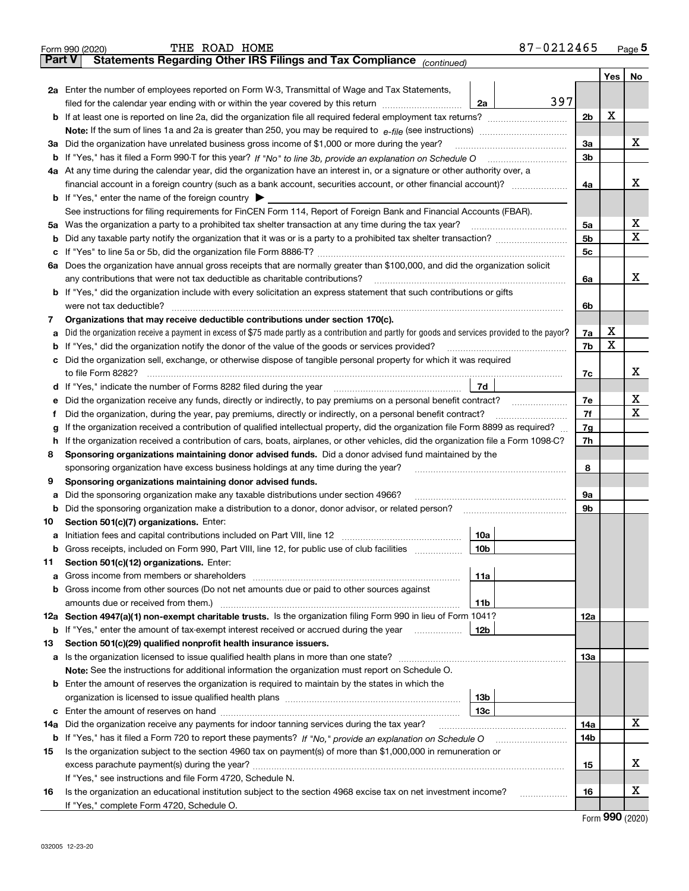| Part V | 87-0212465<br>THE ROAD HOME<br>Form 990 (2020)<br>Statements Regarding Other IRS Filings and Tax Compliance (continued)                         |                |     | Page 5 |
|--------|-------------------------------------------------------------------------------------------------------------------------------------------------|----------------|-----|--------|
|        |                                                                                                                                                 |                | Yes | No     |
|        | 2a Enter the number of employees reported on Form W-3, Transmittal of Wage and Tax Statements,                                                  |                |     |        |
|        | 397<br>filed for the calendar year ending with or within the year covered by this return <i>manumumumum</i><br>2a                               |                |     |        |
|        | <b>b</b> If at least one is reported on line 2a, did the organization file all required federal employment tax returns?                         | 2 <sub>b</sub> | х   |        |
|        |                                                                                                                                                 |                |     |        |
|        | 3a Did the organization have unrelated business gross income of \$1,000 or more during the year?                                                | 3a             |     | x      |
|        |                                                                                                                                                 | 3b             |     |        |
|        | 4a At any time during the calendar year, did the organization have an interest in, or a signature or other authority over, a                    |                |     |        |
|        | financial account in a foreign country (such as a bank account, securities account, or other financial account)?                                | 4a             |     | x      |
|        | <b>b</b> If "Yes," enter the name of the foreign country $\blacktriangleright$                                                                  |                |     |        |
|        | See instructions for filing requirements for FinCEN Form 114, Report of Foreign Bank and Financial Accounts (FBAR).                             |                |     |        |
|        | 5a Was the organization a party to a prohibited tax shelter transaction at any time during the tax year?                                        | 5a             |     | x      |
| b      |                                                                                                                                                 | 5 <sub>b</sub> |     | X      |
| с      |                                                                                                                                                 | 5c             |     |        |
|        | 6a Does the organization have annual gross receipts that are normally greater than \$100,000, and did the organization solicit                  |                |     |        |
|        | any contributions that were not tax deductible as charitable contributions?                                                                     | 6a             |     | x      |
|        | b If "Yes," did the organization include with every solicitation an express statement that such contributions or gifts                          |                |     |        |
|        | were not tax deductible?                                                                                                                        | 6b             |     |        |
| 7      | Organizations that may receive deductible contributions under section 170(c).                                                                   |                |     |        |
| а      | Did the organization receive a payment in excess of \$75 made partly as a contribution and partly for goods and services provided to the payor? | 7a             | х   |        |
| b      | If "Yes," did the organization notify the donor of the value of the goods or services provided?                                                 | 7b             | X   |        |
| с      | Did the organization sell, exchange, or otherwise dispose of tangible personal property for which it was required                               |                |     |        |
|        | to file Form 8282?                                                                                                                              | 7с             |     | x      |
|        | 7d<br>d If "Yes," indicate the number of Forms 8282 filed during the year                                                                       |                |     |        |
| е      | Did the organization receive any funds, directly or indirectly, to pay premiums on a personal benefit contract?                                 | 7e             |     | х      |
| f      | Did the organization, during the year, pay premiums, directly or indirectly, on a personal benefit contract?                                    | 7f             |     | X      |
| g      | If the organization received a contribution of qualified intellectual property, did the organization file Form 8899 as required?                | 7g             |     |        |
| h      | If the organization received a contribution of cars, boats, airplanes, or other vehicles, did the organization file a Form 1098-C?              | 7h             |     |        |
| 8      | Sponsoring organizations maintaining donor advised funds. Did a donor advised fund maintained by the                                            | 8              |     |        |
| 9      | sponsoring organization have excess business holdings at any time during the year?<br>Sponsoring organizations maintaining donor advised funds. |                |     |        |
| а      | Did the sponsoring organization make any taxable distributions under section 4966?                                                              | <b>9a</b>      |     |        |
| b      | Did the sponsoring organization make a distribution to a donor, donor advisor, or related person?                                               | 9b             |     |        |
| 10     | Section 501(c)(7) organizations. Enter:                                                                                                         |                |     |        |
|        | 10a                                                                                                                                             |                |     |        |
|        | <b>b</b> Gross receipts, included on Form 990, Part VIII, line 12, for public use of club facilities<br>10b                                     |                |     |        |
| 11     | Section 501(c)(12) organizations. Enter:                                                                                                        |                |     |        |
| а      | 11a                                                                                                                                             |                |     |        |
| b      | Gross income from other sources (Do not net amounts due or paid to other sources against                                                        |                |     |        |
|        | 11 <sub>b</sub>                                                                                                                                 |                |     |        |
| 12a    | Section 4947(a)(1) non-exempt charitable trusts. Is the organization filing Form 990 in lieu of Form 1041?                                      | 12a            |     |        |
| b      | If "Yes," enter the amount of tax-exempt interest received or accrued during the year<br>12b                                                    |                |     |        |
| 13     | Section 501(c)(29) qualified nonprofit health insurance issuers.                                                                                |                |     |        |
| а      |                                                                                                                                                 | 13a            |     |        |
|        | Note: See the instructions for additional information the organization must report on Schedule O.                                               |                |     |        |
|        | <b>b</b> Enter the amount of reserves the organization is required to maintain by the states in which the                                       |                |     |        |
|        | 13 <sub>b</sub>                                                                                                                                 |                |     |        |
| c      | 13с                                                                                                                                             |                |     |        |
| 14a    | Did the organization receive any payments for indoor tanning services during the tax year?                                                      | 14a            |     | х      |
| b      |                                                                                                                                                 | 14b            |     |        |
| 15     | Is the organization subject to the section 4960 tax on payment(s) of more than \$1,000,000 in remuneration or                                   |                |     |        |
|        |                                                                                                                                                 | 15             |     | х      |
|        | If "Yes," see instructions and file Form 4720, Schedule N.                                                                                      |                |     |        |
| 16     | Is the organization an educational institution subject to the section 4968 excise tax on net investment income?<br>.                            | 16             |     | х      |
|        | If "Yes," complete Form 4720, Schedule O.                                                                                                       |                |     |        |

Form (2020) **990**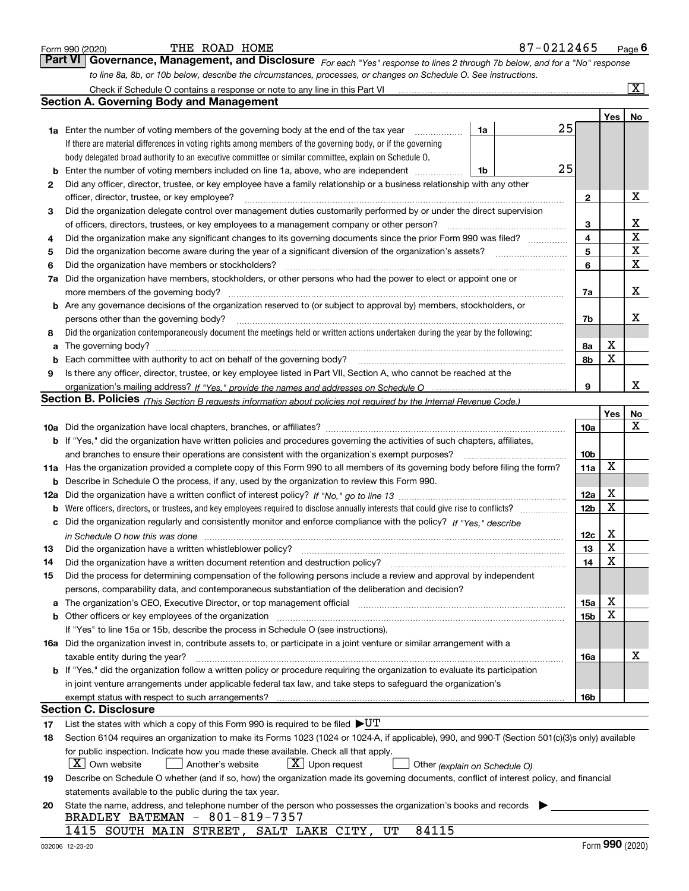|     | THE ROAD HOME<br>Form 990 (2020)                                                                                                                                                               |    | 87-0212465 |                 |                         | $_{\text{Page}}$ 6      |
|-----|------------------------------------------------------------------------------------------------------------------------------------------------------------------------------------------------|----|------------|-----------------|-------------------------|-------------------------|
|     | Governance, Management, and Disclosure For each "Yes" response to lines 2 through 7b below, and for a "No" response<br>Part VI                                                                 |    |            |                 |                         |                         |
|     | to line 8a, 8b, or 10b below, describe the circumstances, processes, or changes on Schedule O. See instructions.                                                                               |    |            |                 |                         |                         |
|     |                                                                                                                                                                                                |    |            |                 |                         | $\overline{\mathbf{x}}$ |
|     | <b>Section A. Governing Body and Management</b>                                                                                                                                                |    |            |                 |                         |                         |
|     |                                                                                                                                                                                                |    |            |                 | Yes                     | No                      |
|     | 1a Enter the number of voting members of the governing body at the end of the tax year                                                                                                         | 1a | 25         |                 |                         |                         |
|     | If there are material differences in voting rights among members of the governing body, or if the governing                                                                                    |    |            |                 |                         |                         |
|     | body delegated broad authority to an executive committee or similar committee, explain on Schedule O.                                                                                          |    |            |                 |                         |                         |
| b   | Enter the number of voting members included on line 1a, above, who are independent                                                                                                             | 1b | 25         |                 |                         |                         |
| 2   | Did any officer, director, trustee, or key employee have a family relationship or a business relationship with any other                                                                       |    |            |                 |                         |                         |
|     | officer, director, trustee, or key employee?                                                                                                                                                   |    |            | $\mathbf{2}$    |                         | х                       |
| З   | Did the organization delegate control over management duties customarily performed by or under the direct supervision                                                                          |    |            |                 |                         |                         |
|     | of officers, directors, trustees, or key employees to a management company or other person?                                                                                                    |    |            | 3               |                         | x                       |
| 4   | Did the organization make any significant changes to its governing documents since the prior Form 990 was filed?                                                                               |    |            | 4               |                         | $\mathbf X$             |
| 5   | Did the organization become aware during the year of a significant diversion of the organization's assets?                                                                                     |    |            | 5               |                         | $\mathbf X$             |
|     | Did the organization have members or stockholders?                                                                                                                                             |    |            | 6               |                         | $\mathbf X$             |
| 6   | Did the organization have members, stockholders, or other persons who had the power to elect or appoint one or                                                                                 |    |            |                 |                         |                         |
| 7a  |                                                                                                                                                                                                |    |            |                 |                         | х                       |
|     |                                                                                                                                                                                                |    |            | 7a              |                         |                         |
|     | <b>b</b> Are any governance decisions of the organization reserved to (or subject to approval by) members, stockholders, or                                                                    |    |            |                 |                         |                         |
|     | persons other than the governing body?                                                                                                                                                         |    |            | 7b              |                         | x                       |
| 8   | Did the organization contemporaneously document the meetings held or written actions undertaken during the year by the following:                                                              |    |            |                 |                         |                         |
| a   |                                                                                                                                                                                                |    |            | 8a              | х                       |                         |
| b   |                                                                                                                                                                                                |    |            | 8b              | $\mathbf X$             |                         |
| 9   | Is there any officer, director, trustee, or key employee listed in Part VII, Section A, who cannot be reached at the                                                                           |    |            |                 |                         |                         |
|     |                                                                                                                                                                                                |    |            | 9               |                         | x                       |
|     | Section B. Policies (This Section B requests information about policies not required by the Internal Revenue Code.)                                                                            |    |            |                 |                         |                         |
|     |                                                                                                                                                                                                |    |            |                 | Yes                     | No                      |
|     |                                                                                                                                                                                                |    |            | 10a             |                         | х                       |
|     | <b>b</b> If "Yes," did the organization have written policies and procedures governing the activities of such chapters, affiliates,                                                            |    |            |                 |                         |                         |
|     | and branches to ensure their operations are consistent with the organization's exempt purposes?                                                                                                |    |            | 10 <sub>b</sub> |                         |                         |
|     | 11a Has the organization provided a complete copy of this Form 990 to all members of its governing body before filing the form?                                                                |    |            | 11a             | X                       |                         |
| b   | Describe in Schedule O the process, if any, used by the organization to review this Form 990.                                                                                                  |    |            |                 |                         |                         |
| 12a |                                                                                                                                                                                                |    |            | 12a             | х                       |                         |
| b   |                                                                                                                                                                                                |    |            | 12 <sub>b</sub> | $\mathbf X$             |                         |
| c   | Did the organization regularly and consistently monitor and enforce compliance with the policy? If "Yes," describe                                                                             |    |            |                 |                         |                         |
|     |                                                                                                                                                                                                |    |            | 12c             | х                       |                         |
| 13  | Did the organization have a written whistleblower policy?                                                                                                                                      |    |            | 13              | $\overline{\textbf{x}}$ |                         |
| 14  | Did the organization have a written document retention and destruction policy?                                                                                                                 |    |            | 14              | X                       |                         |
| 15  | Did the process for determining compensation of the following persons include a review and approval by independent                                                                             |    |            |                 |                         |                         |
|     | persons, comparability data, and contemporaneous substantiation of the deliberation and decision?                                                                                              |    |            |                 |                         |                         |
| а   | The organization's CEO, Executive Director, or top management official manufactured contains and contained a support of the organization's CEO, Executive Director, or top management official |    |            | 15a             | х                       |                         |
| b   |                                                                                                                                                                                                |    |            | 15 <sub>b</sub> | х                       |                         |
|     | If "Yes" to line 15a or 15b, describe the process in Schedule O (see instructions).                                                                                                            |    |            |                 |                         |                         |
|     | 16a Did the organization invest in, contribute assets to, or participate in a joint venture or similar arrangement with a                                                                      |    |            |                 |                         |                         |
|     | taxable entity during the year?                                                                                                                                                                |    |            | 16a             |                         | х                       |
|     | <b>b</b> If "Yes," did the organization follow a written policy or procedure requiring the organization to evaluate its participation                                                          |    |            |                 |                         |                         |
|     | in joint venture arrangements under applicable federal tax law, and take steps to safeguard the organization's                                                                                 |    |            |                 |                         |                         |
|     | exempt status with respect to such arrangements?                                                                                                                                               |    |            | 16b             |                         |                         |
|     | <b>Section C. Disclosure</b>                                                                                                                                                                   |    |            |                 |                         |                         |
|     | List the states with which a copy of this Form 990 is required to be filed $\blacktriangleright U T$                                                                                           |    |            |                 |                         |                         |
| 17  |                                                                                                                                                                                                |    |            |                 |                         |                         |
| 18  | Section 6104 requires an organization to make its Forms 1023 (1024 or 1024-A, if applicable), 990, and 990-T (Section 501(c)(3)s only) available                                               |    |            |                 |                         |                         |
|     | for public inspection. Indicate how you made these available. Check all that apply.                                                                                                            |    |            |                 |                         |                         |
|     | $X$ Own website<br>$X$ Upon request<br>Another's website<br>Other (explain on Schedule O)                                                                                                      |    |            |                 |                         |                         |
| 19  | Describe on Schedule O whether (and if so, how) the organization made its governing documents, conflict of interest policy, and financial                                                      |    |            |                 |                         |                         |
|     | statements available to the public during the tax year.                                                                                                                                        |    |            |                 |                         |                         |
| 20  | State the name, address, and telephone number of the person who possesses the organization's books and records                                                                                 |    |            |                 |                         |                         |
|     | BRADLEY BATEMAN - 801-819-7357                                                                                                                                                                 |    |            |                 |                         |                         |
|     | 84115<br>1415 SOUTH MAIN STREET, SALT LAKE CITY, UT                                                                                                                                            |    |            |                 |                         |                         |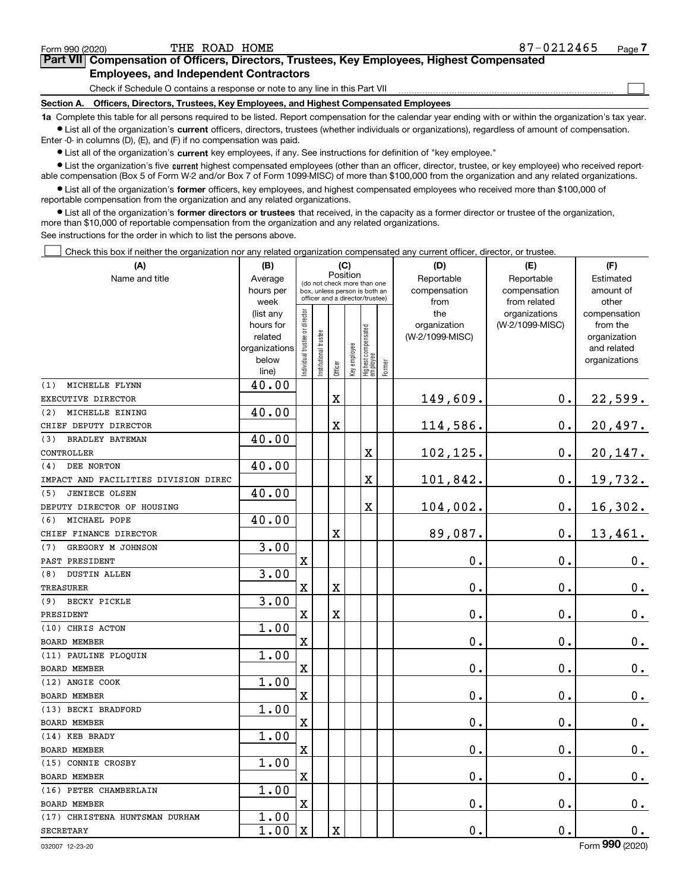$\mathcal{L}^{\text{max}}$ 

# **7Part VII Compensation of Officers, Directors, Trustees, Key Employees, Highest Compensated Employees, and Independent Contractors**

Check if Schedule O contains a response or note to any line in this Part VII

**Section A. Officers, Directors, Trustees, Key Employees, and Highest Compensated Employees**

**1a**  Complete this table for all persons required to be listed. Report compensation for the calendar year ending with or within the organization's tax year. **•** List all of the organization's current officers, directors, trustees (whether individuals or organizations), regardless of amount of compensation.

Enter -0- in columns (D), (E), and (F) if no compensation was paid.

 $\bullet$  List all of the organization's  $\,$ current key employees, if any. See instructions for definition of "key employee."

**•** List the organization's five current highest compensated employees (other than an officer, director, trustee, or key employee) who received reportable compensation (Box 5 of Form W-2 and/or Box 7 of Form 1099-MISC) of more than \$100,000 from the organization and any related organizations.

**•** List all of the organization's former officers, key employees, and highest compensated employees who received more than \$100,000 of reportable compensation from the organization and any related organizations.

**former directors or trustees**  ¥ List all of the organization's that received, in the capacity as a former director or trustee of the organization, more than \$10,000 of reportable compensation from the organization and any related organizations.

See instructions for the order in which to list the persons above.

Check this box if neither the organization nor any related organization compensated any current officer, director, or trustee.  $\mathcal{L}^{\text{max}}$ 

| (A)                                  | (B)               | (C)                                     |                       | (D)                                                              | (E)          | (F)                              |        |                 |                               |                       |
|--------------------------------------|-------------------|-----------------------------------------|-----------------------|------------------------------------------------------------------|--------------|----------------------------------|--------|-----------------|-------------------------------|-----------------------|
| Name and title                       | Average           | Position<br>(do not check more than one |                       | Reportable                                                       | Reportable   | Estimated                        |        |                 |                               |                       |
|                                      | hours per         |                                         |                       | box, unless person is both an<br>officer and a director/trustee) |              |                                  |        | compensation    | compensation                  | amount of             |
|                                      | week<br>(list any |                                         |                       |                                                                  |              |                                  |        | from<br>the     | from related<br>organizations | other<br>compensation |
|                                      | hours for         |                                         |                       |                                                                  |              |                                  |        | organization    | (W-2/1099-MISC)               | from the              |
|                                      | related           |                                         |                       |                                                                  |              |                                  |        | (W-2/1099-MISC) |                               | organization          |
|                                      | organizations     |                                         |                       |                                                                  |              |                                  |        |                 |                               | and related           |
|                                      | below             | ndividual trustee or director           | Institutional trustee | Officer                                                          | Key employee | Highest compensated<br> employee | Former |                 |                               | organizations         |
|                                      | line)             |                                         |                       |                                                                  |              |                                  |        |                 |                               |                       |
| MICHELLE FLYNN<br>(1)                | 40.00             |                                         |                       |                                                                  |              |                                  |        |                 |                               |                       |
| EXECUTIVE DIRECTOR                   |                   |                                         |                       | $\overline{\textbf{X}}$                                          |              |                                  |        | 149,609.        | 0.                            | 22,599.               |
| MICHELLE EINING<br>(2)               | 40.00             |                                         |                       |                                                                  |              |                                  |        |                 |                               |                       |
| CHIEF DEPUTY DIRECTOR                |                   |                                         |                       | X                                                                |              |                                  |        | 114,586.        | $\mathbf 0$ .                 | 20,497.               |
| <b>BRADLEY BATEMAN</b><br>(3)        | 40.00             |                                         |                       |                                                                  |              |                                  |        |                 |                               |                       |
| CONTROLLER                           |                   |                                         |                       |                                                                  |              | $\mathbf X$                      |        | 102, 125.       | $\mathbf 0$ .                 | 20,147.               |
| DEE NORTON<br>(4)                    | 40.00             |                                         |                       |                                                                  |              |                                  |        |                 |                               |                       |
| IMPACT AND FACILITIES DIVISION DIREC |                   |                                         |                       |                                                                  |              | $\mathbf X$                      |        | 101,842.        | $\mathbf 0$ .                 | 19,732.               |
| <b>JENIECE OLSEN</b><br>(5)          | 40.00             |                                         |                       |                                                                  |              |                                  |        |                 |                               |                       |
| DEPUTY DIRECTOR OF HOUSING           |                   |                                         |                       |                                                                  |              | $\mathbf X$                      |        | 104,002.        | $\mathbf 0$ .                 | 16,302.               |
| MICHAEL POPE<br>(6)                  | 40.00             |                                         |                       |                                                                  |              |                                  |        |                 |                               |                       |
| CHIEF FINANCE DIRECTOR               |                   |                                         |                       | $\overline{\textbf{X}}$                                          |              |                                  |        | 89,087.         | $\mathbf 0$ .                 | 13,461.               |
| (7)<br>GREGORY M JOHNSON             | 3.00              |                                         |                       |                                                                  |              |                                  |        |                 |                               |                       |
| PAST PRESIDENT                       |                   | $\mathbf X$                             |                       |                                                                  |              |                                  |        | 0.              | $\mathbf 0$ .                 | 0.                    |
| <b>DUSTIN ALLEN</b><br>(8)           | 3.00              |                                         |                       |                                                                  |              |                                  |        |                 |                               |                       |
| <b>TREASURER</b>                     |                   | X                                       |                       | $\overline{\mathbf{X}}$                                          |              |                                  |        | 0.              | 0.                            | 0.                    |
| BECKY PICKLE<br>(9)                  | 3.00              |                                         |                       |                                                                  |              |                                  |        |                 |                               |                       |
| PRESIDENT                            |                   | $\mathbf X$                             |                       | $\overline{\textbf{X}}$                                          |              |                                  |        | 0.              | $\mathbf 0$ .                 | $\mathbf 0$ .         |
| (10) CHRIS ACTON                     | 1.00              |                                         |                       |                                                                  |              |                                  |        |                 |                               |                       |
| <b>BOARD MEMBER</b>                  |                   | $\overline{\mathbf{X}}$                 |                       |                                                                  |              |                                  |        | 0.              | $\mathbf 0$ .                 | $\mathbf 0$ .         |
| (11) PAULINE PLOQUIN                 | 1.00              |                                         |                       |                                                                  |              |                                  |        |                 |                               |                       |
| <b>BOARD MEMBER</b>                  |                   | $\mathbf X$                             |                       |                                                                  |              |                                  |        | 0.              | 0.                            | $\mathbf 0$ .         |
| (12) ANGIE COOK                      | 1.00              |                                         |                       |                                                                  |              |                                  |        |                 |                               |                       |
| <b>BOARD MEMBER</b>                  |                   | X                                       |                       |                                                                  |              |                                  |        | 0.              | $\mathbf 0$ .                 | $\mathbf 0$ .         |
| (13) BECKI BRADFORD                  | 1.00              |                                         |                       |                                                                  |              |                                  |        |                 |                               |                       |
| <b>BOARD MEMBER</b>                  |                   | X                                       |                       |                                                                  |              |                                  |        | $\mathbf 0$ .   | $\mathbf 0$ .                 | $\mathbf 0$ .         |
| (14) KEB BRADY                       | 1.00              |                                         |                       |                                                                  |              |                                  |        |                 |                               |                       |
| <b>BOARD MEMBER</b>                  |                   | X                                       |                       |                                                                  |              |                                  |        | 0.              | 0.                            | $\mathbf 0$ .         |
| (15) CONNIE CROSBY                   | 1.00              |                                         |                       |                                                                  |              |                                  |        |                 |                               |                       |
| <b>BOARD MEMBER</b>                  |                   | $\mathbf X$                             |                       |                                                                  |              |                                  |        | 0.              | $\mathbf 0$ .                 | $0_{.}$               |
| (16) PETER CHAMBERLAIN               | 1.00              |                                         |                       |                                                                  |              |                                  |        |                 |                               |                       |
| <b>BOARD MEMBER</b>                  |                   | X                                       |                       |                                                                  |              |                                  |        | 0.              | 0.                            | $\mathbf 0$ .         |
| (17) CHRISTENA HUNTSMAN DURHAM       | 1.00              |                                         |                       |                                                                  |              |                                  |        |                 |                               |                       |
| <b>SECRETARY</b>                     | 1.00              | X                                       |                       | X                                                                |              |                                  |        | 0.              | $\mathbf 0$ .                 | 0.                    |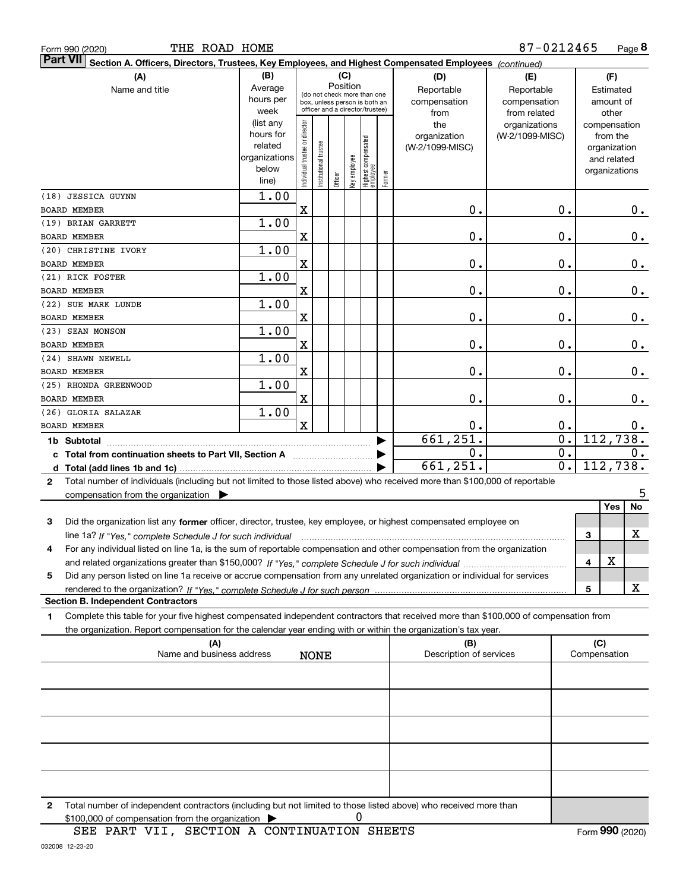| THE ROAD HOME<br>Form 990 (2020)                                                                                                           |                          |                               |                      |          |              |                                   |        |                         | 87-0212465       |   |                              | Page 8        |
|--------------------------------------------------------------------------------------------------------------------------------------------|--------------------------|-------------------------------|----------------------|----------|--------------|-----------------------------------|--------|-------------------------|------------------|---|------------------------------|---------------|
| <b>Part VII</b><br>Section A. Officers, Directors, Trustees, Key Employees, and Highest Compensated Employees (continued)                  |                          |                               |                      |          |              |                                   |        |                         |                  |   |                              |               |
| (A)                                                                                                                                        | (B)<br>(C)<br>(D)<br>(E) |                               |                      |          |              |                                   | (F)    |                         |                  |   |                              |               |
| Name and title                                                                                                                             | Average                  |                               |                      | Position |              | (do not check more than one       |        | Reportable              | Reportable       |   | Estimated                    |               |
|                                                                                                                                            | hours per                |                               |                      |          |              | box, unless person is both an     |        | compensation            | compensation     |   | amount of                    |               |
|                                                                                                                                            | week                     |                               |                      |          |              | officer and a director/trustee)   |        | from                    | from related     |   | other                        |               |
|                                                                                                                                            | (list any                |                               |                      |          |              |                                   |        | the                     | organizations    |   | compensation                 |               |
|                                                                                                                                            | hours for<br>related     |                               |                      |          |              |                                   |        | organization            | (W-2/1099-MISC)  |   | from the                     |               |
|                                                                                                                                            | organizations            |                               |                      |          |              |                                   |        | (W-2/1099-MISC)         |                  |   | organization                 |               |
|                                                                                                                                            | below                    |                               |                      |          |              |                                   |        |                         |                  |   | and related<br>organizations |               |
|                                                                                                                                            | line)                    | ndividual trustee or director | nstitutional trustee | Officer  | (ey employee | Highest compensated<br>  employee | Former |                         |                  |   |                              |               |
| (18) JESSICA GUYNN                                                                                                                         | 1.00                     |                               |                      |          |              |                                   |        |                         |                  |   |                              |               |
| BOARD MEMBER                                                                                                                               |                          | X                             |                      |          |              |                                   |        | 0.                      | 0.               |   |                              | 0.            |
| (19) BRIAN GARRETT                                                                                                                         | 1.00                     |                               |                      |          |              |                                   |        |                         |                  |   |                              |               |
| <b>BOARD MEMBER</b>                                                                                                                        |                          | X                             |                      |          |              |                                   |        | 0.                      | $\mathbf 0$ .    |   |                              | $\mathbf 0$ . |
| (20) CHRISTINE IVORY                                                                                                                       | 1.00                     |                               |                      |          |              |                                   |        |                         |                  |   |                              |               |
| BOARD MEMBER<br>(21) RICK FOSTER                                                                                                           |                          | x                             |                      |          |              |                                   |        | 0.                      | $\mathbf 0$ .    |   |                              | $0$ .         |
| BOARD MEMBER                                                                                                                               | 1.00                     | X                             |                      |          |              |                                   |        | 0.                      | $\mathbf 0$ .    |   |                              | $\mathbf 0$ . |
| (22) SUE MARK LUNDE                                                                                                                        | 1.00                     |                               |                      |          |              |                                   |        |                         |                  |   |                              |               |
| BOARD MEMBER                                                                                                                               |                          | X                             |                      |          |              |                                   |        | 0.                      | $\mathbf 0$ .    |   |                              | $0$ .         |
| (23) SEAN MONSON                                                                                                                           | 1.00                     |                               |                      |          |              |                                   |        |                         |                  |   |                              |               |
| <b>BOARD MEMBER</b>                                                                                                                        |                          | X                             |                      |          |              |                                   |        | 0.                      | $\mathbf 0$ .    |   |                              | $\mathbf 0$ . |
| (24) SHAWN NEWELL                                                                                                                          | 1.00                     |                               |                      |          |              |                                   |        |                         |                  |   |                              |               |
| BOARD MEMBER                                                                                                                               |                          | X                             |                      |          |              |                                   |        | 0.                      | 0.               |   |                              | $\mathbf 0$ . |
| (25) RHONDA GREENWOOD<br>BOARD MEMBER                                                                                                      | 1.00                     | X                             |                      |          |              |                                   |        | 0.                      | $\mathbf 0$ .    |   |                              | $\mathbf 0$ . |
| (26) GLORIA SALAZAR                                                                                                                        | 1.00                     |                               |                      |          |              |                                   |        |                         |                  |   |                              |               |
| <b>BOARD MEMBER</b>                                                                                                                        |                          | X                             |                      |          |              |                                   |        | 0.                      | 0.               |   |                              | 0.            |
| 1b Subtotal                                                                                                                                |                          |                               |                      |          |              |                                   |        | 661, 251.               | $\overline{0}$ . |   | 112,738.                     |               |
| c Total from continuation sheets to Part VII, Section A                                                                                    |                          |                               |                      |          |              |                                   |        | $\mathbf 0$ .           | $\overline{0}$ . |   |                              | 0.            |
|                                                                                                                                            |                          |                               |                      |          |              |                                   |        | 661,251.                | $\overline{0}$ . |   |                              | 112,738.      |
| Total number of individuals (including but not limited to those listed above) who received more than \$100,000 of reportable<br>2          |                          |                               |                      |          |              |                                   |        |                         |                  |   |                              |               |
| compensation from the organization                                                                                                         |                          |                               |                      |          |              |                                   |        |                         |                  |   | Yes                          | 5<br>No       |
|                                                                                                                                            |                          |                               |                      |          |              |                                   |        |                         |                  |   |                              |               |
| 3<br>Did the organization list any former officer, director, trustee, key employee, or highest compensated employee on                     |                          |                               |                      |          |              |                                   |        |                         |                  | 3 |                              | x             |
| For any individual listed on line 1a, is the sum of reportable compensation and other compensation from the organization<br>4              |                          |                               |                      |          |              |                                   |        |                         |                  |   |                              |               |
|                                                                                                                                            |                          |                               |                      |          |              |                                   |        |                         |                  | 4 | х                            |               |
| Did any person listed on line 1a receive or accrue compensation from any unrelated organization or individual for services<br>5            |                          |                               |                      |          |              |                                   |        |                         |                  |   |                              |               |
|                                                                                                                                            |                          |                               |                      |          |              |                                   |        |                         |                  | 5 |                              | x             |
| <b>Section B. Independent Contractors</b>                                                                                                  |                          |                               |                      |          |              |                                   |        |                         |                  |   |                              |               |
| Complete this table for your five highest compensated independent contractors that received more than \$100,000 of compensation from<br>1. |                          |                               |                      |          |              |                                   |        |                         |                  |   |                              |               |
| the organization. Report compensation for the calendar year ending with or within the organization's tax year.<br>(A)                      |                          |                               |                      |          |              |                                   |        | (B)                     |                  |   | (C)                          |               |
| Name and business address                                                                                                                  |                          |                               | <b>NONE</b>          |          |              |                                   |        | Description of services |                  |   | Compensation                 |               |
|                                                                                                                                            |                          |                               |                      |          |              |                                   |        |                         |                  |   |                              |               |
|                                                                                                                                            |                          |                               |                      |          |              |                                   |        |                         |                  |   |                              |               |
|                                                                                                                                            |                          |                               |                      |          |              |                                   |        |                         |                  |   |                              |               |
|                                                                                                                                            |                          |                               |                      |          |              |                                   |        |                         |                  |   |                              |               |
|                                                                                                                                            |                          |                               |                      |          |              |                                   |        |                         |                  |   |                              |               |
|                                                                                                                                            |                          |                               |                      |          |              |                                   |        |                         |                  |   |                              |               |
|                                                                                                                                            |                          |                               |                      |          |              |                                   |        |                         |                  |   |                              |               |

**2** Total number of independent contractors (including but not limited to those listed above) who received more than  $$100,000$  of compensation from the organization  $\qquad \blacktriangleright$   $\qquad \qquad 0$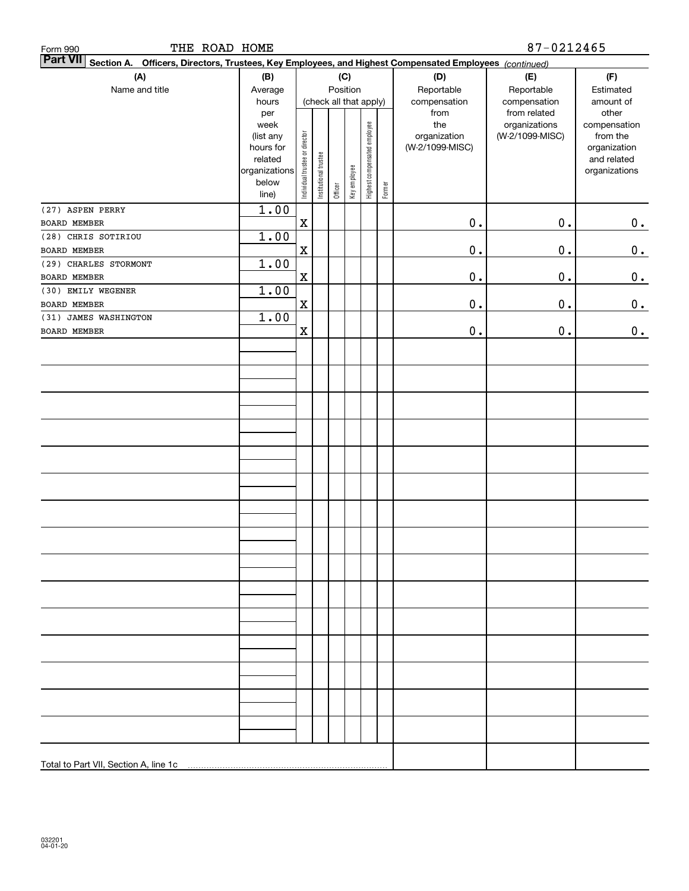| THE ROAD HOME<br>Form 990                                                                                                    |                        |                                |                       |         |                        |                              |        |                                 | 87-0212465      |                          |
|------------------------------------------------------------------------------------------------------------------------------|------------------------|--------------------------------|-----------------------|---------|------------------------|------------------------------|--------|---------------------------------|-----------------|--------------------------|
| <b>Part VII</b><br>Officers, Directors, Trustees, Key Employees, and Highest Compensated Employees (continued)<br>Section A. |                        |                                |                       |         |                        |                              |        |                                 |                 |                          |
| (A)                                                                                                                          | (B)                    |                                |                       |         | (C)                    |                              |        | (D)                             | (E)             | (F)                      |
| Name and title                                                                                                               | Average                |                                |                       |         | Position               |                              |        | Reportable                      | Reportable      | Estimated                |
|                                                                                                                              | hours                  |                                |                       |         | (check all that apply) |                              |        | compensation                    | compensation    | amount of                |
|                                                                                                                              | per                    |                                |                       |         |                        |                              |        | from                            | from related    | other                    |
|                                                                                                                              | week                   |                                |                       |         |                        |                              |        | the                             | organizations   | compensation             |
|                                                                                                                              | (list any<br>hours for |                                |                       |         |                        |                              |        | organization<br>(W-2/1099-MISC) | (W-2/1099-MISC) | from the<br>organization |
|                                                                                                                              | related                |                                |                       |         |                        |                              |        |                                 |                 | and related              |
|                                                                                                                              | organizations          |                                |                       |         |                        |                              |        |                                 |                 | organizations            |
|                                                                                                                              | below                  | Individual trustee or director | Institutional trustee |         | Key employee           | Highest compensated employee |        |                                 |                 |                          |
|                                                                                                                              | line)                  |                                |                       | Officer |                        |                              | Former |                                 |                 |                          |
| (27) ASPEN PERRY                                                                                                             | 1.00                   |                                |                       |         |                        |                              |        |                                 |                 |                          |
| <b>BOARD MEMBER</b>                                                                                                          |                        | $\mathbf x$                    |                       |         |                        |                              |        | $\mathbf 0$ .                   | $0$ .           | 0.                       |
| (28) CHRIS SOTIRIOU                                                                                                          | 1.00                   |                                |                       |         |                        |                              |        |                                 |                 |                          |
| BOARD MEMBER                                                                                                                 |                        | $\mathbf X$                    |                       |         |                        |                              |        | $\mathbf 0$ .                   | $0$ .           | 0.                       |
| (29) CHARLES STORMONT                                                                                                        | 1.00                   |                                |                       |         |                        |                              |        |                                 |                 |                          |
| BOARD MEMBER                                                                                                                 |                        | $\mathbf x$                    |                       |         |                        |                              |        | $\mathbf 0$ .                   | $0$ .           | $\mathbf 0$ .            |
| (30) EMILY WEGENER                                                                                                           | 1.00                   |                                |                       |         |                        |                              |        |                                 |                 |                          |
| BOARD MEMBER                                                                                                                 |                        | $\mathbf x$                    |                       |         |                        |                              |        | $\mathbf 0$ .                   | $0$ .           | $\mathbf 0$ .            |
| (31) JAMES WASHINGTON                                                                                                        | 1.00                   |                                |                       |         |                        |                              |        |                                 |                 |                          |
| BOARD MEMBER                                                                                                                 |                        | $\mathbf x$                    |                       |         |                        |                              |        | $\mathbf 0$ .                   | $0$ .           | $0$ .                    |
|                                                                                                                              |                        |                                |                       |         |                        |                              |        |                                 |                 |                          |
|                                                                                                                              |                        |                                |                       |         |                        |                              |        |                                 |                 |                          |
|                                                                                                                              |                        |                                |                       |         |                        |                              |        |                                 |                 |                          |
|                                                                                                                              |                        |                                |                       |         |                        |                              |        |                                 |                 |                          |
|                                                                                                                              |                        |                                |                       |         |                        |                              |        |                                 |                 |                          |
|                                                                                                                              |                        |                                |                       |         |                        |                              |        |                                 |                 |                          |
|                                                                                                                              |                        |                                |                       |         |                        |                              |        |                                 |                 |                          |
|                                                                                                                              |                        |                                |                       |         |                        |                              |        |                                 |                 |                          |
|                                                                                                                              |                        |                                |                       |         |                        |                              |        |                                 |                 |                          |
|                                                                                                                              |                        |                                |                       |         |                        |                              |        |                                 |                 |                          |
|                                                                                                                              |                        |                                |                       |         |                        |                              |        |                                 |                 |                          |
|                                                                                                                              |                        |                                |                       |         |                        |                              |        |                                 |                 |                          |
|                                                                                                                              |                        |                                |                       |         |                        |                              |        |                                 |                 |                          |
|                                                                                                                              |                        |                                |                       |         |                        |                              |        |                                 |                 |                          |
|                                                                                                                              |                        |                                |                       |         |                        |                              |        |                                 |                 |                          |
|                                                                                                                              |                        |                                |                       |         |                        |                              |        |                                 |                 |                          |
|                                                                                                                              |                        |                                |                       |         |                        |                              |        |                                 |                 |                          |
|                                                                                                                              |                        |                                |                       |         |                        |                              |        |                                 |                 |                          |
|                                                                                                                              |                        |                                |                       |         |                        |                              |        |                                 |                 |                          |
|                                                                                                                              |                        |                                |                       |         |                        |                              |        |                                 |                 |                          |
|                                                                                                                              |                        |                                |                       |         |                        |                              |        |                                 |                 |                          |
|                                                                                                                              |                        |                                |                       |         |                        |                              |        |                                 |                 |                          |
|                                                                                                                              |                        |                                |                       |         |                        |                              |        |                                 |                 |                          |
|                                                                                                                              |                        |                                |                       |         |                        |                              |        |                                 |                 |                          |
|                                                                                                                              |                        |                                |                       |         |                        |                              |        |                                 |                 |                          |
|                                                                                                                              |                        |                                |                       |         |                        |                              |        |                                 |                 |                          |
|                                                                                                                              |                        |                                |                       |         |                        |                              |        |                                 |                 |                          |
|                                                                                                                              |                        |                                |                       |         |                        |                              |        |                                 |                 |                          |
|                                                                                                                              |                        |                                |                       |         |                        |                              |        |                                 |                 |                          |
|                                                                                                                              |                        |                                |                       |         |                        |                              |        |                                 |                 |                          |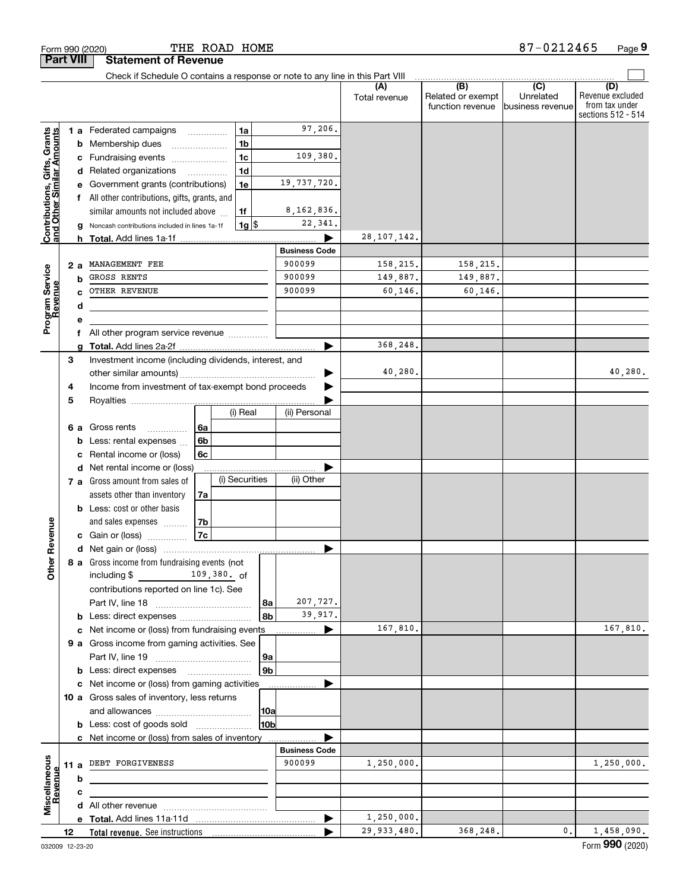|                                                           | <b>Part VIII</b> |         | <b>Statement of Revenue</b>                                                   |          |                |                |                       |                      |                                              |                                                 |                                                                 |
|-----------------------------------------------------------|------------------|---------|-------------------------------------------------------------------------------|----------|----------------|----------------|-----------------------|----------------------|----------------------------------------------|-------------------------------------------------|-----------------------------------------------------------------|
|                                                           |                  |         | Check if Schedule O contains a response or note to any line in this Part VIII |          |                |                |                       |                      |                                              |                                                 |                                                                 |
|                                                           |                  |         |                                                                               |          |                |                |                       | (A)<br>Total revenue | (B)<br>Related or exempt<br>function revenue | $\overline{C}$<br>Unrelated<br>business revenue | (D)<br>Revenue excluded<br>from tax under<br>sections 512 - 514 |
|                                                           |                  |         | 1 a Federated campaigns                                                       |          | 1a             |                | 97,206.               |                      |                                              |                                                 |                                                                 |
|                                                           |                  | b       | Membership dues                                                               |          | 1 <sub>b</sub> |                |                       |                      |                                              |                                                 |                                                                 |
|                                                           |                  | с       | Fundraising events                                                            |          | 1 <sub>c</sub> |                | 109,380.              |                      |                                              |                                                 |                                                                 |
| Contributions, Gifts, Grants<br>and Other Similar Amounts |                  |         | d Related organizations                                                       | .        | 1 <sub>d</sub> |                |                       |                      |                                              |                                                 |                                                                 |
|                                                           |                  |         | Government grants (contributions)                                             |          | 1e             |                | 19,737,720.           |                      |                                              |                                                 |                                                                 |
|                                                           |                  |         | All other contributions, gifts, grants, and                                   |          |                |                |                       |                      |                                              |                                                 |                                                                 |
|                                                           |                  |         | similar amounts not included above                                            |          | 1f             |                | 8, 162, 836.          |                      |                                              |                                                 |                                                                 |
|                                                           |                  |         | Noncash contributions included in lines 1a-1f                                 |          | $1g$ \$        |                | 22,341.               |                      |                                              |                                                 |                                                                 |
|                                                           |                  | h.      |                                                                               |          |                |                |                       | 28, 107, 142.        |                                              |                                                 |                                                                 |
|                                                           |                  |         |                                                                               |          |                |                | <b>Business Code</b>  |                      |                                              |                                                 |                                                                 |
|                                                           |                  | 2 a     | MANAGEMENT FEE                                                                |          |                |                | 900099                | 158,215.             | 158,215.                                     |                                                 |                                                                 |
|                                                           |                  | b       | GROSS RENTS                                                                   |          |                |                | 900099                | 149,887.             | 149,887.                                     |                                                 |                                                                 |
|                                                           |                  |         | OTHER REVENUE                                                                 |          |                |                | 900099                | 60, 146.             | 60,146.                                      |                                                 |                                                                 |
|                                                           |                  | d       |                                                                               |          |                |                |                       |                      |                                              |                                                 |                                                                 |
| Program Service<br>Revenue                                |                  |         |                                                                               |          |                |                |                       |                      |                                              |                                                 |                                                                 |
|                                                           |                  | f       | All other program service revenue                                             |          |                |                |                       |                      |                                              |                                                 |                                                                 |
|                                                           |                  |         |                                                                               |          |                |                |                       | 368,248.             |                                              |                                                 |                                                                 |
|                                                           | 3                |         | Investment income (including dividends, interest, and                         |          |                |                |                       |                      |                                              |                                                 |                                                                 |
|                                                           |                  |         |                                                                               |          |                |                |                       | 40,280.              |                                              |                                                 | 40,280.                                                         |
|                                                           | 4                |         | Income from investment of tax-exempt bond proceeds                            |          |                |                |                       |                      |                                              |                                                 |                                                                 |
|                                                           | 5                |         |                                                                               |          | (i) Real       |                | (ii) Personal         |                      |                                              |                                                 |                                                                 |
|                                                           |                  |         |                                                                               |          |                |                |                       |                      |                                              |                                                 |                                                                 |
|                                                           |                  | 6а<br>b | Gross rents<br>.<br>Less: rental expenses                                     | 6a<br>6b |                |                |                       |                      |                                              |                                                 |                                                                 |
|                                                           |                  | с       | Rental income or (loss)                                                       | 6с       |                |                |                       |                      |                                              |                                                 |                                                                 |
|                                                           |                  |         | d Net rental income or (loss)                                                 |          |                |                |                       |                      |                                              |                                                 |                                                                 |
|                                                           |                  |         | 7 a Gross amount from sales of                                                |          | (i) Securities |                | (ii) Other            |                      |                                              |                                                 |                                                                 |
|                                                           |                  |         | assets other than inventory                                                   | 7a       |                |                |                       |                      |                                              |                                                 |                                                                 |
|                                                           |                  |         | <b>b</b> Less: cost or other basis                                            |          |                |                |                       |                      |                                              |                                                 |                                                                 |
|                                                           |                  |         | and sales expenses                                                            | 7b       |                |                |                       |                      |                                              |                                                 |                                                                 |
| Revenue                                                   |                  |         | c Gain or (loss)                                                              | 7c       |                |                |                       |                      |                                              |                                                 |                                                                 |
|                                                           |                  |         |                                                                               |          |                |                |                       |                      |                                              |                                                 |                                                                 |
|                                                           |                  |         | 8 a Gross income from fundraising events (not                                 |          |                |                |                       |                      |                                              |                                                 |                                                                 |
| Othe                                                      |                  |         | $\frac{109,380}{\pi}$ 109,380. of<br>including $$$                            |          |                |                |                       |                      |                                              |                                                 |                                                                 |
|                                                           |                  |         | contributions reported on line 1c). See                                       |          |                |                |                       |                      |                                              |                                                 |                                                                 |
|                                                           |                  |         |                                                                               |          |                | 8a             | 207,727.              |                      |                                              |                                                 |                                                                 |
|                                                           |                  |         | <b>b</b> Less: direct expenses                                                |          |                | 8b             | 39,917.               |                      |                                              |                                                 |                                                                 |
|                                                           |                  |         | c Net income or (loss) from fundraising events                                |          |                |                | $\blacktriangleright$ | 167,810.             |                                              |                                                 | 167,810.                                                        |
|                                                           |                  |         | 9 a Gross income from gaming activities. See                                  |          |                |                |                       |                      |                                              |                                                 |                                                                 |
|                                                           |                  |         |                                                                               |          |                | 9a             |                       |                      |                                              |                                                 |                                                                 |
|                                                           |                  |         |                                                                               |          |                | 9 <sub>b</sub> |                       |                      |                                              |                                                 |                                                                 |
|                                                           |                  |         | c Net income or (loss) from gaming activities                                 |          |                |                |                       |                      |                                              |                                                 |                                                                 |
|                                                           |                  |         | 10 a Gross sales of inventory, less returns                                   |          |                |                |                       |                      |                                              |                                                 |                                                                 |
|                                                           |                  |         |                                                                               |          |                | 10a            |                       |                      |                                              |                                                 |                                                                 |
|                                                           |                  |         | <b>b</b> Less: cost of goods sold                                             |          |                | 10b            |                       |                      |                                              |                                                 |                                                                 |
|                                                           |                  |         | c Net income or (loss) from sales of inventory                                |          |                |                |                       |                      |                                              |                                                 |                                                                 |
|                                                           |                  |         |                                                                               |          |                |                | <b>Business Code</b>  |                      |                                              |                                                 |                                                                 |
|                                                           |                  |         | 11 a DEBT FORGIVENESS                                                         |          |                |                | 900099                | 1,250,000.           |                                              |                                                 | 1,250,000.                                                      |
| Revenue                                                   |                  | b       |                                                                               |          |                |                |                       |                      |                                              |                                                 |                                                                 |
| Miscellaneous                                             |                  | с       |                                                                               |          |                |                |                       |                      |                                              |                                                 |                                                                 |
|                                                           |                  |         |                                                                               |          |                |                |                       | 1,250,000.           |                                              |                                                 |                                                                 |
|                                                           |                  |         |                                                                               |          |                |                |                       | 29,933,480.          | 368,248.                                     | 0.                                              | 1,458,090.                                                      |
|                                                           | 12               |         |                                                                               |          |                |                |                       |                      |                                              |                                                 |                                                                 |

Form 990 (2020) **THE ROAD HOME** 8 7-0 2 1 2 4 6 5 Page

**9**

87-0212465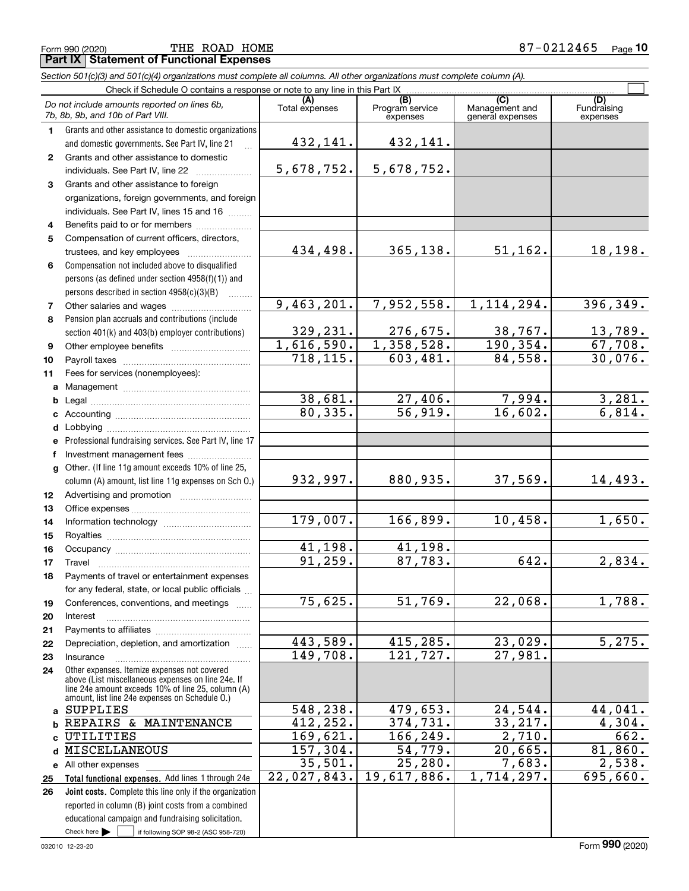Form 990 (2020) Page **Part IX Statement of Functional Expenses** THE ROAD HOME 87-0212465

|                 | Section 501(c)(3) and 501(c)(4) organizations must complete all columns. All other organizations must complete column (A).                                 |                       |                                    |                                           |                                |
|-----------------|------------------------------------------------------------------------------------------------------------------------------------------------------------|-----------------------|------------------------------------|-------------------------------------------|--------------------------------|
|                 | Check if Schedule O contains a response or note to any line in this Part IX                                                                                |                       |                                    |                                           |                                |
|                 | Do not include amounts reported on lines 6b,<br>7b, 8b, 9b, and 10b of Part VIII.                                                                          | (A)<br>Total expenses | (B)<br>Program service<br>expenses | (C)<br>Management and<br>general expenses | (D)<br>Fundraising<br>expenses |
| 1.              | Grants and other assistance to domestic organizations                                                                                                      |                       |                                    |                                           |                                |
|                 | and domestic governments. See Part IV, line 21                                                                                                             | 432,141.              | 432,141.                           |                                           |                                |
| $\mathbf{2}$    | Grants and other assistance to domestic                                                                                                                    |                       |                                    |                                           |                                |
|                 | individuals. See Part IV, line 22                                                                                                                          | 5,678,752.            | 5,678,752.                         |                                           |                                |
| 3               | Grants and other assistance to foreign                                                                                                                     |                       |                                    |                                           |                                |
|                 | organizations, foreign governments, and foreign                                                                                                            |                       |                                    |                                           |                                |
|                 | individuals. See Part IV, lines 15 and 16                                                                                                                  |                       |                                    |                                           |                                |
| 4               | Benefits paid to or for members                                                                                                                            |                       |                                    |                                           |                                |
| 5               | Compensation of current officers, directors,                                                                                                               |                       |                                    |                                           |                                |
|                 | trustees, and key employees                                                                                                                                | 434,498.              | 365, 138.                          | 51,162.                                   | 18,198.                        |
| 6               | Compensation not included above to disqualified                                                                                                            |                       |                                    |                                           |                                |
|                 | persons (as defined under section 4958(f)(1)) and                                                                                                          |                       |                                    |                                           |                                |
|                 | persons described in section 4958(c)(3)(B)                                                                                                                 |                       |                                    |                                           |                                |
| $\overline{7}$  |                                                                                                                                                            | 9,463,201.            | 7,952,558.                         | 1, 114, 294.                              | 396, 349.                      |
| 8               | Pension plan accruals and contributions (include                                                                                                           |                       |                                    |                                           |                                |
|                 | section 401(k) and 403(b) employer contributions)                                                                                                          | 329,231.              | 276,675.                           | 38,767.                                   | <u>13,789.</u>                 |
| 9               |                                                                                                                                                            | 1,616,590.            | 1,358,528.                         | 190, 354.                                 | 67,708.                        |
| 10              |                                                                                                                                                            | 718, 115.             | 603,481.                           | 84,558.                                   | 30,076.                        |
| 11              | Fees for services (nonemployees):                                                                                                                          |                       |                                    |                                           |                                |
| a               |                                                                                                                                                            |                       |                                    |                                           |                                |
| b               |                                                                                                                                                            | 38,681.               | 27,406.                            | 7,994.                                    | $\frac{3,281}{6,814}$          |
| c               |                                                                                                                                                            | 80, 335.              | $\overline{56,919}$ .              | 16,602.                                   |                                |
| d               |                                                                                                                                                            |                       |                                    |                                           |                                |
| е               | Professional fundraising services. See Part IV, line 17                                                                                                    |                       |                                    |                                           |                                |
| f               | Investment management fees                                                                                                                                 |                       |                                    |                                           |                                |
| g               | Other. (If line 11g amount exceeds 10% of line 25,                                                                                                         |                       |                                    |                                           |                                |
|                 | column (A) amount, list line 11g expenses on Sch O.)                                                                                                       | 932,997.              | 880, 935.                          | 37,569.                                   | 14,493.                        |
| 12 <sub>2</sub> |                                                                                                                                                            |                       |                                    |                                           |                                |
| 13              |                                                                                                                                                            | 179,007.              |                                    | 10,458.                                   | 1,650.                         |
| 14              |                                                                                                                                                            |                       | 166,899.                           |                                           |                                |
| 15              |                                                                                                                                                            | 41,198.               | 41,198.                            |                                           |                                |
| 16              |                                                                                                                                                            | 91, 259.              | 87,783.                            | 642.                                      | 2,834.                         |
| 17              |                                                                                                                                                            |                       |                                    |                                           |                                |
| 18              | Payments of travel or entertainment expenses                                                                                                               |                       |                                    |                                           |                                |
|                 | for any federal, state, or local public officials                                                                                                          | 75,625.               | 51,769.                            | 22,068.                                   | 1,788.                         |
| 19              | Conferences, conventions, and meetings                                                                                                                     |                       |                                    |                                           |                                |
| 20              | Interest                                                                                                                                                   |                       |                                    |                                           |                                |
| 21<br>22        | Depreciation, depletion, and amortization                                                                                                                  | 443,589.              | 415,285.                           | 23,029.                                   | 5,275.                         |
| 23              | Insurance                                                                                                                                                  | 149,708.              | 121,727.                           | 27,981.                                   |                                |
| 24              | Other expenses. Itemize expenses not covered                                                                                                               |                       |                                    |                                           |                                |
|                 | above (List miscellaneous expenses on line 24e. If<br>line 24e amount exceeds 10% of line 25, column (A)<br>amount, list line 24e expenses on Schedule O.) |                       |                                    |                                           |                                |
| a               | SUPPLIES                                                                                                                                                   | 548,238.              | 479,653.                           | 24,544.                                   | 44,041.                        |
| b               | REPAIRS & MAINTENANCE                                                                                                                                      | 412,252.              | 374,731.                           | 33,217.                                   | 4,304.                         |
| C               | UTILITIES                                                                                                                                                  | 169,621.              | 166,249.                           | 2,710.                                    | 662.                           |
| d               | MISCELLANEOUS                                                                                                                                              | 157,304.              | 54,779.                            | 20,665.                                   | 81,860.                        |
|                 | e All other expenses                                                                                                                                       | 35,501.               | 25, 280.                           | 7,683.                                    | 2,538.                         |
| 25              | Total functional expenses. Add lines 1 through 24e                                                                                                         | 22,027,843.           | 19,617,886.                        | 1,714,297.                                | 695,660.                       |
| 26              | Joint costs. Complete this line only if the organization                                                                                                   |                       |                                    |                                           |                                |
|                 | reported in column (B) joint costs from a combined                                                                                                         |                       |                                    |                                           |                                |
|                 | educational campaign and fundraising solicitation.                                                                                                         |                       |                                    |                                           |                                |

Check here  $\blacktriangleright$ 

Check here  $\begin{array}{|c|c|c|c|c|}\hline \text{ } & \text{ if following SOP 98-2 (ASC 958-720)} \hline \end{array}$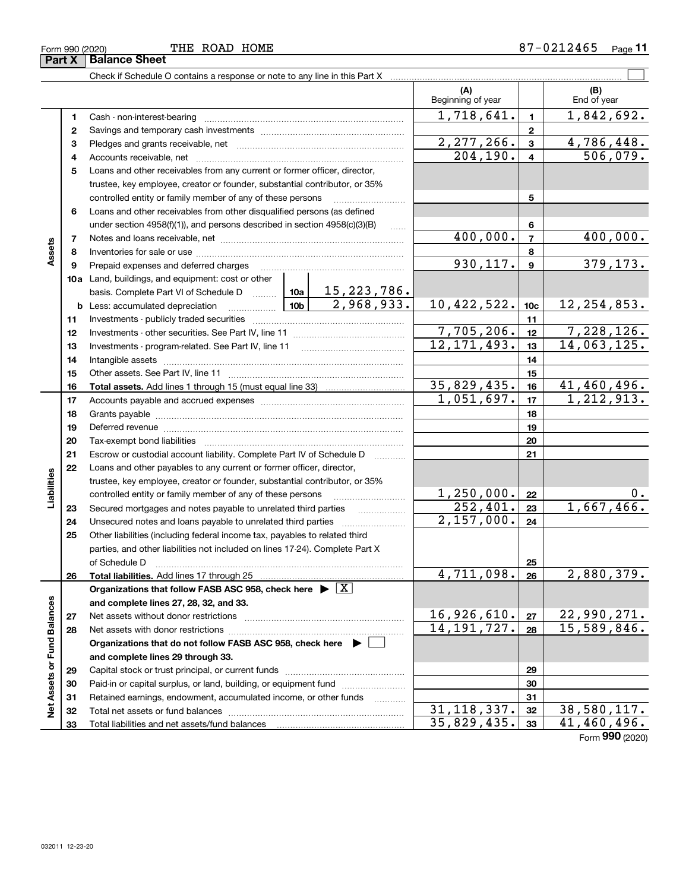| Form 990 (2020) | THE | ROAD | HOME | л | Page<br>$\cdot$ |
|-----------------|-----|------|------|---|-----------------|
| $\sim$<br>.     |     |      |      |   |                 |

|                             |    | Check if Schedule O contains a response or note to any line in this Part X                                                                                                                                                     |                                                                               |                |                           |                 |                    |
|-----------------------------|----|--------------------------------------------------------------------------------------------------------------------------------------------------------------------------------------------------------------------------------|-------------------------------------------------------------------------------|----------------|---------------------------|-----------------|--------------------|
|                             |    |                                                                                                                                                                                                                                |                                                                               |                | (A)<br>Beginning of year  |                 | (B)<br>End of year |
|                             | 1. |                                                                                                                                                                                                                                |                                                                               |                | 1,718,641.                | $\mathbf{1}$    | 1,842,692.         |
|                             | 2  |                                                                                                                                                                                                                                |                                                                               | $\overline{2}$ |                           |                 |                    |
|                             | з  |                                                                                                                                                                                                                                | 2,277,266.                                                                    | 3              | 4,786,448.                |                 |                    |
|                             | 4  |                                                                                                                                                                                                                                |                                                                               |                | 204, 190.                 | $\overline{4}$  | 506,079.           |
|                             | 5  | Loans and other receivables from any current or former officer, director,                                                                                                                                                      |                                                                               |                |                           |                 |                    |
|                             |    | trustee, key employee, creator or founder, substantial contributor, or 35%                                                                                                                                                     |                                                                               |                |                           |                 |                    |
|                             |    | controlled entity or family member of any of these persons                                                                                                                                                                     |                                                                               |                |                           | 5               |                    |
|                             | 6  | Loans and other receivables from other disqualified persons (as defined                                                                                                                                                        |                                                                               |                |                           |                 |                    |
|                             |    |                                                                                                                                                                                                                                | under section $4958(f)(1)$ , and persons described in section $4958(c)(3)(B)$ |                |                           |                 |                    |
|                             | 7  |                                                                                                                                                                                                                                |                                                                               |                | 400,000.                  | $\overline{7}$  | 400,000.           |
| Assets                      | 8  |                                                                                                                                                                                                                                |                                                                               |                |                           | 8               |                    |
|                             | 9  | Prepaid expenses and deferred charges                                                                                                                                                                                          |                                                                               |                | 930, 117.                 | $\mathbf{9}$    | 379, 173.          |
|                             |    | <b>10a</b> Land, buildings, and equipment: cost or other                                                                                                                                                                       |                                                                               |                |                           |                 |                    |
|                             |    | basis. Complete Part VI of Schedule D  10a                                                                                                                                                                                     |                                                                               | $15,223,786$ . |                           |                 |                    |
|                             |    | <b>b</b> Less: accumulated depreciation                                                                                                                                                                                        | 10 <sub>b</sub>                                                               | 2,968,933.     | 10,422,522.               | 10 <sub>c</sub> | 12, 254, 853.      |
|                             | 11 |                                                                                                                                                                                                                                |                                                                               | 11             |                           |                 |                    |
|                             | 12 |                                                                                                                                                                                                                                | 7,705,206.                                                                    | 12             | 7,228,126.                |                 |                    |
|                             | 13 |                                                                                                                                                                                                                                | 12, 171, 493.                                                                 | 13             | 14,063,125.               |                 |                    |
|                             | 14 |                                                                                                                                                                                                                                |                                                                               | 14             |                           |                 |                    |
|                             | 15 |                                                                                                                                                                                                                                |                                                                               | 15             |                           |                 |                    |
|                             | 16 |                                                                                                                                                                                                                                |                                                                               | 35,829,435.    | 16                        | 41,460,496.     |                    |
|                             | 17 |                                                                                                                                                                                                                                | 1,051,697.                                                                    | 17             | 1, 212, 913.              |                 |                    |
|                             | 18 |                                                                                                                                                                                                                                |                                                                               | 18             |                           |                 |                    |
|                             | 19 | Deferred revenue manual contracts and contracts are contracted and contract and contract are contracted and contract are contracted and contract are contracted and contract are contracted and contract are contracted and co |                                                                               |                | 19                        |                 |                    |
|                             | 20 |                                                                                                                                                                                                                                |                                                                               |                |                           | 20              |                    |
|                             | 21 | Escrow or custodial account liability. Complete Part IV of Schedule D                                                                                                                                                          |                                                                               |                |                           | 21              |                    |
|                             | 22 | Loans and other payables to any current or former officer, director,                                                                                                                                                           |                                                                               |                |                           |                 |                    |
| Liabilities                 |    | trustee, key employee, creator or founder, substantial contributor, or 35%                                                                                                                                                     |                                                                               |                |                           |                 |                    |
|                             |    | controlled entity or family member of any of these persons                                                                                                                                                                     |                                                                               |                | 1, 250, 000.              | 22              | Ο.                 |
|                             | 23 | Secured mortgages and notes payable to unrelated third parties                                                                                                                                                                 |                                                                               |                | 252,401.                  | 23              | 1,667,466.         |
|                             | 24 |                                                                                                                                                                                                                                |                                                                               |                | 2,157,000.                | 24              |                    |
|                             | 25 | Other liabilities (including federal income tax, payables to related third                                                                                                                                                     |                                                                               |                |                           |                 |                    |
|                             |    | parties, and other liabilities not included on lines 17-24). Complete Part X                                                                                                                                                   |                                                                               |                |                           |                 |                    |
|                             |    | of Schedule D                                                                                                                                                                                                                  |                                                                               |                |                           | 25              |                    |
|                             | 26 |                                                                                                                                                                                                                                |                                                                               |                | 4,711,098.                | 26              | 2,880,379.         |
|                             |    | Organizations that follow FASB ASC 958, check here $\blacktriangleright \boxed{X}$                                                                                                                                             |                                                                               |                |                           |                 |                    |
|                             |    | and complete lines 27, 28, 32, and 33.                                                                                                                                                                                         |                                                                               |                |                           |                 |                    |
|                             | 27 |                                                                                                                                                                                                                                | 16,926,610.                                                                   | 27             | 22,990,271.               |                 |                    |
|                             | 28 |                                                                                                                                                                                                                                | 14, 191, 727.                                                                 | 28             | 15,589,846.               |                 |                    |
|                             |    | Organizations that do not follow FASB ASC 958, check here $\blacktriangleright$                                                                                                                                                |                                                                               |                |                           |                 |                    |
| Net Assets or Fund Balances |    | and complete lines 29 through 33.                                                                                                                                                                                              |                                                                               |                |                           |                 |                    |
|                             | 29 |                                                                                                                                                                                                                                |                                                                               |                |                           | 29              |                    |
|                             | 30 | Paid-in or capital surplus, or land, building, or equipment fund                                                                                                                                                               |                                                                               |                |                           | 30              |                    |
|                             | 31 | Retained earnings, endowment, accumulated income, or other funds                                                                                                                                                               |                                                                               |                |                           | 31              |                    |
|                             | 32 |                                                                                                                                                                                                                                |                                                                               |                | $\overline{31,118,337}$ . | 32              | 38,580,117.        |
|                             | 33 |                                                                                                                                                                                                                                |                                                                               |                | 35,829,435.               | 33              | 41,460,496.        |

Form (2020) **990**

**Part X Balance Sheet**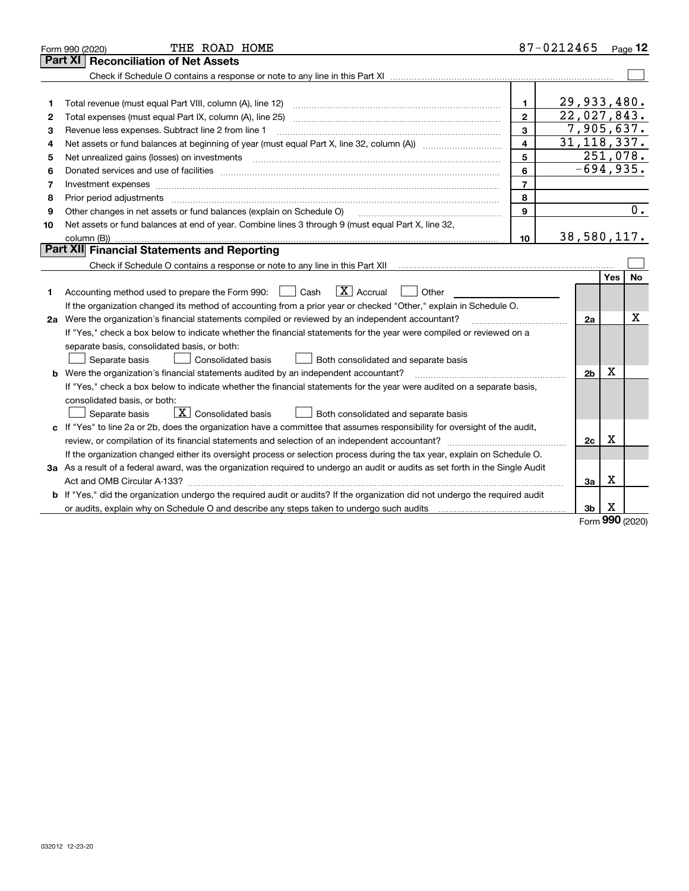|    | THE ROAD HOME<br>Form 990 (2020)                                                                                                |                          | 87-0212465     |        | Page 12   |
|----|---------------------------------------------------------------------------------------------------------------------------------|--------------------------|----------------|--------|-----------|
|    | Part XI<br><b>Reconciliation of Net Assets</b>                                                                                  |                          |                |        |           |
|    |                                                                                                                                 |                          |                |        |           |
|    |                                                                                                                                 |                          |                |        |           |
| 1  |                                                                                                                                 | $\mathbf{1}$             | 29,933,480.    |        |           |
| 2  |                                                                                                                                 | $\overline{2}$           | 22,027,843.    |        |           |
| З  | Revenue less expenses. Subtract line 2 from line 1                                                                              | 3                        | 7,905,637.     |        |           |
| 4  |                                                                                                                                 | $\overline{\mathbf{A}}$  | 31, 118, 337.  |        |           |
| 5  |                                                                                                                                 | 5                        | 251,078.       |        |           |
| 6  |                                                                                                                                 | 6                        | $-694,935.$    |        |           |
| 7  | Investment expenses www.communication.com/www.communication.com/www.communication.com/www.com                                   | $\overline{\phantom{a}}$ |                |        |           |
| 8  | Prior period adjustments                                                                                                        | 8                        |                |        |           |
| 9  | Other changes in net assets or fund balances (explain on Schedule O)                                                            | 9                        |                |        | 0.        |
| 10 | Net assets or fund balances at end of year. Combine lines 3 through 9 (must equal Part X, line 32,                              |                          |                |        |           |
|    |                                                                                                                                 | 10                       | 38,580,117.    |        |           |
|    | Part XII Financial Statements and Reporting                                                                                     |                          |                |        |           |
|    |                                                                                                                                 |                          |                |        |           |
|    |                                                                                                                                 |                          |                | Yes    | <b>No</b> |
| 1  | $\boxed{\mathbf{X}}$ Accrual<br>Accounting method used to prepare the Form 990: <u>[</u> Cash<br>Other                          |                          |                |        |           |
|    | If the organization changed its method of accounting from a prior year or checked "Other," explain in Schedule O.               |                          |                |        |           |
|    | 2a Were the organization's financial statements compiled or reviewed by an independent accountant?                              |                          | 2a             |        | x         |
|    | If "Yes," check a box below to indicate whether the financial statements for the year were compiled or reviewed on a            |                          |                |        |           |
|    | separate basis, consolidated basis, or both:                                                                                    |                          |                |        |           |
|    | Separate basis<br>Consolidated basis<br>Both consolidated and separate basis                                                    |                          |                |        |           |
| b  | Were the organization's financial statements audited by an independent accountant?                                              |                          | 2 <sub>b</sub> | х      |           |
|    | If "Yes," check a box below to indicate whether the financial statements for the year were audited on a separate basis,         |                          |                |        |           |
|    | consolidated basis, or both:                                                                                                    |                          |                |        |           |
|    | $\boxed{\textbf{X}}$ Consolidated basis<br>Separate basis<br>Both consolidated and separate basis                               |                          |                |        |           |
| c  | If "Yes" to line 2a or 2b, does the organization have a committee that assumes responsibility for oversight of the audit,       |                          |                |        |           |
|    | review, or compilation of its financial statements and selection of an independent accountant?                                  |                          | 2с             | х      |           |
|    | If the organization changed either its oversight process or selection process during the tax year, explain on Schedule O.       |                          |                |        |           |
|    | 3a As a result of a federal award, was the organization required to undergo an audit or audits as set forth in the Single Audit |                          |                |        |           |
|    |                                                                                                                                 |                          | За             | х      |           |
|    | If "Yes," did the organization undergo the required audit or audits? If the organization did not undergo the required audit     |                          |                |        |           |
|    |                                                                                                                                 |                          | 3b             | х<br>š |           |

Form (2020) **990**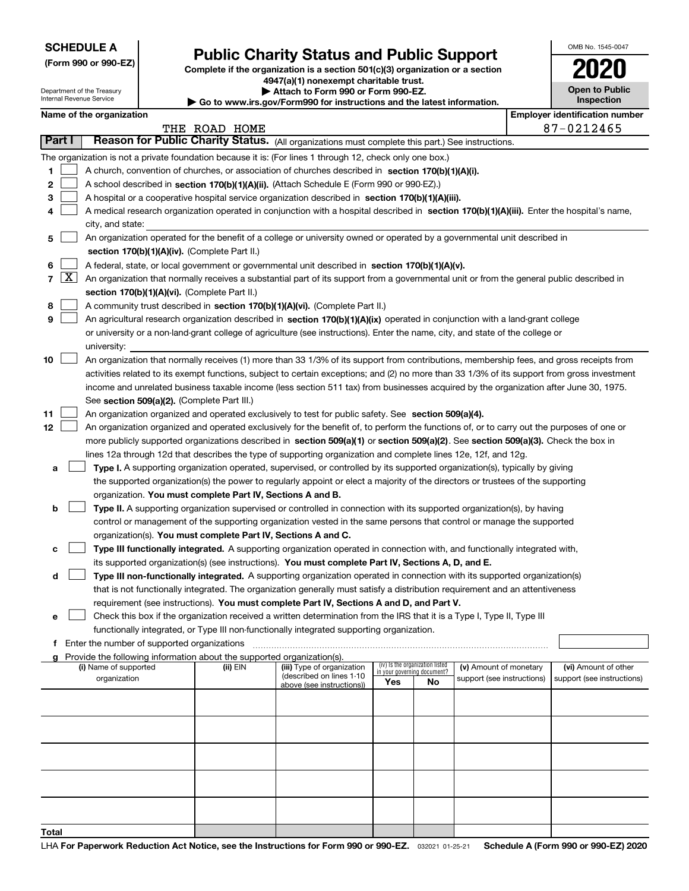Department of the Treasury

**(Form 990 or 990-EZ)**

# **Public Charity Status and Public Support**

**Complete if the organization is a section 501(c)(3) organization or a section 4947(a)(1) nonexempt charitable trust.**

|  | Attach to Form 990 or Form 990-EZ.                          |  |
|--|-------------------------------------------------------------|--|
|  | u iyo waxdFayya000 fay iyahu satigan gu diba lahaat iyfayya |  |

| OMB No. 1545-0047                   |
|-------------------------------------|
| 1020                                |
| <b>Open to Public</b><br>Inspection |
|                                     |

|                |                     | Internal Revenue Service                                                                                                                      |                                               |                                                                        | $\triangleright$ Go to www.irs.gov/Form990 for instructions and the latest information.                                                      |                             |                                 |                            |  | <b>Inspection</b>                     |  |
|----------------|---------------------|-----------------------------------------------------------------------------------------------------------------------------------------------|-----------------------------------------------|------------------------------------------------------------------------|----------------------------------------------------------------------------------------------------------------------------------------------|-----------------------------|---------------------------------|----------------------------|--|---------------------------------------|--|
|                |                     | Name of the organization                                                                                                                      |                                               |                                                                        |                                                                                                                                              |                             |                                 |                            |  | <b>Employer identification number</b> |  |
|                |                     |                                                                                                                                               |                                               | THE ROAD HOME                                                          |                                                                                                                                              |                             |                                 |                            |  | 87-0212465                            |  |
|                | Part I              |                                                                                                                                               |                                               |                                                                        | Reason for Public Charity Status. (All organizations must complete this part.) See instructions.                                             |                             |                                 |                            |  |                                       |  |
|                |                     |                                                                                                                                               |                                               |                                                                        | The organization is not a private foundation because it is: (For lines 1 through 12, check only one box.)                                    |                             |                                 |                            |  |                                       |  |
| 1.             |                     |                                                                                                                                               |                                               |                                                                        | A church, convention of churches, or association of churches described in section 170(b)(1)(A)(i).                                           |                             |                                 |                            |  |                                       |  |
| 2              |                     |                                                                                                                                               |                                               |                                                                        | A school described in section 170(b)(1)(A)(ii). (Attach Schedule E (Form 990 or 990-EZ).)                                                    |                             |                                 |                            |  |                                       |  |
| 3              |                     |                                                                                                                                               |                                               |                                                                        | A hospital or a cooperative hospital service organization described in section 170(b)(1)(A)(iii).                                            |                             |                                 |                            |  |                                       |  |
| 4              |                     |                                                                                                                                               |                                               |                                                                        | A medical research organization operated in conjunction with a hospital described in section 170(b)(1)(A)(iii). Enter the hospital's name,   |                             |                                 |                            |  |                                       |  |
| 5.             |                     | city, and state:<br>An organization operated for the benefit of a college or university owned or operated by a governmental unit described in |                                               |                                                                        |                                                                                                                                              |                             |                                 |                            |  |                                       |  |
|                |                     |                                                                                                                                               |                                               | section 170(b)(1)(A)(iv). (Complete Part II.)                          |                                                                                                                                              |                             |                                 |                            |  |                                       |  |
| 6              |                     |                                                                                                                                               |                                               |                                                                        | A federal, state, or local government or governmental unit described in section 170(b)(1)(A)(v).                                             |                             |                                 |                            |  |                                       |  |
| $\overline{7}$ | $\lfloor x \rfloor$ |                                                                                                                                               |                                               |                                                                        | An organization that normally receives a substantial part of its support from a governmental unit or from the general public described in    |                             |                                 |                            |  |                                       |  |
|                |                     |                                                                                                                                               |                                               | section 170(b)(1)(A)(vi). (Complete Part II.)                          |                                                                                                                                              |                             |                                 |                            |  |                                       |  |
| 8              |                     |                                                                                                                                               |                                               |                                                                        | A community trust described in section 170(b)(1)(A)(vi). (Complete Part II.)                                                                 |                             |                                 |                            |  |                                       |  |
| 9              |                     |                                                                                                                                               |                                               |                                                                        | An agricultural research organization described in section 170(b)(1)(A)(ix) operated in conjunction with a land-grant college                |                             |                                 |                            |  |                                       |  |
|                |                     |                                                                                                                                               |                                               |                                                                        | or university or a non-land-grant college of agriculture (see instructions). Enter the name, city, and state of the college or               |                             |                                 |                            |  |                                       |  |
|                |                     | university:                                                                                                                                   |                                               |                                                                        |                                                                                                                                              |                             |                                 |                            |  |                                       |  |
| 10             |                     |                                                                                                                                               |                                               |                                                                        | An organization that normally receives (1) more than 33 1/3% of its support from contributions, membership fees, and gross receipts from     |                             |                                 |                            |  |                                       |  |
|                |                     |                                                                                                                                               |                                               |                                                                        | activities related to its exempt functions, subject to certain exceptions; and (2) no more than 33 1/3% of its support from gross investment |                             |                                 |                            |  |                                       |  |
|                |                     |                                                                                                                                               |                                               |                                                                        | income and unrelated business taxable income (less section 511 tax) from businesses acquired by the organization after June 30, 1975.        |                             |                                 |                            |  |                                       |  |
|                |                     |                                                                                                                                               |                                               | See section 509(a)(2). (Complete Part III.)                            |                                                                                                                                              |                             |                                 |                            |  |                                       |  |
| 11             |                     |                                                                                                                                               |                                               |                                                                        | An organization organized and operated exclusively to test for public safety. See section 509(a)(4).                                         |                             |                                 |                            |  |                                       |  |
| 12             |                     |                                                                                                                                               |                                               |                                                                        | An organization organized and operated exclusively for the benefit of, to perform the functions of, or to carry out the purposes of one or   |                             |                                 |                            |  |                                       |  |
|                |                     |                                                                                                                                               |                                               |                                                                        | more publicly supported organizations described in section 509(a)(1) or section 509(a)(2). See section 509(a)(3). Check the box in           |                             |                                 |                            |  |                                       |  |
|                |                     |                                                                                                                                               |                                               |                                                                        | lines 12a through 12d that describes the type of supporting organization and complete lines 12e, 12f, and 12g.                               |                             |                                 |                            |  |                                       |  |
| а              |                     |                                                                                                                                               |                                               |                                                                        | Type I. A supporting organization operated, supervised, or controlled by its supported organization(s), typically by giving                  |                             |                                 |                            |  |                                       |  |
|                |                     |                                                                                                                                               |                                               |                                                                        | the supported organization(s) the power to regularly appoint or elect a majority of the directors or trustees of the supporting              |                             |                                 |                            |  |                                       |  |
|                |                     |                                                                                                                                               |                                               | organization. You must complete Part IV, Sections A and B.             |                                                                                                                                              |                             |                                 |                            |  |                                       |  |
| b              |                     |                                                                                                                                               |                                               |                                                                        | Type II. A supporting organization supervised or controlled in connection with its supported organization(s), by having                      |                             |                                 |                            |  |                                       |  |
|                |                     |                                                                                                                                               |                                               |                                                                        | control or management of the supporting organization vested in the same persons that control or manage the supported                         |                             |                                 |                            |  |                                       |  |
|                |                     |                                                                                                                                               |                                               | organization(s). You must complete Part IV, Sections A and C.          |                                                                                                                                              |                             |                                 |                            |  |                                       |  |
| с              |                     |                                                                                                                                               |                                               |                                                                        | Type III functionally integrated. A supporting organization operated in connection with, and functionally integrated with,                   |                             |                                 |                            |  |                                       |  |
|                |                     |                                                                                                                                               |                                               |                                                                        | its supported organization(s) (see instructions). You must complete Part IV, Sections A, D, and E.                                           |                             |                                 |                            |  |                                       |  |
| d              |                     |                                                                                                                                               |                                               |                                                                        | Type III non-functionally integrated. A supporting organization operated in connection with its supported organization(s)                    |                             |                                 |                            |  |                                       |  |
|                |                     |                                                                                                                                               |                                               |                                                                        | that is not functionally integrated. The organization generally must satisfy a distribution requirement and an attentiveness                 |                             |                                 |                            |  |                                       |  |
|                |                     |                                                                                                                                               |                                               |                                                                        | requirement (see instructions). You must complete Part IV, Sections A and D, and Part V.                                                     |                             |                                 |                            |  |                                       |  |
| е              |                     |                                                                                                                                               |                                               |                                                                        | Check this box if the organization received a written determination from the IRS that it is a Type I, Type II, Type III                      |                             |                                 |                            |  |                                       |  |
|                |                     |                                                                                                                                               |                                               |                                                                        | functionally integrated, or Type III non-functionally integrated supporting organization.                                                    |                             |                                 |                            |  |                                       |  |
|                |                     |                                                                                                                                               | f Enter the number of supported organizations |                                                                        |                                                                                                                                              |                             |                                 |                            |  |                                       |  |
|                |                     |                                                                                                                                               |                                               | Provide the following information about the supported organization(s). |                                                                                                                                              |                             |                                 |                            |  |                                       |  |
|                |                     | (i) Name of supported                                                                                                                         |                                               | (ii) EIN                                                               | (iii) Type of organization<br>(described on lines 1-10                                                                                       | in your governing document? | (iv) Is the organization listed | (v) Amount of monetary     |  | (vi) Amount of other                  |  |
|                |                     | organization                                                                                                                                  |                                               |                                                                        | above (see instructions))                                                                                                                    | Yes                         | No                              | support (see instructions) |  | support (see instructions)            |  |
|                |                     |                                                                                                                                               |                                               |                                                                        |                                                                                                                                              |                             |                                 |                            |  |                                       |  |
|                |                     |                                                                                                                                               |                                               |                                                                        |                                                                                                                                              |                             |                                 |                            |  |                                       |  |
|                |                     |                                                                                                                                               |                                               |                                                                        |                                                                                                                                              |                             |                                 |                            |  |                                       |  |
|                |                     |                                                                                                                                               |                                               |                                                                        |                                                                                                                                              |                             |                                 |                            |  |                                       |  |
|                |                     |                                                                                                                                               |                                               |                                                                        |                                                                                                                                              |                             |                                 |                            |  |                                       |  |
|                |                     |                                                                                                                                               |                                               |                                                                        |                                                                                                                                              |                             |                                 |                            |  |                                       |  |
|                |                     |                                                                                                                                               |                                               |                                                                        |                                                                                                                                              |                             |                                 |                            |  |                                       |  |
|                |                     |                                                                                                                                               |                                               |                                                                        |                                                                                                                                              |                             |                                 |                            |  |                                       |  |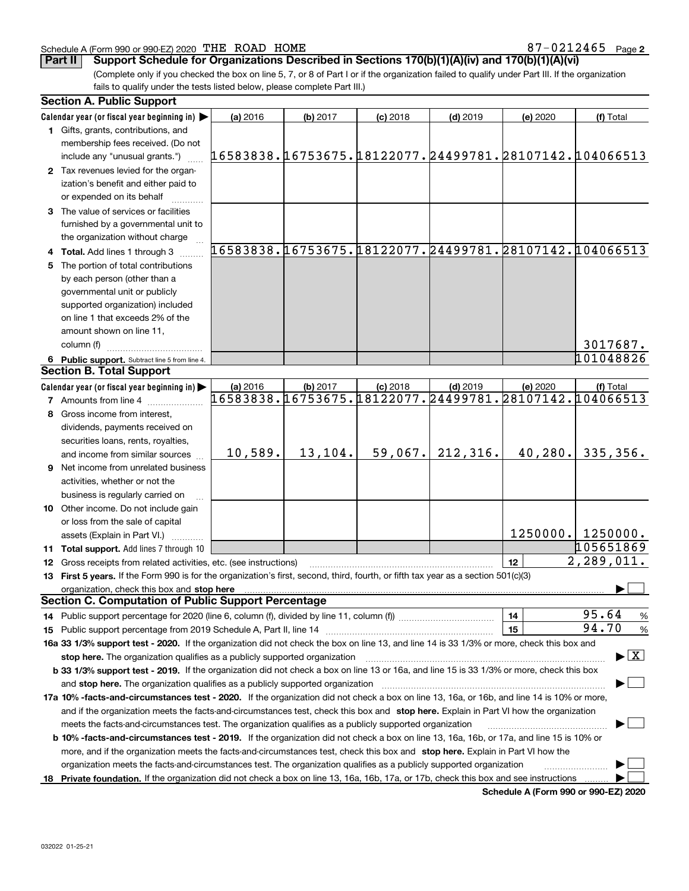### Schedule A (Form 990 or 990-EZ) 2020  $\,$  THE ROAD HOME  $37-0.212465$   $\,$  Page

**2**

**Part II Support Schedule for Organizations Described in Sections 170(b)(1)(A)(iv) and 170(b)(1)(A)(vi)**

(Complete only if you checked the box on line 5, 7, or 8 of Part I or if the organization failed to qualify under Part III. If the organization fails to qualify under the tests listed below, please complete Part III.)

| <b>Section A. Public Support</b>                                                                                                                                                                                                                          |                                                        |          |            |                                                        |          |                                          |  |
|-----------------------------------------------------------------------------------------------------------------------------------------------------------------------------------------------------------------------------------------------------------|--------------------------------------------------------|----------|------------|--------------------------------------------------------|----------|------------------------------------------|--|
| Calendar year (or fiscal year beginning in) $\blacktriangleright$                                                                                                                                                                                         | (a) 2016                                               | (b) 2017 | $(c)$ 2018 | $(d)$ 2019                                             | (e) 2020 | (f) Total                                |  |
| <b>1</b> Gifts, grants, contributions, and                                                                                                                                                                                                                |                                                        |          |            |                                                        |          |                                          |  |
| membership fees received. (Do not                                                                                                                                                                                                                         |                                                        |          |            |                                                        |          |                                          |  |
| include any "unusual grants.")                                                                                                                                                                                                                            | 16583838.16753675.18122077.24499781.28107142.104066513 |          |            |                                                        |          |                                          |  |
| 2 Tax revenues levied for the organ-                                                                                                                                                                                                                      |                                                        |          |            |                                                        |          |                                          |  |
| ization's benefit and either paid to                                                                                                                                                                                                                      |                                                        |          |            |                                                        |          |                                          |  |
| or expended on its behalf                                                                                                                                                                                                                                 |                                                        |          |            |                                                        |          |                                          |  |
| 3 The value of services or facilities                                                                                                                                                                                                                     |                                                        |          |            |                                                        |          |                                          |  |
| furnished by a governmental unit to                                                                                                                                                                                                                       |                                                        |          |            |                                                        |          |                                          |  |
| the organization without charge                                                                                                                                                                                                                           |                                                        |          |            |                                                        |          |                                          |  |
| 4 Total. Add lines 1 through 3                                                                                                                                                                                                                            | 16583838.16753675.18122077.24499781.28107142.104066513 |          |            |                                                        |          |                                          |  |
| 5 The portion of total contributions                                                                                                                                                                                                                      |                                                        |          |            |                                                        |          |                                          |  |
| by each person (other than a                                                                                                                                                                                                                              |                                                        |          |            |                                                        |          |                                          |  |
| governmental unit or publicly                                                                                                                                                                                                                             |                                                        |          |            |                                                        |          |                                          |  |
| supported organization) included                                                                                                                                                                                                                          |                                                        |          |            |                                                        |          |                                          |  |
| on line 1 that exceeds 2% of the                                                                                                                                                                                                                          |                                                        |          |            |                                                        |          |                                          |  |
| amount shown on line 11,                                                                                                                                                                                                                                  |                                                        |          |            |                                                        |          |                                          |  |
| column (f)                                                                                                                                                                                                                                                |                                                        |          |            |                                                        |          | 3017687.                                 |  |
| 6 Public support. Subtract line 5 from line 4.                                                                                                                                                                                                            |                                                        |          |            |                                                        |          | 101048826                                |  |
| <b>Section B. Total Support</b>                                                                                                                                                                                                                           |                                                        |          |            |                                                        |          |                                          |  |
| Calendar year (or fiscal year beginning in)                                                                                                                                                                                                               | (a) 2016                                               | (b) 2017 | $(c)$ 2018 | $(d)$ 2019                                             | (e) 2020 | (f) Total                                |  |
| <b>7</b> Amounts from line 4                                                                                                                                                                                                                              |                                                        |          |            | 16583838.16753675.18122077.24499781.28107142.104066513 |          |                                          |  |
| 8 Gross income from interest,                                                                                                                                                                                                                             |                                                        |          |            |                                                        |          |                                          |  |
| dividends, payments received on                                                                                                                                                                                                                           |                                                        |          |            |                                                        |          |                                          |  |
| securities loans, rents, royalties,                                                                                                                                                                                                                       |                                                        |          |            |                                                        |          |                                          |  |
| and income from similar sources                                                                                                                                                                                                                           | 10,589.                                                | 13,104.  | 59,067.    | 212, 316.                                              | 40,280.  | 335,356.                                 |  |
| 9 Net income from unrelated business                                                                                                                                                                                                                      |                                                        |          |            |                                                        |          |                                          |  |
| activities, whether or not the                                                                                                                                                                                                                            |                                                        |          |            |                                                        |          |                                          |  |
| business is regularly carried on                                                                                                                                                                                                                          |                                                        |          |            |                                                        |          |                                          |  |
| 10 Other income. Do not include gain                                                                                                                                                                                                                      |                                                        |          |            |                                                        |          |                                          |  |
| or loss from the sale of capital                                                                                                                                                                                                                          |                                                        |          |            |                                                        |          |                                          |  |
| assets (Explain in Part VI.)                                                                                                                                                                                                                              |                                                        |          |            |                                                        | 1250000. | 1250000.                                 |  |
| 11 Total support. Add lines 7 through 10                                                                                                                                                                                                                  |                                                        |          |            |                                                        |          | 105651869                                |  |
| <b>12</b> Gross receipts from related activities, etc. (see instructions)                                                                                                                                                                                 |                                                        |          |            |                                                        | 12       | 2,289,011.                               |  |
| 13 First 5 years. If the Form 990 is for the organization's first, second, third, fourth, or fifth tax year as a section 501(c)(3)                                                                                                                        |                                                        |          |            |                                                        |          |                                          |  |
| organization, check this box and stop here                                                                                                                                                                                                                |                                                        |          |            |                                                        |          |                                          |  |
| <b>Section C. Computation of Public Support Percentage</b>                                                                                                                                                                                                |                                                        |          |            |                                                        |          |                                          |  |
| 14 Public support percentage for 2020 (line 6, column (f), divided by line 11, column (f) <i>mummumumum</i>                                                                                                                                               |                                                        |          |            |                                                        | 14       | 95.64<br>%                               |  |
|                                                                                                                                                                                                                                                           |                                                        |          |            |                                                        | 15       | 94.70<br>%                               |  |
| 16a 33 1/3% support test - 2020. If the organization did not check the box on line 13, and line 14 is 33 1/3% or more, check this box and                                                                                                                 |                                                        |          |            |                                                        |          |                                          |  |
| stop here. The organization qualifies as a publicly supported organization                                                                                                                                                                                |                                                        |          |            |                                                        |          | $\blacktriangleright$ $\boxed{\text{X}}$ |  |
| b 33 1/3% support test - 2019. If the organization did not check a box on line 13 or 16a, and line 15 is 33 1/3% or more, check this box                                                                                                                  |                                                        |          |            |                                                        |          |                                          |  |
| and stop here. The organization qualifies as a publicly supported organization                                                                                                                                                                            |                                                        |          |            |                                                        |          |                                          |  |
| 17a 10% -facts-and-circumstances test - 2020. If the organization did not check a box on line 13, 16a, or 16b, and line 14 is 10% or more,                                                                                                                |                                                        |          |            |                                                        |          |                                          |  |
| and if the organization meets the facts-and-circumstances test, check this box and stop here. Explain in Part VI how the organization                                                                                                                     |                                                        |          |            |                                                        |          |                                          |  |
| meets the facts-and-circumstances test. The organization qualifies as a publicly supported organization<br><b>b 10% -facts-and-circumstances test - 2019.</b> If the organization did not check a box on line 13, 16a, 16b, or 17a, and line 15 is 10% or |                                                        |          |            |                                                        |          |                                          |  |
|                                                                                                                                                                                                                                                           |                                                        |          |            |                                                        |          |                                          |  |
| more, and if the organization meets the facts-and-circumstances test, check this box and stop here. Explain in Part VI how the                                                                                                                            |                                                        |          |            |                                                        |          |                                          |  |
| organization meets the facts-and-circumstances test. The organization qualifies as a publicly supported organization                                                                                                                                      |                                                        |          |            |                                                        |          |                                          |  |
| 18 Private foundation. If the organization did not check a box on line 13, 16a, 16b, 17a, or 17b, check this box and see instructions                                                                                                                     |                                                        |          |            |                                                        |          |                                          |  |

**Schedule A (Form 990 or 990-EZ) 2020**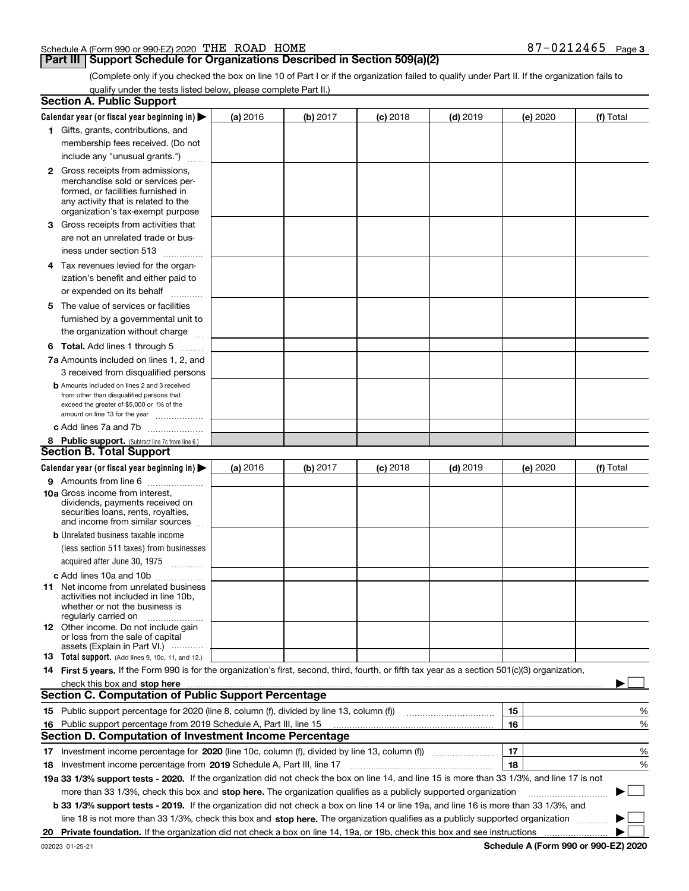| Schedule A (Form 990 or 990-EZ) 2020 $\hspace{0.1em} \text{THE}$ $\hspace{0.1em} \text{ROAD}$ |  | <b>HOME</b> | $-0212465$ | Page 3 |
|-----------------------------------------------------------------------------------------------|--|-------------|------------|--------|
|                                                                                               |  |             |            |        |

### **Part III Support Schedule for Organizations Described in Section 509(a)(2)**

(Complete only if you checked the box on line 10 of Part I or if the organization failed to qualify under Part II. If the organization fails to qualify under the tests listed below, please complete Part II.)

| Calendar year (or fiscal year beginning in) $\blacktriangleright$<br>(b) 2017<br>$(d)$ 2019<br>(a) 2016<br>$(c)$ 2018<br>(e) 2020<br>1 Gifts, grants, contributions, and<br>membership fees received. (Do not<br>include any "unusual grants.")<br><b>2</b> Gross receipts from admissions,<br>merchandise sold or services per-<br>formed, or facilities furnished in<br>any activity that is related to the<br>organization's tax-exempt purpose<br>3 Gross receipts from activities that<br>are not an unrelated trade or bus-<br>iness under section 513<br>4 Tax revenues levied for the organ-<br>ization's benefit and either paid to<br>or expended on its behalf<br>.<br>5 The value of services or facilities<br>furnished by a governmental unit to<br>the organization without charge<br><b>6 Total.</b> Add lines 1 through 5<br>7a Amounts included on lines 1, 2, and<br>3 received from disqualified persons<br><b>b</b> Amounts included on lines 2 and 3 received<br>from other than disqualified persons that<br>exceed the greater of \$5,000 or 1% of the<br>amount on line 13 for the year<br>c Add lines 7a and 7b<br>8 Public support. (Subtract line 7c from line 6.)<br>Calendar year (or fiscal year beginning in)<br>(b) 2017<br>$(d)$ 2019<br>(a) 2016<br>$(c)$ 2018<br>(e) 2020<br>9 Amounts from line 6<br><b>10a</b> Gross income from interest,<br>dividends, payments received on<br>securities loans, rents, royalties,<br>and income from similar sources<br><b>b</b> Unrelated business taxable income<br>(less section 511 taxes) from businesses<br>acquired after June 30, 1975 [10001]<br>c Add lines 10a and 10b<br>11 Net income from unrelated business<br>activities not included in line 10b,<br>whether or not the business is<br>regularly carried on<br><b>12</b> Other income. Do not include gain<br>or loss from the sale of capital<br>assets (Explain in Part VI.)<br><b>13</b> Total support. (Add lines 9, 10c, 11, and 12.)<br>14 First 5 years. If the Form 990 is for the organization's first, second, third, fourth, or fifth tax year as a section 501(c)(3) organization,<br>check this box and stop here measurements are constructed as the state of the state of the state of the state o<br><b>Section C. Computation of Public Support Percentage</b><br>15 Public support percentage for 2020 (line 8, column (f), divided by line 13, column (f))<br>15<br>16<br>16 Public support percentage from 2019 Schedule A, Part III, line 15<br><b>Section D. Computation of Investment Income Percentage</b><br>17<br>17 Investment income percentage for 2020 (line 10c, column (f), divided by line 13, column (f))<br>18<br><b>18</b> Investment income percentage from <b>2019</b> Schedule A, Part III, line 17<br>19a 33 1/3% support tests - 2020. If the organization did not check the box on line 14, and line 15 is more than 33 1/3%, and line 17 is not<br>more than 33 1/3%, check this box and stop here. The organization qualifies as a publicly supported organization<br>b 33 1/3% support tests - 2019. If the organization did not check a box on line 14 or line 19a, and line 16 is more than 33 1/3%, and<br>line 18 is not more than 33 1/3%, check this box and stop here. The organization qualifies as a publicly supported organization | <b>Section A. Public Support</b> |  |  |  |             |
|--------------------------------------------------------------------------------------------------------------------------------------------------------------------------------------------------------------------------------------------------------------------------------------------------------------------------------------------------------------------------------------------------------------------------------------------------------------------------------------------------------------------------------------------------------------------------------------------------------------------------------------------------------------------------------------------------------------------------------------------------------------------------------------------------------------------------------------------------------------------------------------------------------------------------------------------------------------------------------------------------------------------------------------------------------------------------------------------------------------------------------------------------------------------------------------------------------------------------------------------------------------------------------------------------------------------------------------------------------------------------------------------------------------------------------------------------------------------------------------------------------------------------------------------------------------------------------------------------------------------------------------------------------------------------------------------------------------------------------------------------------------------------------------------------------------------------------------------------------------------------------------------------------------------------------------------------------------------------------------------------------------------------------------------------------------------------------------------------------------------------------------------------------------------------------------------------------------------------------------------------------------------------------------------------------------------------------------------------------------------------------------------------------------------------------------------------------------------------------------------------------------------------------------------------------------------------------------------------------------------------------------------------------------------------------------------------------------------------------------------------------------------------------------------------------------------------------------------------------------------------------------------------------------------------------------------------------------------------------------------------------------------------------------------------------------------------------------------------------------------------------------------------------------------------------------------------------------------------------------------------------------------------------------------------------------------------------------|----------------------------------|--|--|--|-------------|
|                                                                                                                                                                                                                                                                                                                                                                                                                                                                                                                                                                                                                                                                                                                                                                                                                                                                                                                                                                                                                                                                                                                                                                                                                                                                                                                                                                                                                                                                                                                                                                                                                                                                                                                                                                                                                                                                                                                                                                                                                                                                                                                                                                                                                                                                                                                                                                                                                                                                                                                                                                                                                                                                                                                                                                                                                                                                                                                                                                                                                                                                                                                                                                                                                                                                                                                                      |                                  |  |  |  | (f) Total   |
|                                                                                                                                                                                                                                                                                                                                                                                                                                                                                                                                                                                                                                                                                                                                                                                                                                                                                                                                                                                                                                                                                                                                                                                                                                                                                                                                                                                                                                                                                                                                                                                                                                                                                                                                                                                                                                                                                                                                                                                                                                                                                                                                                                                                                                                                                                                                                                                                                                                                                                                                                                                                                                                                                                                                                                                                                                                                                                                                                                                                                                                                                                                                                                                                                                                                                                                                      |                                  |  |  |  |             |
|                                                                                                                                                                                                                                                                                                                                                                                                                                                                                                                                                                                                                                                                                                                                                                                                                                                                                                                                                                                                                                                                                                                                                                                                                                                                                                                                                                                                                                                                                                                                                                                                                                                                                                                                                                                                                                                                                                                                                                                                                                                                                                                                                                                                                                                                                                                                                                                                                                                                                                                                                                                                                                                                                                                                                                                                                                                                                                                                                                                                                                                                                                                                                                                                                                                                                                                                      |                                  |  |  |  |             |
|                                                                                                                                                                                                                                                                                                                                                                                                                                                                                                                                                                                                                                                                                                                                                                                                                                                                                                                                                                                                                                                                                                                                                                                                                                                                                                                                                                                                                                                                                                                                                                                                                                                                                                                                                                                                                                                                                                                                                                                                                                                                                                                                                                                                                                                                                                                                                                                                                                                                                                                                                                                                                                                                                                                                                                                                                                                                                                                                                                                                                                                                                                                                                                                                                                                                                                                                      |                                  |  |  |  |             |
|                                                                                                                                                                                                                                                                                                                                                                                                                                                                                                                                                                                                                                                                                                                                                                                                                                                                                                                                                                                                                                                                                                                                                                                                                                                                                                                                                                                                                                                                                                                                                                                                                                                                                                                                                                                                                                                                                                                                                                                                                                                                                                                                                                                                                                                                                                                                                                                                                                                                                                                                                                                                                                                                                                                                                                                                                                                                                                                                                                                                                                                                                                                                                                                                                                                                                                                                      |                                  |  |  |  |             |
|                                                                                                                                                                                                                                                                                                                                                                                                                                                                                                                                                                                                                                                                                                                                                                                                                                                                                                                                                                                                                                                                                                                                                                                                                                                                                                                                                                                                                                                                                                                                                                                                                                                                                                                                                                                                                                                                                                                                                                                                                                                                                                                                                                                                                                                                                                                                                                                                                                                                                                                                                                                                                                                                                                                                                                                                                                                                                                                                                                                                                                                                                                                                                                                                                                                                                                                                      |                                  |  |  |  |             |
|                                                                                                                                                                                                                                                                                                                                                                                                                                                                                                                                                                                                                                                                                                                                                                                                                                                                                                                                                                                                                                                                                                                                                                                                                                                                                                                                                                                                                                                                                                                                                                                                                                                                                                                                                                                                                                                                                                                                                                                                                                                                                                                                                                                                                                                                                                                                                                                                                                                                                                                                                                                                                                                                                                                                                                                                                                                                                                                                                                                                                                                                                                                                                                                                                                                                                                                                      |                                  |  |  |  |             |
| <b>Section B. Total Support</b>                                                                                                                                                                                                                                                                                                                                                                                                                                                                                                                                                                                                                                                                                                                                                                                                                                                                                                                                                                                                                                                                                                                                                                                                                                                                                                                                                                                                                                                                                                                                                                                                                                                                                                                                                                                                                                                                                                                                                                                                                                                                                                                                                                                                                                                                                                                                                                                                                                                                                                                                                                                                                                                                                                                                                                                                                                                                                                                                                                                                                                                                                                                                                                                                                                                                                                      |                                  |  |  |  |             |
|                                                                                                                                                                                                                                                                                                                                                                                                                                                                                                                                                                                                                                                                                                                                                                                                                                                                                                                                                                                                                                                                                                                                                                                                                                                                                                                                                                                                                                                                                                                                                                                                                                                                                                                                                                                                                                                                                                                                                                                                                                                                                                                                                                                                                                                                                                                                                                                                                                                                                                                                                                                                                                                                                                                                                                                                                                                                                                                                                                                                                                                                                                                                                                                                                                                                                                                                      |                                  |  |  |  |             |
|                                                                                                                                                                                                                                                                                                                                                                                                                                                                                                                                                                                                                                                                                                                                                                                                                                                                                                                                                                                                                                                                                                                                                                                                                                                                                                                                                                                                                                                                                                                                                                                                                                                                                                                                                                                                                                                                                                                                                                                                                                                                                                                                                                                                                                                                                                                                                                                                                                                                                                                                                                                                                                                                                                                                                                                                                                                                                                                                                                                                                                                                                                                                                                                                                                                                                                                                      |                                  |  |  |  |             |
|                                                                                                                                                                                                                                                                                                                                                                                                                                                                                                                                                                                                                                                                                                                                                                                                                                                                                                                                                                                                                                                                                                                                                                                                                                                                                                                                                                                                                                                                                                                                                                                                                                                                                                                                                                                                                                                                                                                                                                                                                                                                                                                                                                                                                                                                                                                                                                                                                                                                                                                                                                                                                                                                                                                                                                                                                                                                                                                                                                                                                                                                                                                                                                                                                                                                                                                                      |                                  |  |  |  |             |
|                                                                                                                                                                                                                                                                                                                                                                                                                                                                                                                                                                                                                                                                                                                                                                                                                                                                                                                                                                                                                                                                                                                                                                                                                                                                                                                                                                                                                                                                                                                                                                                                                                                                                                                                                                                                                                                                                                                                                                                                                                                                                                                                                                                                                                                                                                                                                                                                                                                                                                                                                                                                                                                                                                                                                                                                                                                                                                                                                                                                                                                                                                                                                                                                                                                                                                                                      |                                  |  |  |  |             |
|                                                                                                                                                                                                                                                                                                                                                                                                                                                                                                                                                                                                                                                                                                                                                                                                                                                                                                                                                                                                                                                                                                                                                                                                                                                                                                                                                                                                                                                                                                                                                                                                                                                                                                                                                                                                                                                                                                                                                                                                                                                                                                                                                                                                                                                                                                                                                                                                                                                                                                                                                                                                                                                                                                                                                                                                                                                                                                                                                                                                                                                                                                                                                                                                                                                                                                                                      |                                  |  |  |  |             |
|                                                                                                                                                                                                                                                                                                                                                                                                                                                                                                                                                                                                                                                                                                                                                                                                                                                                                                                                                                                                                                                                                                                                                                                                                                                                                                                                                                                                                                                                                                                                                                                                                                                                                                                                                                                                                                                                                                                                                                                                                                                                                                                                                                                                                                                                                                                                                                                                                                                                                                                                                                                                                                                                                                                                                                                                                                                                                                                                                                                                                                                                                                                                                                                                                                                                                                                                      |                                  |  |  |  |             |
|                                                                                                                                                                                                                                                                                                                                                                                                                                                                                                                                                                                                                                                                                                                                                                                                                                                                                                                                                                                                                                                                                                                                                                                                                                                                                                                                                                                                                                                                                                                                                                                                                                                                                                                                                                                                                                                                                                                                                                                                                                                                                                                                                                                                                                                                                                                                                                                                                                                                                                                                                                                                                                                                                                                                                                                                                                                                                                                                                                                                                                                                                                                                                                                                                                                                                                                                      |                                  |  |  |  |             |
|                                                                                                                                                                                                                                                                                                                                                                                                                                                                                                                                                                                                                                                                                                                                                                                                                                                                                                                                                                                                                                                                                                                                                                                                                                                                                                                                                                                                                                                                                                                                                                                                                                                                                                                                                                                                                                                                                                                                                                                                                                                                                                                                                                                                                                                                                                                                                                                                                                                                                                                                                                                                                                                                                                                                                                                                                                                                                                                                                                                                                                                                                                                                                                                                                                                                                                                                      |                                  |  |  |  |             |
|                                                                                                                                                                                                                                                                                                                                                                                                                                                                                                                                                                                                                                                                                                                                                                                                                                                                                                                                                                                                                                                                                                                                                                                                                                                                                                                                                                                                                                                                                                                                                                                                                                                                                                                                                                                                                                                                                                                                                                                                                                                                                                                                                                                                                                                                                                                                                                                                                                                                                                                                                                                                                                                                                                                                                                                                                                                                                                                                                                                                                                                                                                                                                                                                                                                                                                                                      |                                  |  |  |  |             |
|                                                                                                                                                                                                                                                                                                                                                                                                                                                                                                                                                                                                                                                                                                                                                                                                                                                                                                                                                                                                                                                                                                                                                                                                                                                                                                                                                                                                                                                                                                                                                                                                                                                                                                                                                                                                                                                                                                                                                                                                                                                                                                                                                                                                                                                                                                                                                                                                                                                                                                                                                                                                                                                                                                                                                                                                                                                                                                                                                                                                                                                                                                                                                                                                                                                                                                                                      |                                  |  |  |  |             |
|                                                                                                                                                                                                                                                                                                                                                                                                                                                                                                                                                                                                                                                                                                                                                                                                                                                                                                                                                                                                                                                                                                                                                                                                                                                                                                                                                                                                                                                                                                                                                                                                                                                                                                                                                                                                                                                                                                                                                                                                                                                                                                                                                                                                                                                                                                                                                                                                                                                                                                                                                                                                                                                                                                                                                                                                                                                                                                                                                                                                                                                                                                                                                                                                                                                                                                                                      |                                  |  |  |  |             |
|                                                                                                                                                                                                                                                                                                                                                                                                                                                                                                                                                                                                                                                                                                                                                                                                                                                                                                                                                                                                                                                                                                                                                                                                                                                                                                                                                                                                                                                                                                                                                                                                                                                                                                                                                                                                                                                                                                                                                                                                                                                                                                                                                                                                                                                                                                                                                                                                                                                                                                                                                                                                                                                                                                                                                                                                                                                                                                                                                                                                                                                                                                                                                                                                                                                                                                                                      |                                  |  |  |  |             |
|                                                                                                                                                                                                                                                                                                                                                                                                                                                                                                                                                                                                                                                                                                                                                                                                                                                                                                                                                                                                                                                                                                                                                                                                                                                                                                                                                                                                                                                                                                                                                                                                                                                                                                                                                                                                                                                                                                                                                                                                                                                                                                                                                                                                                                                                                                                                                                                                                                                                                                                                                                                                                                                                                                                                                                                                                                                                                                                                                                                                                                                                                                                                                                                                                                                                                                                                      |                                  |  |  |  |             |
|                                                                                                                                                                                                                                                                                                                                                                                                                                                                                                                                                                                                                                                                                                                                                                                                                                                                                                                                                                                                                                                                                                                                                                                                                                                                                                                                                                                                                                                                                                                                                                                                                                                                                                                                                                                                                                                                                                                                                                                                                                                                                                                                                                                                                                                                                                                                                                                                                                                                                                                                                                                                                                                                                                                                                                                                                                                                                                                                                                                                                                                                                                                                                                                                                                                                                                                                      |                                  |  |  |  |             |
|                                                                                                                                                                                                                                                                                                                                                                                                                                                                                                                                                                                                                                                                                                                                                                                                                                                                                                                                                                                                                                                                                                                                                                                                                                                                                                                                                                                                                                                                                                                                                                                                                                                                                                                                                                                                                                                                                                                                                                                                                                                                                                                                                                                                                                                                                                                                                                                                                                                                                                                                                                                                                                                                                                                                                                                                                                                                                                                                                                                                                                                                                                                                                                                                                                                                                                                                      |                                  |  |  |  |             |
|                                                                                                                                                                                                                                                                                                                                                                                                                                                                                                                                                                                                                                                                                                                                                                                                                                                                                                                                                                                                                                                                                                                                                                                                                                                                                                                                                                                                                                                                                                                                                                                                                                                                                                                                                                                                                                                                                                                                                                                                                                                                                                                                                                                                                                                                                                                                                                                                                                                                                                                                                                                                                                                                                                                                                                                                                                                                                                                                                                                                                                                                                                                                                                                                                                                                                                                                      |                                  |  |  |  |             |
|                                                                                                                                                                                                                                                                                                                                                                                                                                                                                                                                                                                                                                                                                                                                                                                                                                                                                                                                                                                                                                                                                                                                                                                                                                                                                                                                                                                                                                                                                                                                                                                                                                                                                                                                                                                                                                                                                                                                                                                                                                                                                                                                                                                                                                                                                                                                                                                                                                                                                                                                                                                                                                                                                                                                                                                                                                                                                                                                                                                                                                                                                                                                                                                                                                                                                                                                      |                                  |  |  |  |             |
|                                                                                                                                                                                                                                                                                                                                                                                                                                                                                                                                                                                                                                                                                                                                                                                                                                                                                                                                                                                                                                                                                                                                                                                                                                                                                                                                                                                                                                                                                                                                                                                                                                                                                                                                                                                                                                                                                                                                                                                                                                                                                                                                                                                                                                                                                                                                                                                                                                                                                                                                                                                                                                                                                                                                                                                                                                                                                                                                                                                                                                                                                                                                                                                                                                                                                                                                      |                                  |  |  |  |             |
|                                                                                                                                                                                                                                                                                                                                                                                                                                                                                                                                                                                                                                                                                                                                                                                                                                                                                                                                                                                                                                                                                                                                                                                                                                                                                                                                                                                                                                                                                                                                                                                                                                                                                                                                                                                                                                                                                                                                                                                                                                                                                                                                                                                                                                                                                                                                                                                                                                                                                                                                                                                                                                                                                                                                                                                                                                                                                                                                                                                                                                                                                                                                                                                                                                                                                                                                      |                                  |  |  |  |             |
|                                                                                                                                                                                                                                                                                                                                                                                                                                                                                                                                                                                                                                                                                                                                                                                                                                                                                                                                                                                                                                                                                                                                                                                                                                                                                                                                                                                                                                                                                                                                                                                                                                                                                                                                                                                                                                                                                                                                                                                                                                                                                                                                                                                                                                                                                                                                                                                                                                                                                                                                                                                                                                                                                                                                                                                                                                                                                                                                                                                                                                                                                                                                                                                                                                                                                                                                      |                                  |  |  |  | (f) Total   |
|                                                                                                                                                                                                                                                                                                                                                                                                                                                                                                                                                                                                                                                                                                                                                                                                                                                                                                                                                                                                                                                                                                                                                                                                                                                                                                                                                                                                                                                                                                                                                                                                                                                                                                                                                                                                                                                                                                                                                                                                                                                                                                                                                                                                                                                                                                                                                                                                                                                                                                                                                                                                                                                                                                                                                                                                                                                                                                                                                                                                                                                                                                                                                                                                                                                                                                                                      |                                  |  |  |  |             |
|                                                                                                                                                                                                                                                                                                                                                                                                                                                                                                                                                                                                                                                                                                                                                                                                                                                                                                                                                                                                                                                                                                                                                                                                                                                                                                                                                                                                                                                                                                                                                                                                                                                                                                                                                                                                                                                                                                                                                                                                                                                                                                                                                                                                                                                                                                                                                                                                                                                                                                                                                                                                                                                                                                                                                                                                                                                                                                                                                                                                                                                                                                                                                                                                                                                                                                                                      |                                  |  |  |  |             |
|                                                                                                                                                                                                                                                                                                                                                                                                                                                                                                                                                                                                                                                                                                                                                                                                                                                                                                                                                                                                                                                                                                                                                                                                                                                                                                                                                                                                                                                                                                                                                                                                                                                                                                                                                                                                                                                                                                                                                                                                                                                                                                                                                                                                                                                                                                                                                                                                                                                                                                                                                                                                                                                                                                                                                                                                                                                                                                                                                                                                                                                                                                                                                                                                                                                                                                                                      |                                  |  |  |  |             |
|                                                                                                                                                                                                                                                                                                                                                                                                                                                                                                                                                                                                                                                                                                                                                                                                                                                                                                                                                                                                                                                                                                                                                                                                                                                                                                                                                                                                                                                                                                                                                                                                                                                                                                                                                                                                                                                                                                                                                                                                                                                                                                                                                                                                                                                                                                                                                                                                                                                                                                                                                                                                                                                                                                                                                                                                                                                                                                                                                                                                                                                                                                                                                                                                                                                                                                                                      |                                  |  |  |  |             |
|                                                                                                                                                                                                                                                                                                                                                                                                                                                                                                                                                                                                                                                                                                                                                                                                                                                                                                                                                                                                                                                                                                                                                                                                                                                                                                                                                                                                                                                                                                                                                                                                                                                                                                                                                                                                                                                                                                                                                                                                                                                                                                                                                                                                                                                                                                                                                                                                                                                                                                                                                                                                                                                                                                                                                                                                                                                                                                                                                                                                                                                                                                                                                                                                                                                                                                                                      |                                  |  |  |  |             |
|                                                                                                                                                                                                                                                                                                                                                                                                                                                                                                                                                                                                                                                                                                                                                                                                                                                                                                                                                                                                                                                                                                                                                                                                                                                                                                                                                                                                                                                                                                                                                                                                                                                                                                                                                                                                                                                                                                                                                                                                                                                                                                                                                                                                                                                                                                                                                                                                                                                                                                                                                                                                                                                                                                                                                                                                                                                                                                                                                                                                                                                                                                                                                                                                                                                                                                                                      |                                  |  |  |  |             |
|                                                                                                                                                                                                                                                                                                                                                                                                                                                                                                                                                                                                                                                                                                                                                                                                                                                                                                                                                                                                                                                                                                                                                                                                                                                                                                                                                                                                                                                                                                                                                                                                                                                                                                                                                                                                                                                                                                                                                                                                                                                                                                                                                                                                                                                                                                                                                                                                                                                                                                                                                                                                                                                                                                                                                                                                                                                                                                                                                                                                                                                                                                                                                                                                                                                                                                                                      |                                  |  |  |  |             |
|                                                                                                                                                                                                                                                                                                                                                                                                                                                                                                                                                                                                                                                                                                                                                                                                                                                                                                                                                                                                                                                                                                                                                                                                                                                                                                                                                                                                                                                                                                                                                                                                                                                                                                                                                                                                                                                                                                                                                                                                                                                                                                                                                                                                                                                                                                                                                                                                                                                                                                                                                                                                                                                                                                                                                                                                                                                                                                                                                                                                                                                                                                                                                                                                                                                                                                                                      |                                  |  |  |  |             |
|                                                                                                                                                                                                                                                                                                                                                                                                                                                                                                                                                                                                                                                                                                                                                                                                                                                                                                                                                                                                                                                                                                                                                                                                                                                                                                                                                                                                                                                                                                                                                                                                                                                                                                                                                                                                                                                                                                                                                                                                                                                                                                                                                                                                                                                                                                                                                                                                                                                                                                                                                                                                                                                                                                                                                                                                                                                                                                                                                                                                                                                                                                                                                                                                                                                                                                                                      |                                  |  |  |  |             |
|                                                                                                                                                                                                                                                                                                                                                                                                                                                                                                                                                                                                                                                                                                                                                                                                                                                                                                                                                                                                                                                                                                                                                                                                                                                                                                                                                                                                                                                                                                                                                                                                                                                                                                                                                                                                                                                                                                                                                                                                                                                                                                                                                                                                                                                                                                                                                                                                                                                                                                                                                                                                                                                                                                                                                                                                                                                                                                                                                                                                                                                                                                                                                                                                                                                                                                                                      |                                  |  |  |  |             |
|                                                                                                                                                                                                                                                                                                                                                                                                                                                                                                                                                                                                                                                                                                                                                                                                                                                                                                                                                                                                                                                                                                                                                                                                                                                                                                                                                                                                                                                                                                                                                                                                                                                                                                                                                                                                                                                                                                                                                                                                                                                                                                                                                                                                                                                                                                                                                                                                                                                                                                                                                                                                                                                                                                                                                                                                                                                                                                                                                                                                                                                                                                                                                                                                                                                                                                                                      |                                  |  |  |  |             |
|                                                                                                                                                                                                                                                                                                                                                                                                                                                                                                                                                                                                                                                                                                                                                                                                                                                                                                                                                                                                                                                                                                                                                                                                                                                                                                                                                                                                                                                                                                                                                                                                                                                                                                                                                                                                                                                                                                                                                                                                                                                                                                                                                                                                                                                                                                                                                                                                                                                                                                                                                                                                                                                                                                                                                                                                                                                                                                                                                                                                                                                                                                                                                                                                                                                                                                                                      |                                  |  |  |  |             |
|                                                                                                                                                                                                                                                                                                                                                                                                                                                                                                                                                                                                                                                                                                                                                                                                                                                                                                                                                                                                                                                                                                                                                                                                                                                                                                                                                                                                                                                                                                                                                                                                                                                                                                                                                                                                                                                                                                                                                                                                                                                                                                                                                                                                                                                                                                                                                                                                                                                                                                                                                                                                                                                                                                                                                                                                                                                                                                                                                                                                                                                                                                                                                                                                                                                                                                                                      |                                  |  |  |  |             |
|                                                                                                                                                                                                                                                                                                                                                                                                                                                                                                                                                                                                                                                                                                                                                                                                                                                                                                                                                                                                                                                                                                                                                                                                                                                                                                                                                                                                                                                                                                                                                                                                                                                                                                                                                                                                                                                                                                                                                                                                                                                                                                                                                                                                                                                                                                                                                                                                                                                                                                                                                                                                                                                                                                                                                                                                                                                                                                                                                                                                                                                                                                                                                                                                                                                                                                                                      |                                  |  |  |  |             |
|                                                                                                                                                                                                                                                                                                                                                                                                                                                                                                                                                                                                                                                                                                                                                                                                                                                                                                                                                                                                                                                                                                                                                                                                                                                                                                                                                                                                                                                                                                                                                                                                                                                                                                                                                                                                                                                                                                                                                                                                                                                                                                                                                                                                                                                                                                                                                                                                                                                                                                                                                                                                                                                                                                                                                                                                                                                                                                                                                                                                                                                                                                                                                                                                                                                                                                                                      |                                  |  |  |  |             |
|                                                                                                                                                                                                                                                                                                                                                                                                                                                                                                                                                                                                                                                                                                                                                                                                                                                                                                                                                                                                                                                                                                                                                                                                                                                                                                                                                                                                                                                                                                                                                                                                                                                                                                                                                                                                                                                                                                                                                                                                                                                                                                                                                                                                                                                                                                                                                                                                                                                                                                                                                                                                                                                                                                                                                                                                                                                                                                                                                                                                                                                                                                                                                                                                                                                                                                                                      |                                  |  |  |  |             |
|                                                                                                                                                                                                                                                                                                                                                                                                                                                                                                                                                                                                                                                                                                                                                                                                                                                                                                                                                                                                                                                                                                                                                                                                                                                                                                                                                                                                                                                                                                                                                                                                                                                                                                                                                                                                                                                                                                                                                                                                                                                                                                                                                                                                                                                                                                                                                                                                                                                                                                                                                                                                                                                                                                                                                                                                                                                                                                                                                                                                                                                                                                                                                                                                                                                                                                                                      |                                  |  |  |  |             |
|                                                                                                                                                                                                                                                                                                                                                                                                                                                                                                                                                                                                                                                                                                                                                                                                                                                                                                                                                                                                                                                                                                                                                                                                                                                                                                                                                                                                                                                                                                                                                                                                                                                                                                                                                                                                                                                                                                                                                                                                                                                                                                                                                                                                                                                                                                                                                                                                                                                                                                                                                                                                                                                                                                                                                                                                                                                                                                                                                                                                                                                                                                                                                                                                                                                                                                                                      |                                  |  |  |  |             |
|                                                                                                                                                                                                                                                                                                                                                                                                                                                                                                                                                                                                                                                                                                                                                                                                                                                                                                                                                                                                                                                                                                                                                                                                                                                                                                                                                                                                                                                                                                                                                                                                                                                                                                                                                                                                                                                                                                                                                                                                                                                                                                                                                                                                                                                                                                                                                                                                                                                                                                                                                                                                                                                                                                                                                                                                                                                                                                                                                                                                                                                                                                                                                                                                                                                                                                                                      |                                  |  |  |  | %           |
|                                                                                                                                                                                                                                                                                                                                                                                                                                                                                                                                                                                                                                                                                                                                                                                                                                                                                                                                                                                                                                                                                                                                                                                                                                                                                                                                                                                                                                                                                                                                                                                                                                                                                                                                                                                                                                                                                                                                                                                                                                                                                                                                                                                                                                                                                                                                                                                                                                                                                                                                                                                                                                                                                                                                                                                                                                                                                                                                                                                                                                                                                                                                                                                                                                                                                                                                      |                                  |  |  |  | %           |
|                                                                                                                                                                                                                                                                                                                                                                                                                                                                                                                                                                                                                                                                                                                                                                                                                                                                                                                                                                                                                                                                                                                                                                                                                                                                                                                                                                                                                                                                                                                                                                                                                                                                                                                                                                                                                                                                                                                                                                                                                                                                                                                                                                                                                                                                                                                                                                                                                                                                                                                                                                                                                                                                                                                                                                                                                                                                                                                                                                                                                                                                                                                                                                                                                                                                                                                                      |                                  |  |  |  |             |
|                                                                                                                                                                                                                                                                                                                                                                                                                                                                                                                                                                                                                                                                                                                                                                                                                                                                                                                                                                                                                                                                                                                                                                                                                                                                                                                                                                                                                                                                                                                                                                                                                                                                                                                                                                                                                                                                                                                                                                                                                                                                                                                                                                                                                                                                                                                                                                                                                                                                                                                                                                                                                                                                                                                                                                                                                                                                                                                                                                                                                                                                                                                                                                                                                                                                                                                                      |                                  |  |  |  | %           |
|                                                                                                                                                                                                                                                                                                                                                                                                                                                                                                                                                                                                                                                                                                                                                                                                                                                                                                                                                                                                                                                                                                                                                                                                                                                                                                                                                                                                                                                                                                                                                                                                                                                                                                                                                                                                                                                                                                                                                                                                                                                                                                                                                                                                                                                                                                                                                                                                                                                                                                                                                                                                                                                                                                                                                                                                                                                                                                                                                                                                                                                                                                                                                                                                                                                                                                                                      |                                  |  |  |  | %           |
|                                                                                                                                                                                                                                                                                                                                                                                                                                                                                                                                                                                                                                                                                                                                                                                                                                                                                                                                                                                                                                                                                                                                                                                                                                                                                                                                                                                                                                                                                                                                                                                                                                                                                                                                                                                                                                                                                                                                                                                                                                                                                                                                                                                                                                                                                                                                                                                                                                                                                                                                                                                                                                                                                                                                                                                                                                                                                                                                                                                                                                                                                                                                                                                                                                                                                                                                      |                                  |  |  |  |             |
|                                                                                                                                                                                                                                                                                                                                                                                                                                                                                                                                                                                                                                                                                                                                                                                                                                                                                                                                                                                                                                                                                                                                                                                                                                                                                                                                                                                                                                                                                                                                                                                                                                                                                                                                                                                                                                                                                                                                                                                                                                                                                                                                                                                                                                                                                                                                                                                                                                                                                                                                                                                                                                                                                                                                                                                                                                                                                                                                                                                                                                                                                                                                                                                                                                                                                                                                      |                                  |  |  |  | $\sim$<br>▶ |
|                                                                                                                                                                                                                                                                                                                                                                                                                                                                                                                                                                                                                                                                                                                                                                                                                                                                                                                                                                                                                                                                                                                                                                                                                                                                                                                                                                                                                                                                                                                                                                                                                                                                                                                                                                                                                                                                                                                                                                                                                                                                                                                                                                                                                                                                                                                                                                                                                                                                                                                                                                                                                                                                                                                                                                                                                                                                                                                                                                                                                                                                                                                                                                                                                                                                                                                                      |                                  |  |  |  |             |
|                                                                                                                                                                                                                                                                                                                                                                                                                                                                                                                                                                                                                                                                                                                                                                                                                                                                                                                                                                                                                                                                                                                                                                                                                                                                                                                                                                                                                                                                                                                                                                                                                                                                                                                                                                                                                                                                                                                                                                                                                                                                                                                                                                                                                                                                                                                                                                                                                                                                                                                                                                                                                                                                                                                                                                                                                                                                                                                                                                                                                                                                                                                                                                                                                                                                                                                                      |                                  |  |  |  |             |
|                                                                                                                                                                                                                                                                                                                                                                                                                                                                                                                                                                                                                                                                                                                                                                                                                                                                                                                                                                                                                                                                                                                                                                                                                                                                                                                                                                                                                                                                                                                                                                                                                                                                                                                                                                                                                                                                                                                                                                                                                                                                                                                                                                                                                                                                                                                                                                                                                                                                                                                                                                                                                                                                                                                                                                                                                                                                                                                                                                                                                                                                                                                                                                                                                                                                                                                                      | 20                               |  |  |  |             |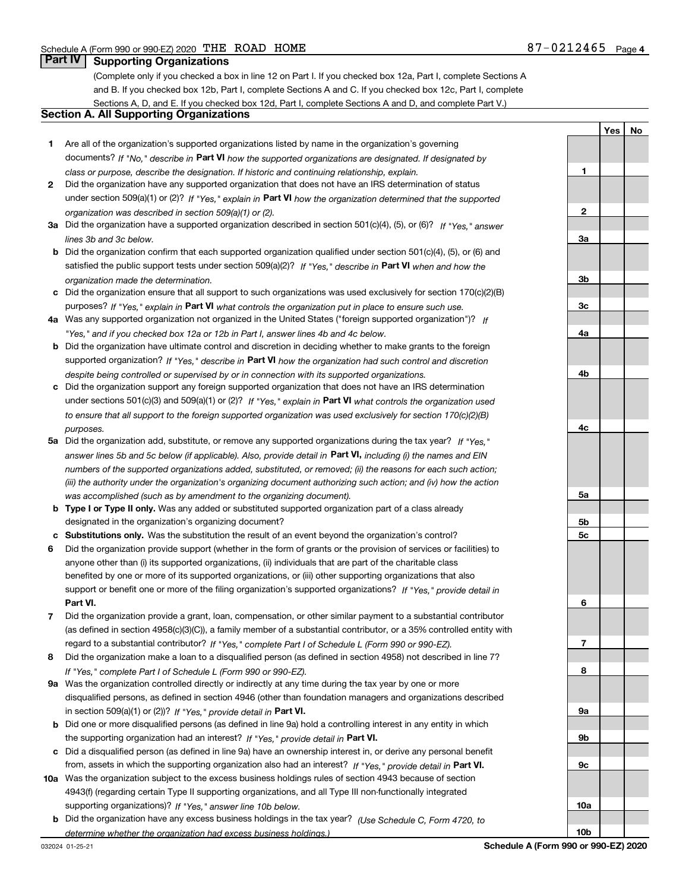**1**

**YesNo**

## **Part IV Supporting Organizations**

(Complete only if you checked a box in line 12 on Part I. If you checked box 12a, Part I, complete Sections A and B. If you checked box 12b, Part I, complete Sections A and C. If you checked box 12c, Part I, complete Sections A, D, and E. If you checked box 12d, Part I, complete Sections A and D, and complete Part V.)

### **Section A. All Supporting Organizations**

- **1** Are all of the organization's supported organizations listed by name in the organization's governing documents? If "No," describe in **Part VI** how the supported organizations are designated. If designated by *class or purpose, describe the designation. If historic and continuing relationship, explain.*
- **2** Did the organization have any supported organization that does not have an IRS determination of status under section 509(a)(1) or (2)? If "Yes," explain in Part VI how the organization determined that the supported *organization was described in section 509(a)(1) or (2).*
- **3a** Did the organization have a supported organization described in section 501(c)(4), (5), or (6)? If "Yes," answer *lines 3b and 3c below.*
- **b** Did the organization confirm that each supported organization qualified under section 501(c)(4), (5), or (6) and satisfied the public support tests under section 509(a)(2)? If "Yes," describe in **Part VI** when and how the *organization made the determination.*
- **c**Did the organization ensure that all support to such organizations was used exclusively for section 170(c)(2)(B) purposes? If "Yes," explain in **Part VI** what controls the organization put in place to ensure such use.
- **4a***If* Was any supported organization not organized in the United States ("foreign supported organization")? *"Yes," and if you checked box 12a or 12b in Part I, answer lines 4b and 4c below.*
- **b** Did the organization have ultimate control and discretion in deciding whether to make grants to the foreign supported organization? If "Yes," describe in **Part VI** how the organization had such control and discretion *despite being controlled or supervised by or in connection with its supported organizations.*
- **c** Did the organization support any foreign supported organization that does not have an IRS determination under sections 501(c)(3) and 509(a)(1) or (2)? If "Yes," explain in **Part VI** what controls the organization used *to ensure that all support to the foreign supported organization was used exclusively for section 170(c)(2)(B) purposes.*
- **5a***If "Yes,"* Did the organization add, substitute, or remove any supported organizations during the tax year? answer lines 5b and 5c below (if applicable). Also, provide detail in **Part VI,** including (i) the names and EIN *numbers of the supported organizations added, substituted, or removed; (ii) the reasons for each such action; (iii) the authority under the organization's organizing document authorizing such action; and (iv) how the action was accomplished (such as by amendment to the organizing document).*
- **b** Type I or Type II only. Was any added or substituted supported organization part of a class already designated in the organization's organizing document?
- **cSubstitutions only.**  Was the substitution the result of an event beyond the organization's control?
- **6** Did the organization provide support (whether in the form of grants or the provision of services or facilities) to **Part VI.** *If "Yes," provide detail in* support or benefit one or more of the filing organization's supported organizations? anyone other than (i) its supported organizations, (ii) individuals that are part of the charitable class benefited by one or more of its supported organizations, or (iii) other supporting organizations that also
- **7**Did the organization provide a grant, loan, compensation, or other similar payment to a substantial contributor *If "Yes," complete Part I of Schedule L (Form 990 or 990-EZ).* regard to a substantial contributor? (as defined in section 4958(c)(3)(C)), a family member of a substantial contributor, or a 35% controlled entity with
- **8** Did the organization make a loan to a disqualified person (as defined in section 4958) not described in line 7? *If "Yes," complete Part I of Schedule L (Form 990 or 990-EZ).*
- **9a** Was the organization controlled directly or indirectly at any time during the tax year by one or more in section 509(a)(1) or (2))? If "Yes," *provide detail in* <code>Part VI.</code> disqualified persons, as defined in section 4946 (other than foundation managers and organizations described
- **b** Did one or more disqualified persons (as defined in line 9a) hold a controlling interest in any entity in which the supporting organization had an interest? If "Yes," provide detail in P**art VI**.
- **c**Did a disqualified person (as defined in line 9a) have an ownership interest in, or derive any personal benefit from, assets in which the supporting organization also had an interest? If "Yes," provide detail in P**art VI.**
- **10a** Was the organization subject to the excess business holdings rules of section 4943 because of section supporting organizations)? If "Yes," answer line 10b below. 4943(f) (regarding certain Type II supporting organizations, and all Type III non-functionally integrated
- **b** Did the organization have any excess business holdings in the tax year? (Use Schedule C, Form 4720, to *determine whether the organization had excess business holdings.)*

**23a3b3c4a4b4c5a5b5c6789a 9b9c10a**

**10b**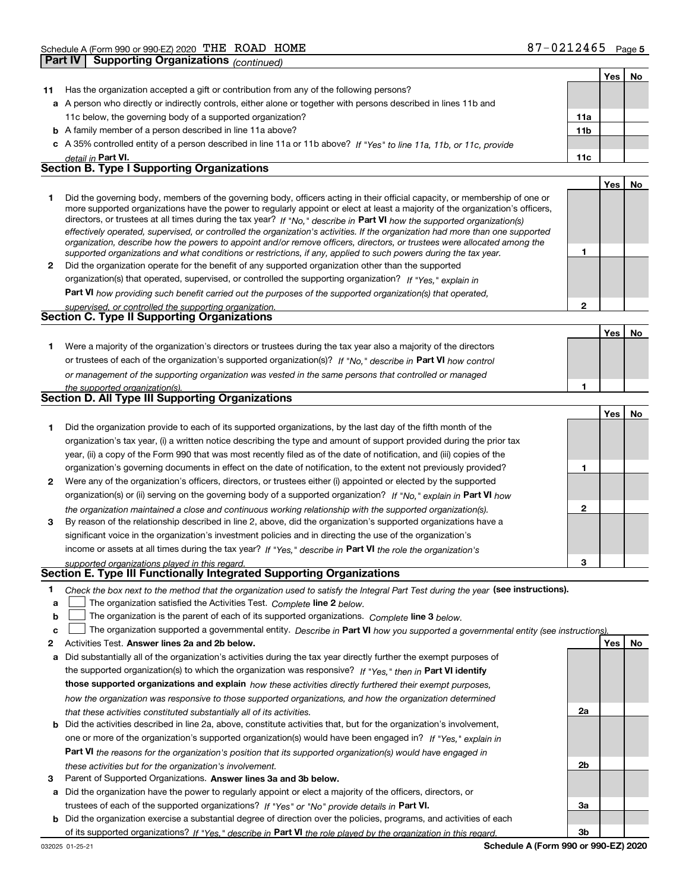**Yes No**

| 11           | Has the organization accepted a gift or contribution from any of the following persons?                                                                                                                                                                  |                |     |    |
|--------------|----------------------------------------------------------------------------------------------------------------------------------------------------------------------------------------------------------------------------------------------------------|----------------|-----|----|
|              | a A person who directly or indirectly controls, either alone or together with persons described in lines 11b and                                                                                                                                         |                |     |    |
|              | 11c below, the governing body of a supported organization?                                                                                                                                                                                               | 11a            |     |    |
| b            | A family member of a person described in line 11a above?                                                                                                                                                                                                 | 11b            |     |    |
|              | c A 35% controlled entity of a person described in line 11a or 11b above? If "Yes" to line 11a, 11b, or 11c, provide                                                                                                                                     |                |     |    |
|              | detail in Part VI.                                                                                                                                                                                                                                       | 11c            |     |    |
|              | Section B. Type I Supporting Organizations                                                                                                                                                                                                               |                |     |    |
|              |                                                                                                                                                                                                                                                          |                | Yes | No |
| 1            | Did the governing body, members of the governing body, officers acting in their official capacity, or membership of one or                                                                                                                               |                |     |    |
|              | more supported organizations have the power to regularly appoint or elect at least a majority of the organization's officers,<br>directors, or trustees at all times during the tax year? If "No," describe in Part VI how the supported organization(s) |                |     |    |
|              | effectively operated, supervised, or controlled the organization's activities. If the organization had more than one supported                                                                                                                           |                |     |    |
|              | organization, describe how the powers to appoint and/or remove officers, directors, or trustees were allocated among the                                                                                                                                 |                |     |    |
|              | supported organizations and what conditions or restrictions, if any, applied to such powers during the tax year.                                                                                                                                         | 1              |     |    |
| $\mathbf{2}$ | Did the organization operate for the benefit of any supported organization other than the supported                                                                                                                                                      |                |     |    |
|              | organization(s) that operated, supervised, or controlled the supporting organization? If "Yes," explain in                                                                                                                                               |                |     |    |
|              | Part VI how providing such benefit carried out the purposes of the supported organization(s) that operated,                                                                                                                                              |                |     |    |
|              | supervised, or controlled the supporting organization.<br><b>Section C. Type II Supporting Organizations</b>                                                                                                                                             | $\mathbf{2}$   |     |    |
|              |                                                                                                                                                                                                                                                          |                | Yes | No |
| 1            | Were a majority of the organization's directors or trustees during the tax year also a majority of the directors                                                                                                                                         |                |     |    |
|              | or trustees of each of the organization's supported organization(s)? If "No," describe in Part VI how control                                                                                                                                            |                |     |    |
|              | or management of the supporting organization was vested in the same persons that controlled or managed                                                                                                                                                   |                |     |    |
|              | the supported organization(s).                                                                                                                                                                                                                           | 1              |     |    |
|              | Section D. All Type III Supporting Organizations                                                                                                                                                                                                         |                |     |    |
|              |                                                                                                                                                                                                                                                          |                | Yes | No |
| 1            | Did the organization provide to each of its supported organizations, by the last day of the fifth month of the                                                                                                                                           |                |     |    |
|              | organization's tax year, (i) a written notice describing the type and amount of support provided during the prior tax                                                                                                                                    |                |     |    |
|              | year, (ii) a copy of the Form 990 that was most recently filed as of the date of notification, and (iii) copies of the                                                                                                                                   |                |     |    |
|              | organization's governing documents in effect on the date of notification, to the extent not previously provided?                                                                                                                                         | 1              |     |    |
| 2            | Were any of the organization's officers, directors, or trustees either (i) appointed or elected by the supported                                                                                                                                         |                |     |    |
|              | organization(s) or (ii) serving on the governing body of a supported organization? If "No," explain in Part VI how                                                                                                                                       |                |     |    |
|              | the organization maintained a close and continuous working relationship with the supported organization(s).                                                                                                                                              | $\mathbf{2}$   |     |    |
| 3            | By reason of the relationship described in line 2, above, did the organization's supported organizations have a                                                                                                                                          |                |     |    |
|              | significant voice in the organization's investment policies and in directing the use of the organization's                                                                                                                                               |                |     |    |
|              | income or assets at all times during the tax year? If "Yes," describe in Part VI the role the organization's                                                                                                                                             |                |     |    |
|              | supported organizations played in this regard.                                                                                                                                                                                                           | 3              |     |    |
|              | Section E. Type III Functionally Integrated Supporting Organizations                                                                                                                                                                                     |                |     |    |
|              | Check the box next to the method that the organization used to satisfy the Integral Part Test during the year (see instructions).                                                                                                                        |                |     |    |
| а            | The organization satisfied the Activities Test. Complete line 2 below.                                                                                                                                                                                   |                |     |    |
| b            | The organization is the parent of each of its supported organizations. Complete line 3 below.                                                                                                                                                            |                |     |    |
| c            | The organization supported a governmental entity. Describe in Part VI how you supported a governmental entity (see instructions)                                                                                                                         |                |     |    |
| 2            | Activities Test. Answer lines 2a and 2b below.                                                                                                                                                                                                           |                | Yes | No |
| а            | Did substantially all of the organization's activities during the tax year directly further the exempt purposes of                                                                                                                                       |                |     |    |
|              | the supported organization(s) to which the organization was responsive? If "Yes," then in Part VI identify<br>those supported organizations and explain how these activities directly furthered their exempt purposes,                                   |                |     |    |
|              |                                                                                                                                                                                                                                                          |                |     |    |
|              | how the organization was responsive to those supported organizations, and how the organization determined<br>that these activities constituted substantially all of its activities.                                                                      | 2a             |     |    |
| b            | Did the activities described in line 2a, above, constitute activities that, but for the organization's involvement,                                                                                                                                      |                |     |    |
|              | one or more of the organization's supported organization(s) would have been engaged in? If "Yes," explain in                                                                                                                                             |                |     |    |
|              | <b>Part VI</b> the reasons for the organization's position that its supported organization(s) would have engaged in                                                                                                                                      |                |     |    |
|              | these activities but for the organization's involvement.                                                                                                                                                                                                 | 2 <sub>b</sub> |     |    |
| з            | Parent of Supported Organizations. Answer lines 3a and 3b below.                                                                                                                                                                                         |                |     |    |
| а            | Did the organization have the power to regularly appoint or elect a majority of the officers, directors, or                                                                                                                                              |                |     |    |
|              | trustees of each of the supported organizations? If "Yes" or "No" provide details in Part VI.                                                                                                                                                            | За             |     |    |
|              |                                                                                                                                                                                                                                                          |                |     |    |

**b** Did the organization exercise a substantial degree of direction over the policies, programs, and activities of each of its supported organizations? If "Yes," describe in Part VI the role played by the organization in this regard.

**3b**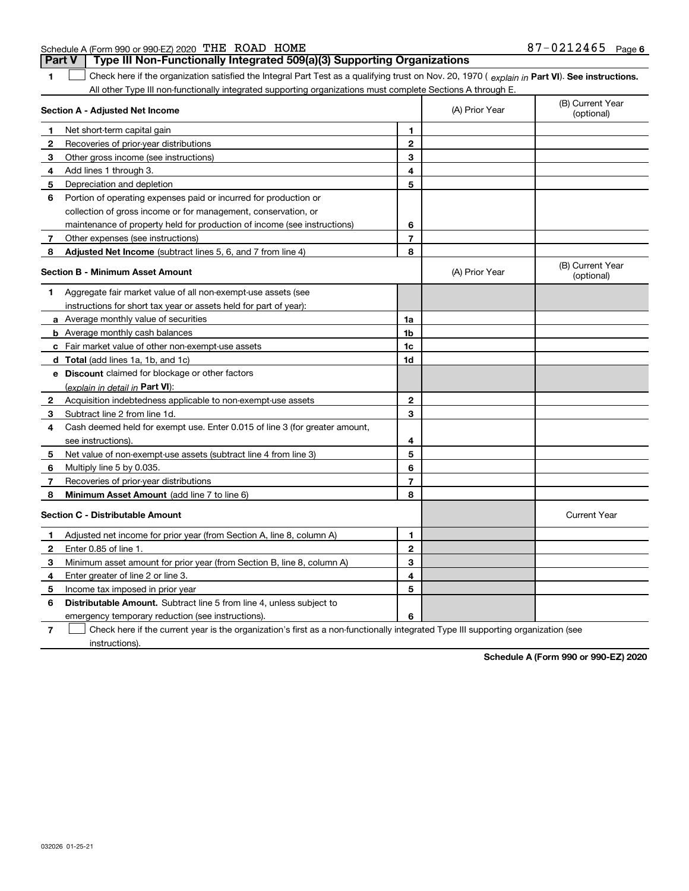| <b>Part V</b> Type III Non-Functionally Integrated 509(a)(3) Supporting Organizations |                   |  |
|---------------------------------------------------------------------------------------|-------------------|--|
| Schedule A (Form 990 or 990-EZ) 2020 THE ROAD HOME                                    | 87-0212465 Page 6 |  |

**1Part VI** Check here if the organization satisfied the Integral Part Test as a qualifying trust on Nov. 20, 1970 ( *explain in* Part **VI**). See instructions. All other Type III non-functionally integrated supporting organizations must complete Sections A through E. ×.

| Section A - Adjusted Net Income |                                                                             | (A) Prior Year          | (B) Current Year<br>(optional) |                                |
|---------------------------------|-----------------------------------------------------------------------------|-------------------------|--------------------------------|--------------------------------|
| 1                               | Net short-term capital gain                                                 | 1                       |                                |                                |
| 2                               | Recoveries of prior-year distributions                                      | $\overline{2}$          |                                |                                |
| З                               | Other gross income (see instructions)                                       | 3                       |                                |                                |
| 4                               | Add lines 1 through 3.                                                      | $\overline{\mathbf{4}}$ |                                |                                |
| 5                               | Depreciation and depletion                                                  | 5                       |                                |                                |
| 6                               | Portion of operating expenses paid or incurred for production or            |                         |                                |                                |
|                                 | collection of gross income or for management, conservation, or              |                         |                                |                                |
|                                 | maintenance of property held for production of income (see instructions)    | 6                       |                                |                                |
| 7                               | Other expenses (see instructions)                                           | $\overline{7}$          |                                |                                |
| 8                               | Adjusted Net Income (subtract lines 5, 6, and 7 from line 4)                | 8                       |                                |                                |
|                                 | <b>Section B - Minimum Asset Amount</b>                                     |                         | (A) Prior Year                 | (B) Current Year<br>(optional) |
| 1.                              | Aggregate fair market value of all non-exempt-use assets (see               |                         |                                |                                |
|                                 | instructions for short tax year or assets held for part of year):           |                         |                                |                                |
|                                 | a Average monthly value of securities                                       | 1a                      |                                |                                |
|                                 | <b>b</b> Average monthly cash balances                                      | 1 <sub>b</sub>          |                                |                                |
|                                 | c Fair market value of other non-exempt-use assets                          | 1c                      |                                |                                |
|                                 | d Total (add lines 1a, 1b, and 1c)                                          | 1d                      |                                |                                |
|                                 | e Discount claimed for blockage or other factors                            |                         |                                |                                |
|                                 | (explain in detail in Part VI):                                             |                         |                                |                                |
| 2                               | Acquisition indebtedness applicable to non-exempt-use assets                | $\mathbf{2}$            |                                |                                |
| 3                               | Subtract line 2 from line 1d.                                               | 3                       |                                |                                |
| 4                               | Cash deemed held for exempt use. Enter 0.015 of line 3 (for greater amount, |                         |                                |                                |
|                                 | see instructions).                                                          | 4                       |                                |                                |
| 5                               | Net value of non-exempt-use assets (subtract line 4 from line 3)            | 5                       |                                |                                |
| 6                               | Multiply line 5 by 0.035.                                                   | 6                       |                                |                                |
| 7                               | Recoveries of prior-year distributions                                      | $\overline{7}$          |                                |                                |
| 8                               | Minimum Asset Amount (add line 7 to line 6)                                 | 8                       |                                |                                |
|                                 | <b>Section C - Distributable Amount</b>                                     |                         |                                | <b>Current Year</b>            |
| 1                               | Adjusted net income for prior year (from Section A, line 8, column A)       | 1                       |                                |                                |
| 2                               | Enter 0.85 of line 1.                                                       | $\mathbf{2}$            |                                |                                |
| 3                               | Minimum asset amount for prior year (from Section B, line 8, column A)      | 3                       |                                |                                |
| 4                               | Enter greater of line 2 or line 3.                                          | 4                       |                                |                                |
| 5                               | Income tax imposed in prior year                                            | 5                       |                                |                                |
| 6                               | Distributable Amount. Subtract line 5 from line 4, unless subject to        |                         |                                |                                |
|                                 | emergency temporary reduction (see instructions).                           | 6                       |                                |                                |

**7**Check here if the current year is the organization's first as a non-functionally integrated Type III supporting organization (see instructions).

**Schedule A (Form 990 or 990-EZ) 2020**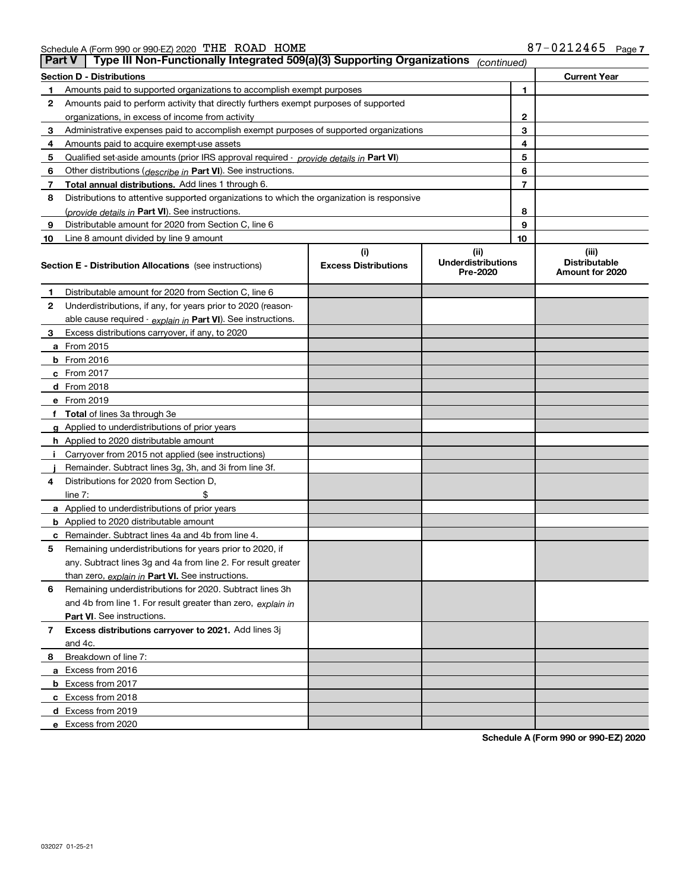Schedule A (Form 990 or 990-EZ) 2020 「L'HE」 KOAD\_HOME 8/一UZIZ4b5 Page THE ROAD HOME 87-0212465

| <b>Part V</b> | Type III Non-Functionally Integrated 509(a)(3) Supporting Organizations                    |                             | (continued)                           |    |                                         |
|---------------|--------------------------------------------------------------------------------------------|-----------------------------|---------------------------------------|----|-----------------------------------------|
|               | <b>Section D - Distributions</b>                                                           |                             |                                       |    | <b>Current Year</b>                     |
| 1             | 1<br>Amounts paid to supported organizations to accomplish exempt purposes                 |                             |                                       |    |                                         |
| 2             | Amounts paid to perform activity that directly furthers exempt purposes of supported       |                             |                                       |    |                                         |
|               | organizations, in excess of income from activity                                           |                             |                                       | 2  |                                         |
| 3             | Administrative expenses paid to accomplish exempt purposes of supported organizations      |                             |                                       | 3  |                                         |
| 4             | Amounts paid to acquire exempt-use assets                                                  |                             |                                       | 4  |                                         |
| 5             | Qualified set-aside amounts (prior IRS approval required - provide details in Part VI)     |                             |                                       | 5  |                                         |
| 6             | Other distributions (describe in Part VI). See instructions.                               |                             |                                       | 6  |                                         |
| 7             | Total annual distributions. Add lines 1 through 6.                                         |                             |                                       | 7  |                                         |
| 8             | Distributions to attentive supported organizations to which the organization is responsive |                             |                                       |    |                                         |
|               | (provide details in Part VI). See instructions.                                            |                             |                                       | 8  |                                         |
| 9             | Distributable amount for 2020 from Section C, line 6                                       |                             |                                       | 9  |                                         |
| 10            | Line 8 amount divided by line 9 amount                                                     |                             |                                       | 10 |                                         |
|               |                                                                                            | (i)                         | (ii)                                  |    | (iii)                                   |
|               | <b>Section E - Distribution Allocations</b> (see instructions)                             | <b>Excess Distributions</b> | <b>Underdistributions</b><br>Pre-2020 |    | <b>Distributable</b><br>Amount for 2020 |
| 1             | Distributable amount for 2020 from Section C, line 6                                       |                             |                                       |    |                                         |
| 2             | Underdistributions, if any, for years prior to 2020 (reason-                               |                             |                                       |    |                                         |
|               | able cause required - explain in Part VI). See instructions.                               |                             |                                       |    |                                         |
| 3             | Excess distributions carryover, if any, to 2020                                            |                             |                                       |    |                                         |
|               | <b>a</b> From 2015                                                                         |                             |                                       |    |                                         |
|               | <b>b</b> From 2016                                                                         |                             |                                       |    |                                         |
|               | c From 2017                                                                                |                             |                                       |    |                                         |
|               | <b>d</b> From 2018                                                                         |                             |                                       |    |                                         |
|               | e From 2019                                                                                |                             |                                       |    |                                         |
|               | f Total of lines 3a through 3e                                                             |                             |                                       |    |                                         |
|               | g Applied to underdistributions of prior years                                             |                             |                                       |    |                                         |
|               | <b>h</b> Applied to 2020 distributable amount                                              |                             |                                       |    |                                         |
|               | Carryover from 2015 not applied (see instructions)                                         |                             |                                       |    |                                         |
|               | Remainder. Subtract lines 3g, 3h, and 3i from line 3f.                                     |                             |                                       |    |                                         |
| 4             | Distributions for 2020 from Section D,                                                     |                             |                                       |    |                                         |
|               | line $7:$                                                                                  |                             |                                       |    |                                         |
|               | a Applied to underdistributions of prior years                                             |                             |                                       |    |                                         |
|               | <b>b</b> Applied to 2020 distributable amount                                              |                             |                                       |    |                                         |
|               | c Remainder. Subtract lines 4a and 4b from line 4.                                         |                             |                                       |    |                                         |
| 5             | Remaining underdistributions for years prior to 2020, if                                   |                             |                                       |    |                                         |
|               | any. Subtract lines 3g and 4a from line 2. For result greater                              |                             |                                       |    |                                         |
|               | than zero, explain in Part VI. See instructions.                                           |                             |                                       |    |                                         |
| 6             | Remaining underdistributions for 2020. Subtract lines 3h                                   |                             |                                       |    |                                         |
|               | and 4b from line 1. For result greater than zero, explain in                               |                             |                                       |    |                                         |
|               | Part VI. See instructions.                                                                 |                             |                                       |    |                                         |
| 7             | Excess distributions carryover to 2021. Add lines 3j                                       |                             |                                       |    |                                         |
|               | and 4c.                                                                                    |                             |                                       |    |                                         |
| 8             | Breakdown of line 7:                                                                       |                             |                                       |    |                                         |
|               | a Excess from 2016                                                                         |                             |                                       |    |                                         |
|               | <b>b</b> Excess from 2017                                                                  |                             |                                       |    |                                         |
|               | c Excess from 2018                                                                         |                             |                                       |    |                                         |
|               | d Excess from 2019                                                                         |                             |                                       |    |                                         |
|               | e Excess from 2020                                                                         |                             |                                       |    |                                         |

**Schedule A (Form 990 or 990-EZ) 2020**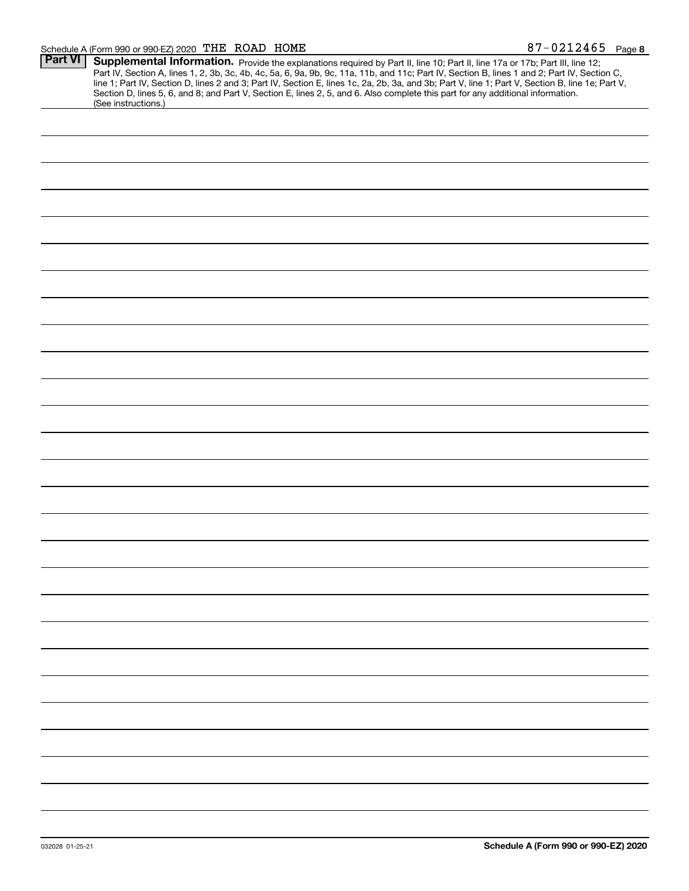#### Schedule A (Form 990 or 990-EZ) 2020  $\,$  THE ROAD HOME  $37-0.212465$   $\,$  Page

| <b>Part VI</b> |                                                                                                                                                                                                                                                                                     |
|----------------|-------------------------------------------------------------------------------------------------------------------------------------------------------------------------------------------------------------------------------------------------------------------------------------|
|                | Supplemental Information. Provide the explanations required by Part II, line 10; Part II, line 17a or 17b; Part III, line 12;<br>Part IV, Section A, lines 1, 2, 3b, 3c, 4b, 4c, 5a, 6, 9a, 9b, 9c, 11a, 11b, and 11c; Part IV, Section B, lines 1 and 2; Part IV, Section C,       |
|                |                                                                                                                                                                                                                                                                                     |
|                | line 1; Part IV, Section D, lines 2 and 3; Part IV, Section E, lines 1c, 2a, 2b, 3a, and 3b; Part V, line 1; Part V, Section B, line 1e; Part V,<br>Section D, lines 5, 6, and 8; and Part V, Section E, lines 2, 5, and 6. Also complete this part for any additional information. |
|                | (See instructions.)                                                                                                                                                                                                                                                                 |
|                |                                                                                                                                                                                                                                                                                     |
|                |                                                                                                                                                                                                                                                                                     |
|                |                                                                                                                                                                                                                                                                                     |
|                |                                                                                                                                                                                                                                                                                     |
|                |                                                                                                                                                                                                                                                                                     |
|                |                                                                                                                                                                                                                                                                                     |
|                |                                                                                                                                                                                                                                                                                     |
|                |                                                                                                                                                                                                                                                                                     |
|                |                                                                                                                                                                                                                                                                                     |
|                |                                                                                                                                                                                                                                                                                     |
|                |                                                                                                                                                                                                                                                                                     |
|                |                                                                                                                                                                                                                                                                                     |
|                |                                                                                                                                                                                                                                                                                     |
|                |                                                                                                                                                                                                                                                                                     |
|                |                                                                                                                                                                                                                                                                                     |
|                |                                                                                                                                                                                                                                                                                     |
|                |                                                                                                                                                                                                                                                                                     |
|                |                                                                                                                                                                                                                                                                                     |
|                |                                                                                                                                                                                                                                                                                     |
|                |                                                                                                                                                                                                                                                                                     |
|                |                                                                                                                                                                                                                                                                                     |
|                |                                                                                                                                                                                                                                                                                     |
|                |                                                                                                                                                                                                                                                                                     |
|                |                                                                                                                                                                                                                                                                                     |
|                |                                                                                                                                                                                                                                                                                     |
|                |                                                                                                                                                                                                                                                                                     |
|                |                                                                                                                                                                                                                                                                                     |
|                |                                                                                                                                                                                                                                                                                     |
|                |                                                                                                                                                                                                                                                                                     |
|                |                                                                                                                                                                                                                                                                                     |
|                |                                                                                                                                                                                                                                                                                     |
|                |                                                                                                                                                                                                                                                                                     |
|                |                                                                                                                                                                                                                                                                                     |
|                |                                                                                                                                                                                                                                                                                     |
|                |                                                                                                                                                                                                                                                                                     |
|                |                                                                                                                                                                                                                                                                                     |
|                |                                                                                                                                                                                                                                                                                     |
|                |                                                                                                                                                                                                                                                                                     |
|                |                                                                                                                                                                                                                                                                                     |
|                |                                                                                                                                                                                                                                                                                     |
|                |                                                                                                                                                                                                                                                                                     |
|                |                                                                                                                                                                                                                                                                                     |
|                |                                                                                                                                                                                                                                                                                     |
|                |                                                                                                                                                                                                                                                                                     |
|                |                                                                                                                                                                                                                                                                                     |
|                |                                                                                                                                                                                                                                                                                     |
|                |                                                                                                                                                                                                                                                                                     |
|                |                                                                                                                                                                                                                                                                                     |
|                |                                                                                                                                                                                                                                                                                     |
|                |                                                                                                                                                                                                                                                                                     |
|                |                                                                                                                                                                                                                                                                                     |
|                |                                                                                                                                                                                                                                                                                     |
|                |                                                                                                                                                                                                                                                                                     |
|                |                                                                                                                                                                                                                                                                                     |
|                |                                                                                                                                                                                                                                                                                     |
|                |                                                                                                                                                                                                                                                                                     |
|                |                                                                                                                                                                                                                                                                                     |
|                |                                                                                                                                                                                                                                                                                     |
|                |                                                                                                                                                                                                                                                                                     |
|                |                                                                                                                                                                                                                                                                                     |
|                |                                                                                                                                                                                                                                                                                     |
|                |                                                                                                                                                                                                                                                                                     |
|                |                                                                                                                                                                                                                                                                                     |
|                |                                                                                                                                                                                                                                                                                     |
|                |                                                                                                                                                                                                                                                                                     |
|                |                                                                                                                                                                                                                                                                                     |
|                |                                                                                                                                                                                                                                                                                     |
|                |                                                                                                                                                                                                                                                                                     |
|                |                                                                                                                                                                                                                                                                                     |
|                |                                                                                                                                                                                                                                                                                     |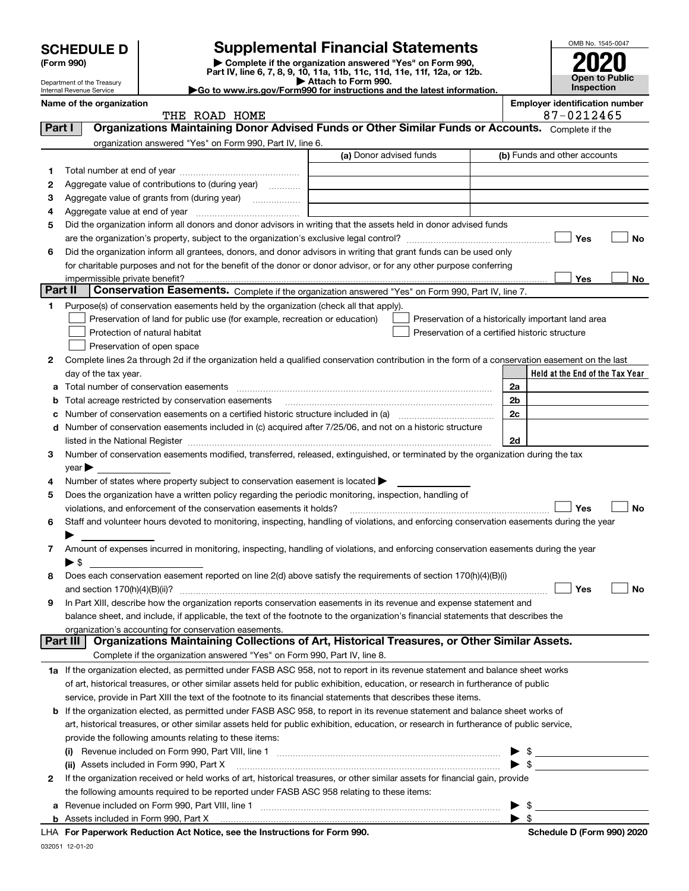| <b>SCHEDULE D</b> |  |
|-------------------|--|
|-------------------|--|

Department of the Treasury Internal Revenue Service

| (Form 990) |  |
|------------|--|
|------------|--|

# **SCHEDULE D Supplemental Financial Statements**

(Form 990)<br>
Pepartment of the Treasury<br>
Department of the Treasury<br>
Department of the Treasury<br>
Department of the Treasury<br> **Co to www.irs.gov/Form990 for instructions and the latest information.**<br> **Co to www.irs.gov/Form9** 



|         | Name of the organization<br>THE ROAD HOME                                                                                                      |                         | <b>Employer identification number</b><br>87-0212465 |
|---------|------------------------------------------------------------------------------------------------------------------------------------------------|-------------------------|-----------------------------------------------------|
| Part I  | Organizations Maintaining Donor Advised Funds or Other Similar Funds or Accounts. Complete if the                                              |                         |                                                     |
|         |                                                                                                                                                |                         |                                                     |
|         | organization answered "Yes" on Form 990, Part IV, line 6.                                                                                      | (a) Donor advised funds | (b) Funds and other accounts                        |
|         |                                                                                                                                                |                         |                                                     |
| 1       |                                                                                                                                                |                         |                                                     |
| 2       | Aggregate value of contributions to (during year)                                                                                              |                         |                                                     |
| 3       | Aggregate value of grants from (during year)                                                                                                   |                         |                                                     |
| 4       |                                                                                                                                                |                         |                                                     |
| 5       | Did the organization inform all donors and donor advisors in writing that the assets held in donor advised funds                               |                         |                                                     |
|         |                                                                                                                                                |                         | Yes<br>No                                           |
| 6       | Did the organization inform all grantees, donors, and donor advisors in writing that grant funds can be used only                              |                         |                                                     |
|         | for charitable purposes and not for the benefit of the donor or donor advisor, or for any other purpose conferring                             |                         |                                                     |
| Part II | impermissible private benefit?<br>Conservation Easements. Complete if the organization answered "Yes" on Form 990, Part IV, line 7.            |                         | Yes<br>No                                           |
|         |                                                                                                                                                |                         |                                                     |
| 1       | Purpose(s) of conservation easements held by the organization (check all that apply).                                                          |                         |                                                     |
|         | Preservation of land for public use (for example, recreation or education)                                                                     |                         | Preservation of a historically important land area  |
|         | Protection of natural habitat                                                                                                                  |                         | Preservation of a certified historic structure      |
|         | Preservation of open space                                                                                                                     |                         |                                                     |
| 2       | Complete lines 2a through 2d if the organization held a qualified conservation contribution in the form of a conservation easement on the last |                         | Held at the End of the Tax Year                     |
|         | day of the tax year.                                                                                                                           |                         |                                                     |
| а       | Total number of conservation easements                                                                                                         |                         | 2a                                                  |
| b       | Total acreage restricted by conservation easements                                                                                             |                         | 2 <sub>b</sub><br>2c                                |
| с       | Number of conservation easements included in (c) acquired after 7/25/06, and not on a historic structure                                       |                         |                                                     |
| d       |                                                                                                                                                |                         | 2d                                                  |
|         | Number of conservation easements modified, transferred, released, extinguished, or terminated by the organization during the tax               |                         |                                                     |
| з       |                                                                                                                                                |                         |                                                     |
| 4       | $year \triangleright$<br>Number of states where property subject to conservation easement is located >                                         |                         |                                                     |
| 5       | Does the organization have a written policy regarding the periodic monitoring, inspection, handling of                                         |                         |                                                     |
|         | violations, and enforcement of the conservation easements it holds?                                                                            |                         | <b>Yes</b><br><b>No</b>                             |
| 6       | Staff and volunteer hours devoted to monitoring, inspecting, handling of violations, and enforcing conservation easements during the year      |                         |                                                     |
|         |                                                                                                                                                |                         |                                                     |
| 7       | Amount of expenses incurred in monitoring, inspecting, handling of violations, and enforcing conservation easements during the year            |                         |                                                     |
|         | ▶ \$                                                                                                                                           |                         |                                                     |
| 8       | Does each conservation easement reported on line 2(d) above satisfy the requirements of section 170(h)(4)(B)(i)                                |                         |                                                     |
|         |                                                                                                                                                |                         | Yes<br>No                                           |
|         | In Part XIII, describe how the organization reports conservation easements in its revenue and expense statement and                            |                         |                                                     |
|         | balance sheet, and include, if applicable, the text of the footnote to the organization's financial statements that describes the              |                         |                                                     |
|         | organization's accounting for conservation easements.                                                                                          |                         |                                                     |
|         | Organizations Maintaining Collections of Art, Historical Treasures, or Other Similar Assets.<br>Part III                                       |                         |                                                     |
|         | Complete if the organization answered "Yes" on Form 990, Part IV, line 8.                                                                      |                         |                                                     |
|         | 1a If the organization elected, as permitted under FASB ASC 958, not to report in its revenue statement and balance sheet works                |                         |                                                     |
|         | of art, historical treasures, or other similar assets held for public exhibition, education, or research in furtherance of public              |                         |                                                     |
|         | service, provide in Part XIII the text of the footnote to its financial statements that describes these items.                                 |                         |                                                     |
|         | <b>b</b> If the organization elected, as permitted under FASB ASC 958, to report in its revenue statement and balance sheet works of           |                         |                                                     |
|         | art, historical treasures, or other similar assets held for public exhibition, education, or research in furtherance of public service,        |                         |                                                     |
|         | provide the following amounts relating to these items:                                                                                         |                         |                                                     |
|         |                                                                                                                                                |                         | $\blacktriangleright$ \$                            |
|         | (ii) Assets included in Form 990, Part X                                                                                                       |                         | $\blacktriangleright$ \$                            |
| 2       | If the organization received or held works of art, historical treasures, or other similar assets for financial gain, provide                   |                         |                                                     |
|         | the following amounts required to be reported under FASB ASC 958 relating to these items:                                                      |                         |                                                     |
| a       |                                                                                                                                                |                         | $\blacktriangleright$ \$                            |
|         |                                                                                                                                                |                         | $\blacktriangleright$ \$                            |
|         | LHA For Paperwork Reduction Act Notice, see the Instructions for Form 990.                                                                     |                         | Schedule D (Form 990) 2020                          |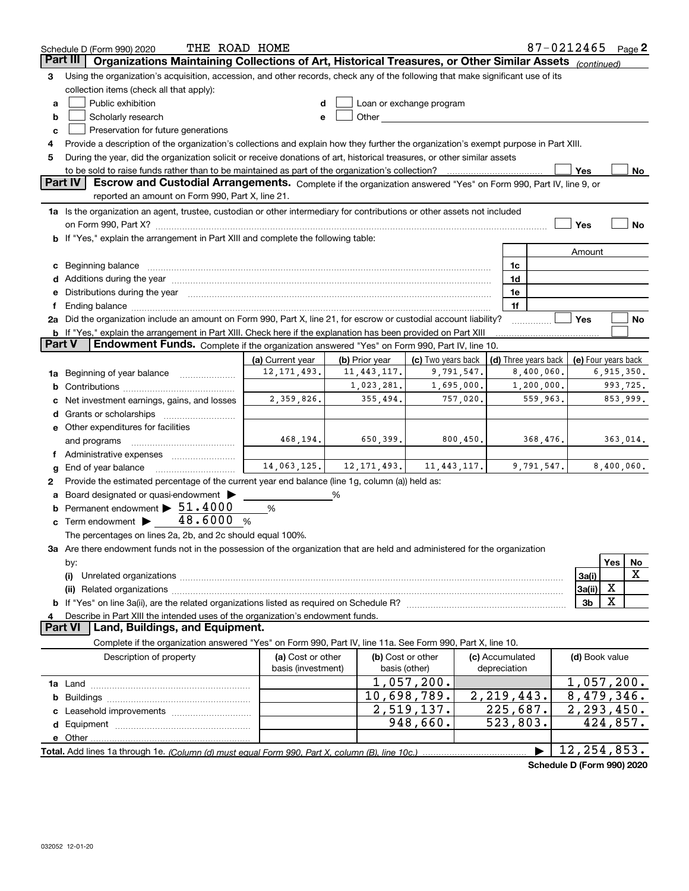|                | 87-0212465<br>THE ROAD HOME<br>Page 2<br>Schedule D (Form 990) 2020                                                                                                                                                            |                                         |                |                                    |               |                                 |                                            |                         |            |            |
|----------------|--------------------------------------------------------------------------------------------------------------------------------------------------------------------------------------------------------------------------------|-----------------------------------------|----------------|------------------------------------|---------------|---------------------------------|--------------------------------------------|-------------------------|------------|------------|
|                | Organizations Maintaining Collections of Art, Historical Treasures, or Other Similar Assets (continued)<br><b>Part III</b>                                                                                                     |                                         |                |                                    |               |                                 |                                            |                         |            |            |
| 3              | Using the organization's acquisition, accession, and other records, check any of the following that make significant use of its                                                                                                |                                         |                |                                    |               |                                 |                                            |                         |            |            |
|                | collection items (check all that apply):                                                                                                                                                                                       |                                         |                |                                    |               |                                 |                                            |                         |            |            |
| a              | Public exhibition                                                                                                                                                                                                              | d                                       |                | Loan or exchange program           |               |                                 |                                            |                         |            |            |
| b              | Scholarly research                                                                                                                                                                                                             | e                                       |                |                                    |               |                                 |                                            |                         |            |            |
| c              | Preservation for future generations                                                                                                                                                                                            |                                         |                |                                    |               |                                 |                                            |                         |            |            |
| 4              | Provide a description of the organization's collections and explain how they further the organization's exempt purpose in Part XIII.                                                                                           |                                         |                |                                    |               |                                 |                                            |                         |            |            |
| 5              | During the year, did the organization solicit or receive donations of art, historical treasures, or other similar assets                                                                                                       |                                         |                |                                    |               |                                 |                                            |                         |            |            |
|                |                                                                                                                                                                                                                                |                                         |                |                                    |               |                                 |                                            | Yes                     |            | No         |
|                | <b>Part IV</b><br>Escrow and Custodial Arrangements. Complete if the organization answered "Yes" on Form 990, Part IV, line 9, or                                                                                              |                                         |                |                                    |               |                                 |                                            |                         |            |            |
|                | reported an amount on Form 990, Part X, line 21.                                                                                                                                                                               |                                         |                |                                    |               |                                 |                                            |                         |            |            |
|                |                                                                                                                                                                                                                                |                                         |                |                                    |               |                                 |                                            |                         |            |            |
|                | 1a Is the organization an agent, trustee, custodian or other intermediary for contributions or other assets not included                                                                                                       |                                         |                |                                    |               |                                 |                                            |                         |            |            |
|                |                                                                                                                                                                                                                                |                                         |                |                                    |               |                                 |                                            | Yes                     |            | No         |
|                | <b>b</b> If "Yes," explain the arrangement in Part XIII and complete the following table:                                                                                                                                      |                                         |                |                                    |               |                                 |                                            |                         |            |            |
|                |                                                                                                                                                                                                                                |                                         |                |                                    |               |                                 |                                            | Amount                  |            |            |
|                | c Beginning balance measurements and the contract of the contract of the contract of the contract of the contract of the contract of the contract of the contract of the contract of the contract of the contract of the contr |                                         |                |                                    |               | 1c                              |                                            |                         |            |            |
|                |                                                                                                                                                                                                                                |                                         |                |                                    |               | 1d                              |                                            |                         |            |            |
|                | e Distributions during the year manufactured and a control of the year manufactured and the year manufactured and the year manufactured and the year manufactured and the year manufactured and the year manufactured and the  |                                         |                |                                    |               | 1e                              |                                            |                         |            |            |
| f              |                                                                                                                                                                                                                                |                                         |                |                                    |               | 1f                              |                                            |                         |            |            |
|                | 2a Did the organization include an amount on Form 990, Part X, line 21, for escrow or custodial account liability?                                                                                                             |                                         |                |                                    |               |                                 |                                            | Yes                     |            | No         |
|                | <b>b</b> If "Yes," explain the arrangement in Part XIII. Check here if the explanation has been provided on Part XIII                                                                                                          |                                         |                |                                    |               |                                 |                                            |                         |            |            |
| Part V         | Endowment Funds. Complete if the organization answered "Yes" on Form 990, Part IV, line 10.                                                                                                                                    |                                         |                |                                    |               |                                 |                                            |                         |            |            |
|                |                                                                                                                                                                                                                                | (a) Current year                        | (b) Prior year | (c) Two years back                 |               |                                 | (d) Three years back   (e) Four years back |                         |            |            |
|                | <b>1a</b> Beginning of year balance <i>manumumum</i>                                                                                                                                                                           | 12, 171, 493.                           | 11,443,117.    |                                    | 9,791,547.    |                                 | 8,400,060.                                 |                         | 6,915,350. |            |
|                | 993,725.<br>1,023,281.<br>1,695,000.<br>1, 200, 000.                                                                                                                                                                           |                                         |                |                                    |               |                                 |                                            |                         |            |            |
|                | c Net investment earnings, gains, and losses                                                                                                                                                                                   | 2,359,826.                              | 355,494.       |                                    | 757,020.      |                                 | 559,963.                                   |                         |            | 853,999.   |
|                |                                                                                                                                                                                                                                |                                         |                |                                    |               |                                 |                                            |                         |            |            |
|                | e Other expenditures for facilities                                                                                                                                                                                            |                                         |                |                                    |               |                                 |                                            |                         |            |            |
|                | and programs                                                                                                                                                                                                                   | 468,194.                                | 650,399.       |                                    | 800, 450.     |                                 | 368,476.                                   |                         |            | 363,014.   |
|                |                                                                                                                                                                                                                                |                                         |                |                                    |               |                                 |                                            |                         |            |            |
| g              | End of year balance                                                                                                                                                                                                            | 14,063,125.                             | 12, 171, 493.  |                                    | 11, 443, 117. |                                 | 9,791,547.                                 |                         |            | 8,400,060. |
| 2              | Provide the estimated percentage of the current year end balance (line 1g, column (a)) held as:                                                                                                                                |                                         |                |                                    |               |                                 |                                            |                         |            |            |
|                | a Board designated or quasi-endowment >                                                                                                                                                                                        |                                         | %              |                                    |               |                                 |                                            |                         |            |            |
|                | <b>b</b> Permanent endowment > 51.4000                                                                                                                                                                                         | %                                       |                |                                    |               |                                 |                                            |                         |            |            |
|                | c Term endowment $\blacktriangleright$ 48.6000 %                                                                                                                                                                               |                                         |                |                                    |               |                                 |                                            |                         |            |            |
|                | The percentages on lines 2a, 2b, and 2c should equal 100%.                                                                                                                                                                     |                                         |                |                                    |               |                                 |                                            |                         |            |            |
|                | 3a Are there endowment funds not in the possession of the organization that are held and administered for the organization                                                                                                     |                                         |                |                                    |               |                                 |                                            |                         |            |            |
|                | by:                                                                                                                                                                                                                            |                                         |                |                                    |               |                                 |                                            |                         | Yes        | No         |
|                | (i)                                                                                                                                                                                                                            |                                         |                |                                    |               |                                 |                                            | 3a(i)                   |            | х          |
|                |                                                                                                                                                                                                                                |                                         |                |                                    |               |                                 |                                            | 3a(ii)                  | X          |            |
|                |                                                                                                                                                                                                                                |                                         |                |                                    |               |                                 |                                            | 3 <sub>b</sub>          | X          |            |
| 4              | Describe in Part XIII the intended uses of the organization's endowment funds.                                                                                                                                                 |                                         |                |                                    |               |                                 |                                            |                         |            |            |
| <b>Part VI</b> | Land, Buildings, and Equipment.                                                                                                                                                                                                |                                         |                |                                    |               |                                 |                                            |                         |            |            |
|                | Complete if the organization answered "Yes" on Form 990, Part IV, line 11a. See Form 990, Part X, line 10.                                                                                                                     |                                         |                |                                    |               |                                 |                                            |                         |            |            |
|                |                                                                                                                                                                                                                                |                                         |                |                                    |               |                                 |                                            |                         |            |            |
|                | Description of property                                                                                                                                                                                                        | (a) Cost or other<br>basis (investment) |                | (b) Cost or other<br>basis (other) |               | (c) Accumulated<br>depreciation |                                            | (d) Book value          |            |            |
|                |                                                                                                                                                                                                                                |                                         |                |                                    |               |                                 |                                            |                         |            |            |
|                |                                                                                                                                                                                                                                |                                         |                | 1,057,200.                         |               |                                 |                                            | 1,057,200.              |            |            |
|                |                                                                                                                                                                                                                                |                                         |                | 10,698,789.                        |               | 2, 219, 443.                    |                                            | 8,479,346.              |            |            |
|                |                                                                                                                                                                                                                                |                                         |                | $\overline{2,519},137.$            |               | 225,687.                        |                                            | $\overline{2,293},450.$ |            |            |
|                |                                                                                                                                                                                                                                |                                         |                | 948,660.                           |               | $\overline{523,803}$ .          |                                            |                         | 424,857.   |            |
|                |                                                                                                                                                                                                                                |                                         |                |                                    |               |                                 |                                            |                         |            |            |
|                |                                                                                                                                                                                                                                |                                         |                |                                    |               |                                 |                                            | 12, 254, 853.           |            |            |
|                |                                                                                                                                                                                                                                |                                         |                |                                    |               |                                 | Schodule D (Form 000) 2020                 |                         |            |            |

**Schedule D (Form 990) 2020**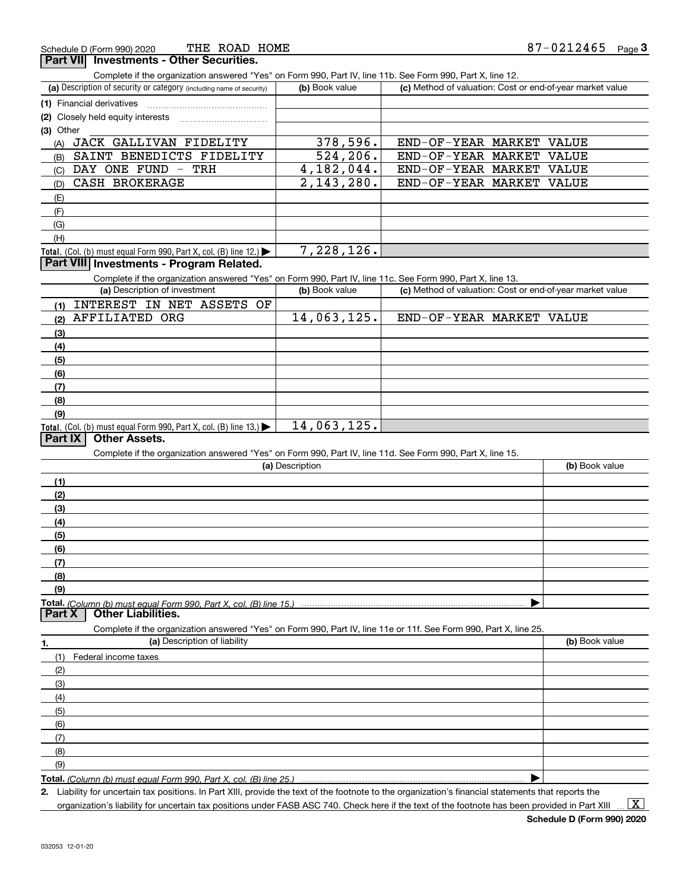**Part VII Investments - Other Securities.** 

Complete if the organization answered "Yes" on Form 990, Part IV, line 11b. See Form 990, Part X, line 12.

| (a) Description of security or category (including name of security) | (b) Book value | (c) Method of valuation: Cost or end-of-year market value |  |  |  |  |
|----------------------------------------------------------------------|----------------|-----------------------------------------------------------|--|--|--|--|
| (1) Financial derivatives                                            |                |                                                           |  |  |  |  |
| (2) Closely held equity interests                                    |                |                                                           |  |  |  |  |
| (3) Other                                                            |                |                                                           |  |  |  |  |
| JACK GALLIVAN FIDELITY<br>(A)                                        | 378,596.       | END-OF-YEAR MARKET VALUE                                  |  |  |  |  |
| SAINT BENEDICTS FIDELITY<br>(B)                                      | 524, 206.      | END-OF-YEAR MARKET VALUE                                  |  |  |  |  |
| DAY ONE FUND - TRH<br>(C)                                            | 4,182,044.     | END-OF-YEAR MARKET VALUE                                  |  |  |  |  |
| CASH BROKERAGE<br>(D)                                                | 2,143,280.     | END-OF-YEAR MARKET VALUE                                  |  |  |  |  |
| (E)                                                                  |                |                                                           |  |  |  |  |
| (F)                                                                  |                |                                                           |  |  |  |  |
| (G)                                                                  |                |                                                           |  |  |  |  |
| (H)                                                                  |                |                                                           |  |  |  |  |

 $,126.$ 

### **Part VIII Investments - Program Related.**

Complete if the organization answered "Yes" on Form 990, Part IV, line 11c. See Form 990, Part X, line 13.

| (a) Description of investment                                                                 | (b) Book value | (c) Method of valuation: Cost or end-of-year market value |
|-----------------------------------------------------------------------------------------------|----------------|-----------------------------------------------------------|
| INTEREST IN NET ASSETS OF<br>(1)                                                              |                |                                                           |
| AFFILIATED ORG<br>(2)                                                                         | 14,063,125.    | END-OF-YEAR MARKET VALUE                                  |
| (3)                                                                                           |                |                                                           |
| (4)                                                                                           |                |                                                           |
| $\frac{1}{2}$                                                                                 |                |                                                           |
| (6)                                                                                           |                |                                                           |
| (7)                                                                                           |                |                                                           |
| (8)                                                                                           |                |                                                           |
| (9)                                                                                           |                |                                                           |
| <b>Total.</b> (Col. (b) must equal Form 990, Part X, col. (B) line 13.) $\blacktriangleright$ | 14,063,125.    |                                                           |

### **Part IX Other Assets.**

Complete if the organization answered "Yes" on Form 990, Part IV, line 11d. See Form 990, Part X, line 15.

| (a) Description                                                                                                   | (b) Book value |
|-------------------------------------------------------------------------------------------------------------------|----------------|
| (1)                                                                                                               |                |
| (2)                                                                                                               |                |
| (3)                                                                                                               |                |
| (4)                                                                                                               |                |
| (5)                                                                                                               |                |
| (6)                                                                                                               |                |
| (7)                                                                                                               |                |
| (8)                                                                                                               |                |
| (9)                                                                                                               |                |
|                                                                                                                   |                |
|                                                                                                                   |                |
| Complete if the organization answered "Yes" on Form 990, Part IV, line 11e or 11f. See Form 990, Part X, line 25. |                |
| (a) Description of liability<br>1.                                                                                | (b) Book value |
| Federal income taxes<br>(1)                                                                                       |                |
| (2)                                                                                                               |                |
| (3)                                                                                                               |                |
| (4)                                                                                                               |                |
| (5)                                                                                                               |                |

**Total.**  *(Column (b) must equal Form 990, Part X, col. (B) line 25.)*

**2.**Liability for uncertain tax positions. In Part XIII, provide the text of the footnote to the organization's financial statements that reports the

organization's liability for uncertain tax positions under FASB ASC 740. Check here if the text of the footnote has been provided in Part XIII

 $\vert$  X  $\vert$ 

 $\blacktriangleright$ 

(6)(7)(8)(9)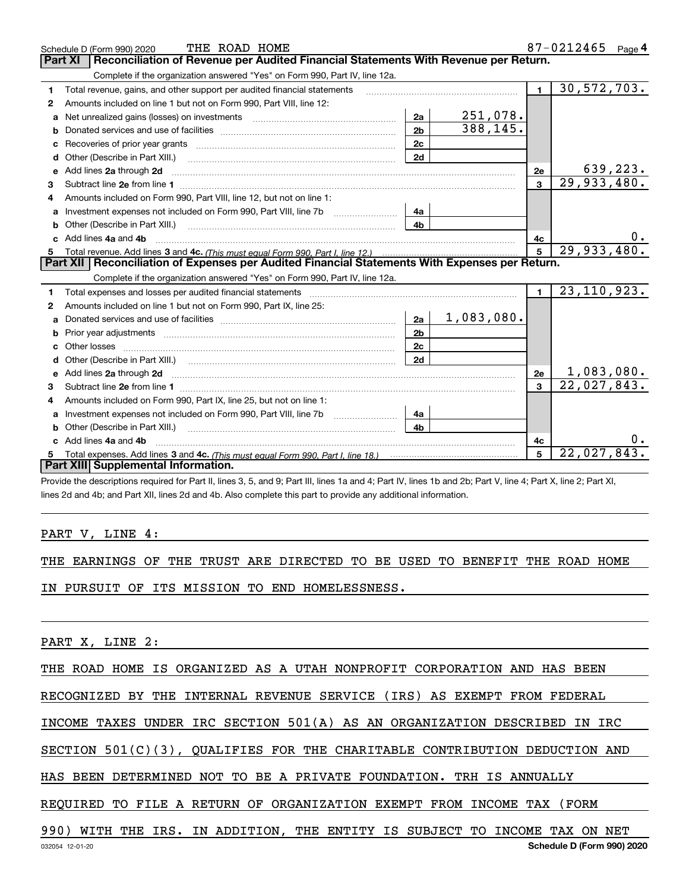|    | THE ROAD HOME<br>Schedule D (Form 990) 2020                                                                                                                                                          |                 |                        |                | 87-0212465<br>Page $4$ |
|----|------------------------------------------------------------------------------------------------------------------------------------------------------------------------------------------------------|-----------------|------------------------|----------------|------------------------|
|    | Reconciliation of Revenue per Audited Financial Statements With Revenue per Return.<br><b>Part XI</b>                                                                                                |                 |                        |                |                        |
|    | Complete if the organization answered "Yes" on Form 990, Part IV, line 12a.                                                                                                                          |                 |                        |                |                        |
| 1  | Total revenue, gains, and other support per audited financial statements                                                                                                                             |                 | $\blacksquare$         | 30,572,703.    |                        |
| 2  | Amounts included on line 1 but not on Form 990, Part VIII, line 12:                                                                                                                                  |                 |                        |                |                        |
| a  | Net unrealized gains (losses) on investments [11] matter contracts and the unrealized gains (losses) on investments                                                                                  | 2a              | 251,078.               |                |                        |
|    |                                                                                                                                                                                                      | 2 <sub>b</sub>  | $\overline{388,145}$ . |                |                        |
|    |                                                                                                                                                                                                      | 2c              |                        |                |                        |
| d  |                                                                                                                                                                                                      | 2d              |                        |                |                        |
| е  | Add lines 2a through 2d                                                                                                                                                                              |                 |                        | 2e             | 639,223.               |
| 3  |                                                                                                                                                                                                      |                 |                        | 3              | 29,933,480.            |
| 4  | Amounts included on Form 990, Part VIII, line 12, but not on line 1:                                                                                                                                 |                 |                        |                |                        |
|    |                                                                                                                                                                                                      | 4а              |                        |                |                        |
|    |                                                                                                                                                                                                      | 4b              |                        |                |                        |
| c. | Add lines 4a and 4b                                                                                                                                                                                  |                 |                        | 4с             |                        |
|    |                                                                                                                                                                                                      | $5\overline{5}$ | 29,933,480.            |                |                        |
|    |                                                                                                                                                                                                      |                 |                        |                |                        |
|    | Part XII   Reconciliation of Expenses per Audited Financial Statements With Expenses per Return.                                                                                                     |                 |                        |                |                        |
|    | Complete if the organization answered "Yes" on Form 990, Part IV, line 12a.                                                                                                                          |                 |                        |                |                        |
| 1  | Total expenses and losses per audited financial statements [11] [11] Total expenses and losses per audited financial statements [11] [11] Total expenses and losses per audited financial statements |                 |                        | $\blacksquare$ | 23, 110, 923.          |
| 2  | Amounts included on line 1 but not on Form 990, Part IX, line 25:                                                                                                                                    |                 |                        |                |                        |
| a  |                                                                                                                                                                                                      | 2a              | 1,083,080.             |                |                        |
|    |                                                                                                                                                                                                      | 2 <sub>b</sub>  |                        |                |                        |
|    | Other losses                                                                                                                                                                                         | 2 <sub>c</sub>  |                        |                |                        |
| d  |                                                                                                                                                                                                      | 2d              |                        |                |                        |
|    | Add lines 2a through 2d <b>must be a constructed as the constant of the constant of the constant of the construction</b>                                                                             |                 |                        | 2e             | 1,083,080.             |
| 3  |                                                                                                                                                                                                      |                 |                        | $\mathbf{a}$   | 22,027,843.            |
| 4  | Amounts included on Form 990, Part IX, line 25, but not on line 1:                                                                                                                                   |                 |                        |                |                        |
|    |                                                                                                                                                                                                      | 4a              |                        |                |                        |
| b  | Other (Describe in Part XIII.)                                                                                                                                                                       | 4b.             |                        |                |                        |
|    | Add lines 4a and 4b                                                                                                                                                                                  |                 |                        | 4c             |                        |
|    | Part XIII Supplemental Information.                                                                                                                                                                  |                 |                        | 5              | 22,027,843.            |

 $\overline{u}$  $\overline{u}$   $\overline{u}$   $\overline{u}$   $\overline{u}$   $\overline{u}$   $\overline{u}$   $\overline{u}$   $\overline{u}$   $\overline{u}$   $\overline{u}$   $\overline{u}$   $\overline{u}$   $\overline{u}$   $\overline{u}$   $\overline{u}$   $\overline{u}$   $\overline{u}$   $\overline{u}$   $\overline{u}$   $\overline{u}$   $\overline{u}$   $\overline{u}$   $\overline{u}$   $\overline{u$ 

Provide the descriptions required for Part II, lines 3, 5, and 9; Part III, lines 1a and 4; Part IV, lines 1b and 2b; Part V, line 4; Part X, line 2; Part XI, lines 2d and 4b; and Part XII, lines 2d and 4b. Also complete this part to provide any additional information.

### PART V, LINE 4:

THE EARNINGS OF THE TRUST ARE DIRECTED TO BE USED TO BENEFIT THE ROAD HOME

IN PURSUIT OF ITS MISSION TO END HOMELESSNESS.

PART X, LINE 2:

THE ROAD HOME IS ORGANIZED AS A UTAH NONPROFIT CORPORATION AND HAS BEEN

RECOGNIZED BY THE INTERNAL REVENUE SERVICE (IRS) AS EXEMPT FROM FEDERAL

INCOME TAXES UNDER IRC SECTION 501(A) AS AN ORGANIZATION DESCRIBED IN IRC

SECTION 501(C)(3), QUALIFIES FOR THE CHARITABLE CONTRIBUTION DEDUCTION AND

HAS BEEN DETERMINED NOT TO BE A PRIVATE FOUNDATION. TRH IS ANNUALLY

REQUIRED TO FILE A RETURN OF ORGANIZATION EXEMPT FROM INCOME TAX (FORM

# 990) WITH THE IRS. IN ADDITION, THE ENTITY IS SUBJECT TO INCOME TAX ON NET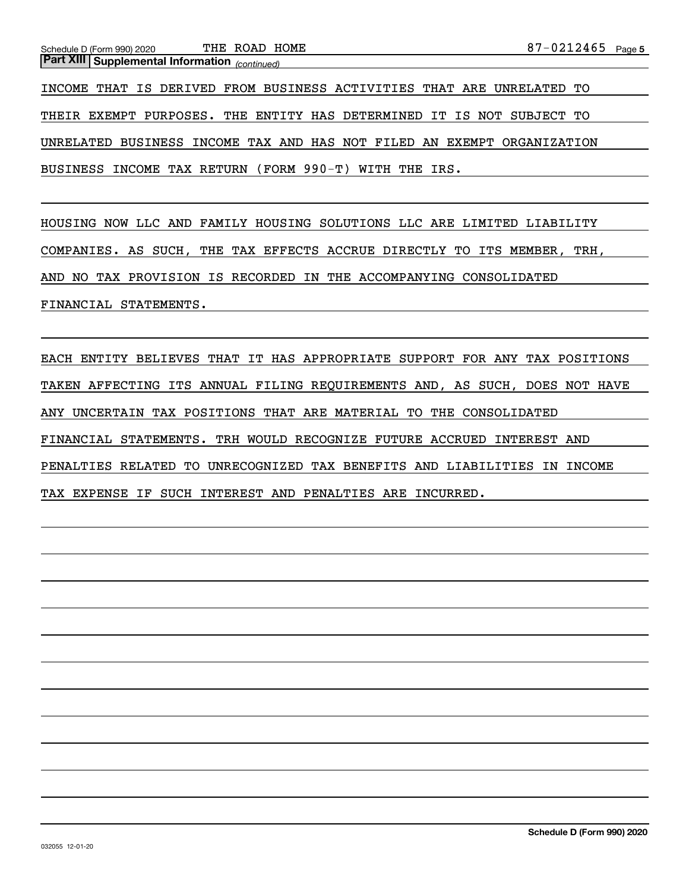*(continued)* **Part XIII Supplemental Information** 

INCOME THAT IS DERIVED FROM BUSINESS ACTIVITIES THAT ARE UNRELATED TO THEIR EXEMPT PURPOSES. THE ENTITY HAS DETERMINED IT IS NOT SUBJECT TO UNRELATED BUSINESS INCOME TAX AND HAS NOT FILED AN EXEMPT ORGANIZATION BUSINESS INCOME TAX RETURN (FORM 990-T) WITH THE IRS.

HOUSING NOW LLC AND FAMILY HOUSING SOLUTIONS LLC ARE LIMITED LIABILITY COMPANIES. AS SUCH, THE TAX EFFECTS ACCRUE DIRECTLY TO ITS MEMBER, TRH, AND NO TAX PROVISION IS RECORDED IN THE ACCOMPANYING CONSOLIDATED FINANCIAL STATEMENTS.

EACH ENTITY BELIEVES THAT IT HAS APPROPRIATE SUPPORT FOR ANY TAX POSITIONS TAKEN AFFECTING ITS ANNUAL FILING REQUIREMENTS AND, AS SUCH, DOES NOT HAVE ANY UNCERTAIN TAX POSITIONS THAT ARE MATERIAL TO THE CONSOLIDATED FINANCIAL STATEMENTS. TRH WOULD RECOGNIZE FUTURE ACCRUED INTEREST AND PENALTIES RELATED TO UNRECOGNIZED TAX BENEFITS AND LIABILITIES IN INCOME TAX EXPENSE IF SUCH INTEREST AND PENALTIES ARE INCURRED.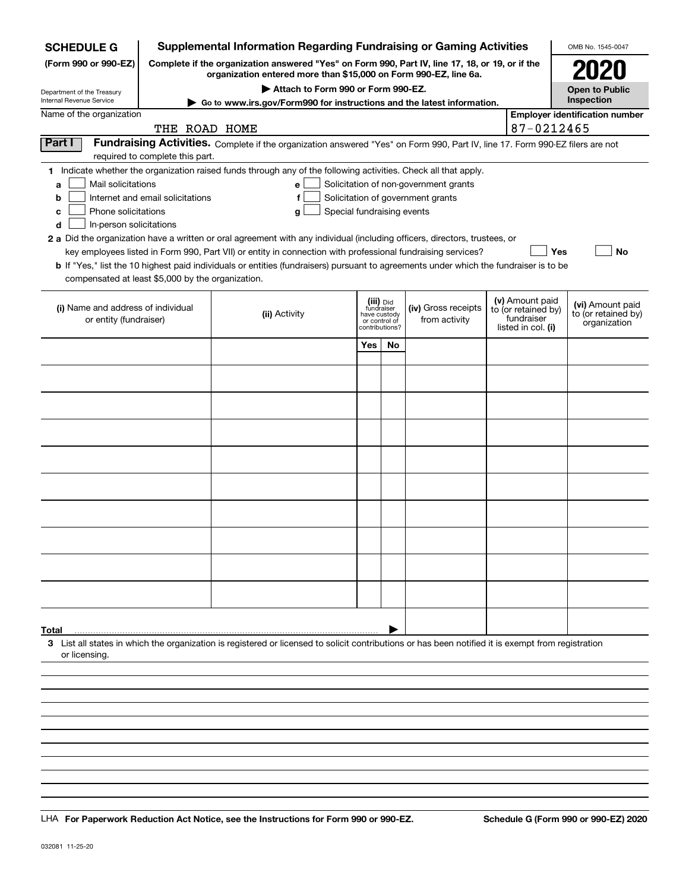| <b>SCHEDULE G</b>                                    |                                  | <b>Supplemental Information Regarding Fundraising or Gaming Activities</b>                                                                                          |                            |                                    |                                       |  |                                   | OMB No. 1545-0047                   |
|------------------------------------------------------|----------------------------------|---------------------------------------------------------------------------------------------------------------------------------------------------------------------|----------------------------|------------------------------------|---------------------------------------|--|-----------------------------------|-------------------------------------|
| (Form 990 or 990-EZ)                                 |                                  | Complete if the organization answered "Yes" on Form 990, Part IV, line 17, 18, or 19, or if the<br>organization entered more than \$15,000 on Form 990-EZ, line 6a. |                            |                                    |                                       |  |                                   | <b>2020</b>                         |
| Department of the Treasury                           |                                  | Attach to Form 990 or Form 990-EZ.<br>Go to www.irs.gov/Form990 for instructions and the latest information.                                                        |                            |                                    |                                       |  |                                   | <b>Open to Public</b>               |
| Internal Revenue Service<br>Name of the organization |                                  | Inspection<br><b>Employer identification number</b>                                                                                                                 |                            |                                    |                                       |  |                                   |                                     |
|                                                      | THE ROAD HOME                    |                                                                                                                                                                     |                            |                                    |                                       |  | 87-0212465                        |                                     |
| Part I                                               |                                  | Fundraising Activities. Complete if the organization answered "Yes" on Form 990, Part IV, line 17. Form 990-EZ filers are not                                       |                            |                                    |                                       |  |                                   |                                     |
|                                                      | required to complete this part.  |                                                                                                                                                                     |                            |                                    |                                       |  |                                   |                                     |
|                                                      |                                  | 1 Indicate whether the organization raised funds through any of the following activities. Check all that apply.                                                     |                            |                                    |                                       |  |                                   |                                     |
| Mail solicitations<br>a                              |                                  | е                                                                                                                                                                   |                            |                                    | Solicitation of non-government grants |  |                                   |                                     |
| b<br>Phone solicitations                             | Internet and email solicitations | f                                                                                                                                                                   | Special fundraising events |                                    | Solicitation of government grants     |  |                                   |                                     |
| с<br>In-person solicitations<br>d                    |                                  | g                                                                                                                                                                   |                            |                                    |                                       |  |                                   |                                     |
|                                                      |                                  | 2 a Did the organization have a written or oral agreement with any individual (including officers, directors, trustees, or                                          |                            |                                    |                                       |  |                                   |                                     |
|                                                      |                                  | key employees listed in Form 990, Part VII) or entity in connection with professional fundraising services?                                                         |                            |                                    |                                       |  |                                   | Yes<br>No                           |
|                                                      |                                  | b If "Yes," list the 10 highest paid individuals or entities (fundraisers) pursuant to agreements under which the fundraiser is to be                               |                            |                                    |                                       |  |                                   |                                     |
| compensated at least \$5,000 by the organization.    |                                  |                                                                                                                                                                     |                            |                                    |                                       |  |                                   |                                     |
| (i) Name and address of individual                   |                                  |                                                                                                                                                                     |                            | (iii) <sub>Did</sub><br>fundraiser | (iv) Gross receipts                   |  | (v) Amount paid                   | (vi) Amount paid                    |
| or entity (fundraiser)                               |                                  | (ii) Activity                                                                                                                                                       | or control of              | have custody                       | from activity                         |  | to (or retained by)<br>fundraiser | to (or retained by)<br>organization |
|                                                      |                                  |                                                                                                                                                                     |                            | contributions?                     |                                       |  | listed in col. (i)                |                                     |
|                                                      |                                  |                                                                                                                                                                     | Yes                        | No                                 |                                       |  |                                   |                                     |
|                                                      |                                  |                                                                                                                                                                     |                            |                                    |                                       |  |                                   |                                     |
|                                                      |                                  |                                                                                                                                                                     |                            |                                    |                                       |  |                                   |                                     |
|                                                      |                                  |                                                                                                                                                                     |                            |                                    |                                       |  |                                   |                                     |
|                                                      |                                  |                                                                                                                                                                     |                            |                                    |                                       |  |                                   |                                     |
|                                                      |                                  |                                                                                                                                                                     |                            |                                    |                                       |  |                                   |                                     |
|                                                      |                                  |                                                                                                                                                                     |                            |                                    |                                       |  |                                   |                                     |
|                                                      |                                  |                                                                                                                                                                     |                            |                                    |                                       |  |                                   |                                     |
|                                                      |                                  |                                                                                                                                                                     |                            |                                    |                                       |  |                                   |                                     |
|                                                      |                                  |                                                                                                                                                                     |                            |                                    |                                       |  |                                   |                                     |
|                                                      |                                  |                                                                                                                                                                     |                            |                                    |                                       |  |                                   |                                     |
|                                                      |                                  |                                                                                                                                                                     |                            |                                    |                                       |  |                                   |                                     |
|                                                      |                                  |                                                                                                                                                                     |                            |                                    |                                       |  |                                   |                                     |
|                                                      |                                  |                                                                                                                                                                     |                            |                                    |                                       |  |                                   |                                     |
|                                                      |                                  |                                                                                                                                                                     |                            |                                    |                                       |  |                                   |                                     |
|                                                      |                                  |                                                                                                                                                                     |                            |                                    |                                       |  |                                   |                                     |
|                                                      |                                  |                                                                                                                                                                     |                            |                                    |                                       |  |                                   |                                     |
| Total                                                |                                  |                                                                                                                                                                     |                            |                                    |                                       |  |                                   |                                     |
| or licensing                                         |                                  | 3 List all states in which the organization is registered or licensed to solicit contributions or has been notified it is exempt from registration                  |                            |                                    |                                       |  |                                   |                                     |
|                                                      |                                  |                                                                                                                                                                     |                            |                                    |                                       |  |                                   |                                     |
|                                                      |                                  |                                                                                                                                                                     |                            |                                    |                                       |  |                                   |                                     |
|                                                      |                                  |                                                                                                                                                                     |                            |                                    |                                       |  |                                   |                                     |
|                                                      |                                  |                                                                                                                                                                     |                            |                                    |                                       |  |                                   |                                     |
|                                                      |                                  |                                                                                                                                                                     |                            |                                    |                                       |  |                                   |                                     |
|                                                      |                                  |                                                                                                                                                                     |                            |                                    |                                       |  |                                   |                                     |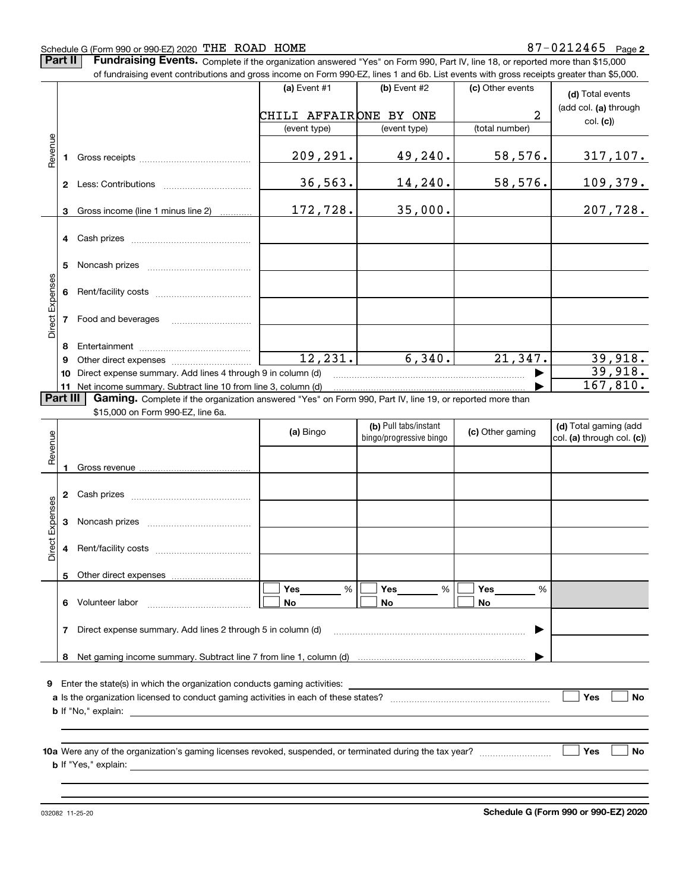#### Schedule G (Form 990 or 990-EZ) 2020 Page THE ROAD HOME 87-0212465

**Part II** | Fundraising Events. Complete if the organization answered "Yes" on Form 990, Part IV, line 18, or reported more than \$15,000 of fundraising event contributions and gross income on Form 990-EZ, lines 1 and 6b. List events with gross receipts greater than \$5,000.

|                 |          | OF RITURIAISHIY EVENT CONTIDUMOTS AND YNGOTIE ON FONN 990-EZ, IINES T AND OD. LIST EVENTS WM YNGOS FECEIDIS YFEATH MAN \$0,000. |                        |                         |                  |                            |
|-----------------|----------|---------------------------------------------------------------------------------------------------------------------------------|------------------------|-------------------------|------------------|----------------------------|
|                 |          |                                                                                                                                 | (a) Event #1           | (b) Event $#2$          | (c) Other events | (d) Total events           |
|                 |          |                                                                                                                                 | CHILI AFFAIRONE BY ONE |                         | 2                | (add col. (a) through      |
|                 |          |                                                                                                                                 | (event type)           | (event type)            | (total number)   | col. (c)                   |
|                 |          |                                                                                                                                 |                        |                         |                  |                            |
| Revenue         |          |                                                                                                                                 |                        |                         |                  |                            |
|                 |          |                                                                                                                                 | 209,291.               | 49,240.                 | 58,576.          | <u>317,107.</u>            |
|                 |          |                                                                                                                                 |                        |                         |                  |                            |
|                 |          |                                                                                                                                 | 36, 563.               | 14,240.                 | 58,576.          | <u> 109,379.</u>           |
|                 |          |                                                                                                                                 |                        |                         |                  |                            |
|                 | 3        | Gross income (line 1 minus line 2)                                                                                              | 172,728.               | 35,000.                 |                  | 207,728.                   |
|                 |          |                                                                                                                                 |                        |                         |                  |                            |
|                 |          | 4 Cash prizes                                                                                                                   |                        |                         |                  |                            |
|                 |          |                                                                                                                                 |                        |                         |                  |                            |
|                 | 5.       |                                                                                                                                 |                        |                         |                  |                            |
| Direct Expenses |          |                                                                                                                                 |                        |                         |                  |                            |
|                 |          |                                                                                                                                 |                        |                         |                  |                            |
|                 |          |                                                                                                                                 |                        |                         |                  |                            |
|                 |          | 7 Food and beverages                                                                                                            |                        |                         |                  |                            |
|                 |          |                                                                                                                                 |                        |                         |                  |                            |
|                 | 8        |                                                                                                                                 |                        |                         |                  |                            |
|                 | 9        |                                                                                                                                 | 12, 231.               | 6,340.                  | 21,347.          | 39,918.                    |
|                 |          | 10 Direct expense summary. Add lines 4 through 9 in column (d)                                                                  |                        |                         |                  | 39,918.                    |
|                 |          | 11 Net income summary. Subtract line 10 from line 3, column (d)                                                                 |                        |                         |                  | 167,810.                   |
|                 | Part III | Gaming. Complete if the organization answered "Yes" on Form 990, Part IV, line 19, or reported more than                        |                        |                         |                  |                            |
|                 |          | \$15,000 on Form 990-EZ, line 6a.                                                                                               |                        |                         |                  |                            |
|                 |          |                                                                                                                                 | (a) Bingo              | (b) Pull tabs/instant   | (c) Other gaming | (d) Total gaming (add      |
| Revenue         |          |                                                                                                                                 |                        | bingo/progressive bingo |                  | col. (a) through col. (c)) |
|                 |          |                                                                                                                                 |                        |                         |                  |                            |
|                 | 1        |                                                                                                                                 |                        |                         |                  |                            |
|                 |          |                                                                                                                                 |                        |                         |                  |                            |
|                 |          |                                                                                                                                 |                        |                         |                  |                            |
|                 |          |                                                                                                                                 |                        |                         |                  |                            |
| Direct Expenses |          |                                                                                                                                 |                        |                         |                  |                            |
|                 |          |                                                                                                                                 |                        |                         |                  |                            |
|                 | 4        |                                                                                                                                 |                        |                         |                  |                            |
|                 |          |                                                                                                                                 |                        |                         |                  |                            |
|                 |          | 5 Other direct expenses                                                                                                         |                        |                         |                  |                            |
|                 |          |                                                                                                                                 | Yes<br>$\%$            | Yes<br>%                | Yes<br>%         |                            |
|                 | 6        | Volunteer labor                                                                                                                 | No                     | No                      | No               |                            |
|                 |          |                                                                                                                                 |                        |                         |                  |                            |
|                 | 7        | Direct expense summary. Add lines 2 through 5 in column (d)                                                                     |                        |                         |                  |                            |
|                 |          |                                                                                                                                 |                        |                         |                  |                            |
|                 | 8        |                                                                                                                                 |                        |                         |                  |                            |
|                 |          |                                                                                                                                 |                        |                         |                  |                            |
|                 |          | 9 Enter the state(s) in which the organization conducts gaming activities:                                                      |                        |                         |                  |                            |
|                 |          |                                                                                                                                 |                        |                         |                  | Yes<br><b>No</b>           |
|                 |          | <b>b</b> If "No," explain:                                                                                                      |                        |                         |                  |                            |
|                 |          |                                                                                                                                 |                        |                         |                  |                            |
|                 |          |                                                                                                                                 |                        |                         |                  |                            |
|                 |          |                                                                                                                                 |                        |                         |                  | Yes<br><b>No</b>           |
|                 |          | <b>b</b> If "Yes," explain:                                                                                                     |                        |                         |                  |                            |
|                 |          |                                                                                                                                 |                        |                         |                  |                            |
|                 |          |                                                                                                                                 |                        |                         |                  |                            |
|                 |          |                                                                                                                                 |                        |                         |                  |                            |

032082 11-25-20

**Schedule G (Form 990 or 990-EZ) 2020**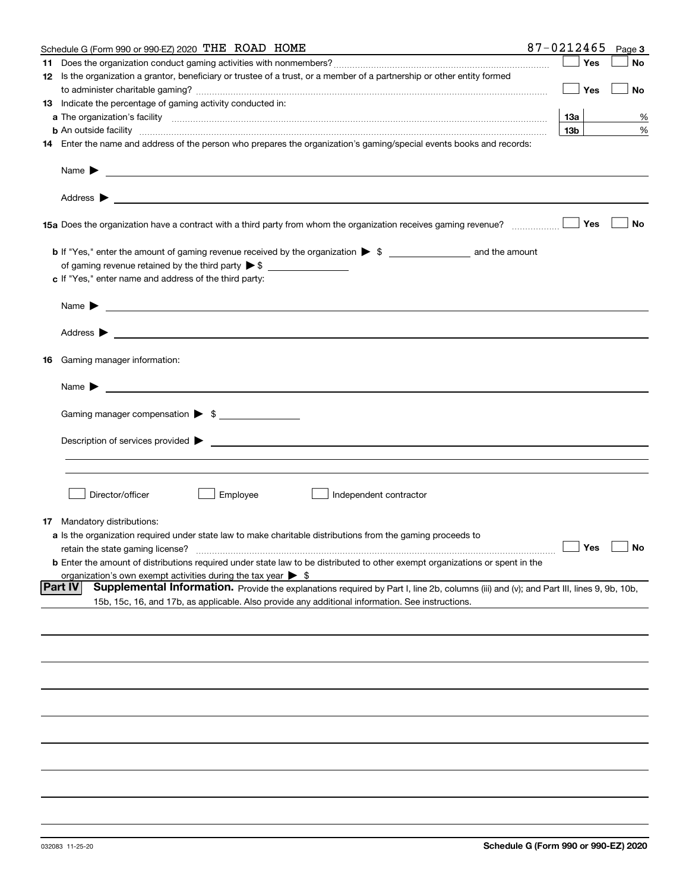|    | Schedule G (Form 990 or 990-EZ) 2020 THE ROAD HOME                                                                                                                                                                                                           | 87-0212465      | Page 3    |
|----|--------------------------------------------------------------------------------------------------------------------------------------------------------------------------------------------------------------------------------------------------------------|-----------------|-----------|
| 11 |                                                                                                                                                                                                                                                              | Yes             | No        |
|    | 12 Is the organization a grantor, beneficiary or trustee of a trust, or a member of a partnership or other entity formed                                                                                                                                     |                 |           |
|    |                                                                                                                                                                                                                                                              | Yes             | No        |
|    | 13 Indicate the percentage of gaming activity conducted in:                                                                                                                                                                                                  |                 |           |
|    |                                                                                                                                                                                                                                                              | 13а             | %         |
|    | <b>b</b> An outside facility <i>www.communically.communically.communically.communically.communically.communically.communically.communically.communically.communically.communically.communically.communically.communically.communicall</i>                    | 13 <sub>b</sub> | %         |
|    | 14 Enter the name and address of the person who prepares the organization's gaming/special events books and records:                                                                                                                                         |                 |           |
|    |                                                                                                                                                                                                                                                              |                 |           |
|    |                                                                                                                                                                                                                                                              |                 |           |
|    |                                                                                                                                                                                                                                                              | Yes             | No        |
|    |                                                                                                                                                                                                                                                              |                 |           |
|    |                                                                                                                                                                                                                                                              |                 |           |
|    | c If "Yes," enter name and address of the third party:                                                                                                                                                                                                       |                 |           |
|    | Name $\blacktriangleright$ $\bot$                                                                                                                                                                                                                            |                 |           |
|    |                                                                                                                                                                                                                                                              |                 |           |
|    | 16 Gaming manager information:                                                                                                                                                                                                                               |                 |           |
|    | Name $\blacktriangleright$                                                                                                                                                                                                                                   |                 |           |
|    | Gaming manager compensation > \$                                                                                                                                                                                                                             |                 |           |
|    |                                                                                                                                                                                                                                                              |                 |           |
|    |                                                                                                                                                                                                                                                              |                 |           |
|    |                                                                                                                                                                                                                                                              |                 |           |
|    |                                                                                                                                                                                                                                                              |                 |           |
|    |                                                                                                                                                                                                                                                              |                 |           |
|    | Director/officer<br>Employee<br>Independent contractor                                                                                                                                                                                                       |                 |           |
| 17 | Mandatory distributions:                                                                                                                                                                                                                                     |                 |           |
|    | a Is the organization required under state law to make charitable distributions from the gaming proceeds to                                                                                                                                                  |                 |           |
|    | retain the state gaming license?                                                                                                                                                                                                                             | $\Box$ Yes      | $\Box$ No |
|    | <b>b</b> Enter the amount of distributions required under state law to be distributed to other exempt organizations or spent in the                                                                                                                          |                 |           |
|    | organization's own exempt activities during the tax year $\triangleright$ \$                                                                                                                                                                                 |                 |           |
|    | <b>Part IV</b><br>Supplemental Information. Provide the explanations required by Part I, line 2b, columns (iii) and (v); and Part III, lines 9, 9b, 10b,<br>15b, 15c, 16, and 17b, as applicable. Also provide any additional information. See instructions. |                 |           |
|    |                                                                                                                                                                                                                                                              |                 |           |
|    |                                                                                                                                                                                                                                                              |                 |           |
|    |                                                                                                                                                                                                                                                              |                 |           |
|    |                                                                                                                                                                                                                                                              |                 |           |
|    |                                                                                                                                                                                                                                                              |                 |           |
|    |                                                                                                                                                                                                                                                              |                 |           |
|    |                                                                                                                                                                                                                                                              |                 |           |
|    |                                                                                                                                                                                                                                                              |                 |           |
|    |                                                                                                                                                                                                                                                              |                 |           |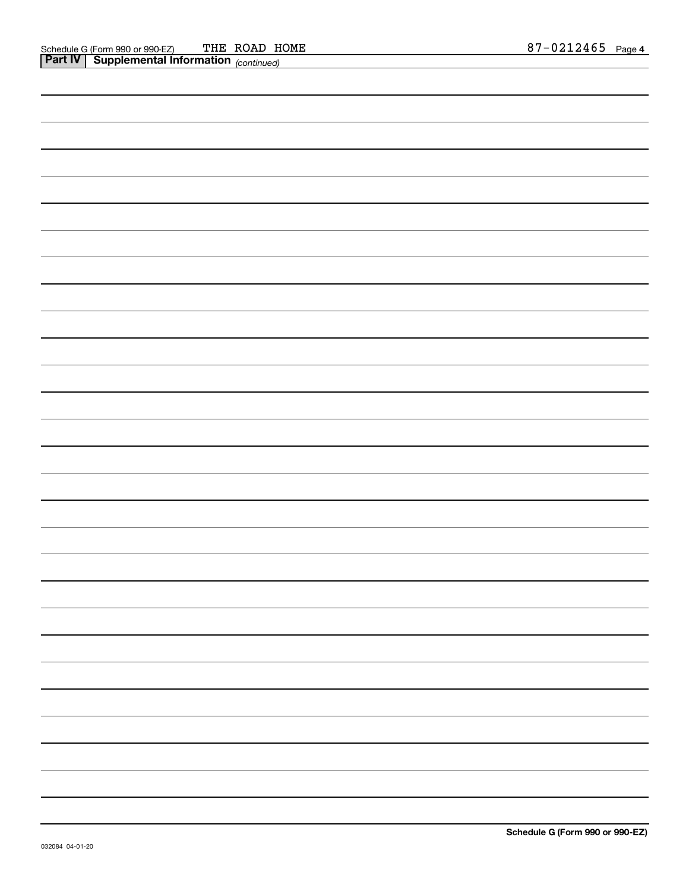| <b>Part IV   Supplemental Information</b> (continued) |  |
|-------------------------------------------------------|--|
|                                                       |  |
|                                                       |  |
|                                                       |  |
|                                                       |  |
|                                                       |  |
|                                                       |  |
|                                                       |  |
|                                                       |  |
|                                                       |  |
|                                                       |  |
|                                                       |  |
|                                                       |  |
|                                                       |  |
|                                                       |  |
|                                                       |  |
|                                                       |  |
|                                                       |  |
|                                                       |  |
|                                                       |  |
|                                                       |  |
|                                                       |  |
|                                                       |  |
|                                                       |  |
|                                                       |  |
|                                                       |  |
|                                                       |  |
|                                                       |  |
|                                                       |  |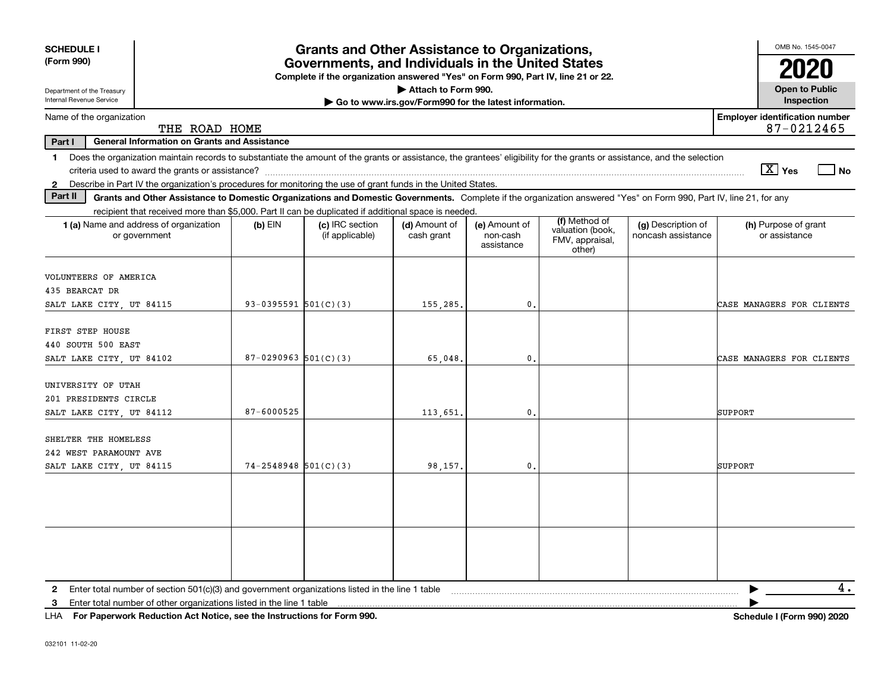| <b>SCHEDULE I</b><br><b>Grants and Other Assistance to Organizations,</b><br>(Form 990)<br>Governments, and Individuals in the United States<br>Complete if the organization answered "Yes" on Form 990, Part IV, line 21 or 22.<br>Attach to Form 990.<br>Department of the Treasury<br>Internal Revenue Service<br>Go to www.irs.gov/Form990 for the latest information. |                          |                                    |                             |                                         |                                                                |                                          |                                                     |  |  |
|----------------------------------------------------------------------------------------------------------------------------------------------------------------------------------------------------------------------------------------------------------------------------------------------------------------------------------------------------------------------------|--------------------------|------------------------------------|-----------------------------|-----------------------------------------|----------------------------------------------------------------|------------------------------------------|-----------------------------------------------------|--|--|
| Name of the organization                                                                                                                                                                                                                                                                                                                                                   |                          |                                    |                             |                                         |                                                                |                                          | Inspection<br><b>Employer identification number</b> |  |  |
| THE ROAD HOME                                                                                                                                                                                                                                                                                                                                                              |                          |                                    |                             |                                         |                                                                |                                          | 87-0212465                                          |  |  |
| General Information on Grants and Assistance<br>Part I                                                                                                                                                                                                                                                                                                                     |                          |                                    |                             |                                         |                                                                |                                          |                                                     |  |  |
| Does the organization maintain records to substantiate the amount of the grants or assistance, the grantees' eligibility for the grants or assistance, and the selection<br>$\mathbf 1$                                                                                                                                                                                    |                          |                                    |                             |                                         |                                                                |                                          | $\boxed{\text{X}}$ Yes<br>$ $ No                    |  |  |
| Describe in Part IV the organization's procedures for monitoring the use of grant funds in the United States.<br>$\mathbf{2}$<br>Part II<br>Grants and Other Assistance to Domestic Organizations and Domestic Governments. Complete if the organization answered "Yes" on Form 990, Part IV, line 21, for any                                                             |                          |                                    |                             |                                         |                                                                |                                          |                                                     |  |  |
| recipient that received more than \$5,000. Part II can be duplicated if additional space is needed.                                                                                                                                                                                                                                                                        |                          |                                    |                             |                                         |                                                                |                                          |                                                     |  |  |
| <b>1 (a)</b> Name and address of organization<br>or government                                                                                                                                                                                                                                                                                                             | $(b)$ EIN                | (c) IRC section<br>(if applicable) | (d) Amount of<br>cash grant | (e) Amount of<br>non-cash<br>assistance | (f) Method of<br>valuation (book,<br>FMV, appraisal,<br>other) | (g) Description of<br>noncash assistance | (h) Purpose of grant<br>or assistance               |  |  |
| VOLUNTEERS OF AMERICA<br>435 BEARCAT DR<br>SALT LAKE CITY, UT 84115                                                                                                                                                                                                                                                                                                        | 93-0395591 $501(C)(3)$   |                                    | 155.285.                    | $\mathbf{0}$ .                          |                                                                |                                          | CASE MANAGERS FOR CLIENTS                           |  |  |
| FIRST STEP HOUSE<br>440 SOUTH 500 EAST<br>SALT LAKE CITY, UT 84102                                                                                                                                                                                                                                                                                                         | $87-0290963$ $501(C)(3)$ |                                    | 65,048,                     | $\mathbf{0}$                            |                                                                |                                          | CASE MANAGERS FOR CLIENTS                           |  |  |
| UNIVERSITY OF UTAH<br>201 PRESIDENTS CIRCLE<br>SALT LAKE CITY, UT 84112                                                                                                                                                                                                                                                                                                    | 87-6000525               |                                    | 113,651.                    | $\mathbf{0}$                            |                                                                |                                          | SUPPORT                                             |  |  |
| SHELTER THE HOMELESS<br>242 WEST PARAMOUNT AVE<br>SALT LAKE CITY, UT 84115                                                                                                                                                                                                                                                                                                 | $74 - 2548948$ 501(C)(3) |                                    | 98.157.                     | $\mathbf{0}$                            |                                                                |                                          | SUPPORT                                             |  |  |
|                                                                                                                                                                                                                                                                                                                                                                            |                          |                                    |                             |                                         |                                                                |                                          |                                                     |  |  |
|                                                                                                                                                                                                                                                                                                                                                                            |                          |                                    |                             |                                         |                                                                |                                          |                                                     |  |  |
| Enter total number of section 501(c)(3) and government organizations listed in the line 1 table<br>$\mathbf{2}$<br>Enter total number of other organizations listed in the line 1 table<br>3                                                                                                                                                                               |                          |                                    |                             |                                         |                                                                |                                          | 4.                                                  |  |  |

**For Paperwork Reduction Act Notice, see the Instructions for Form 990. Schedule I (Form 990) 2020** LHA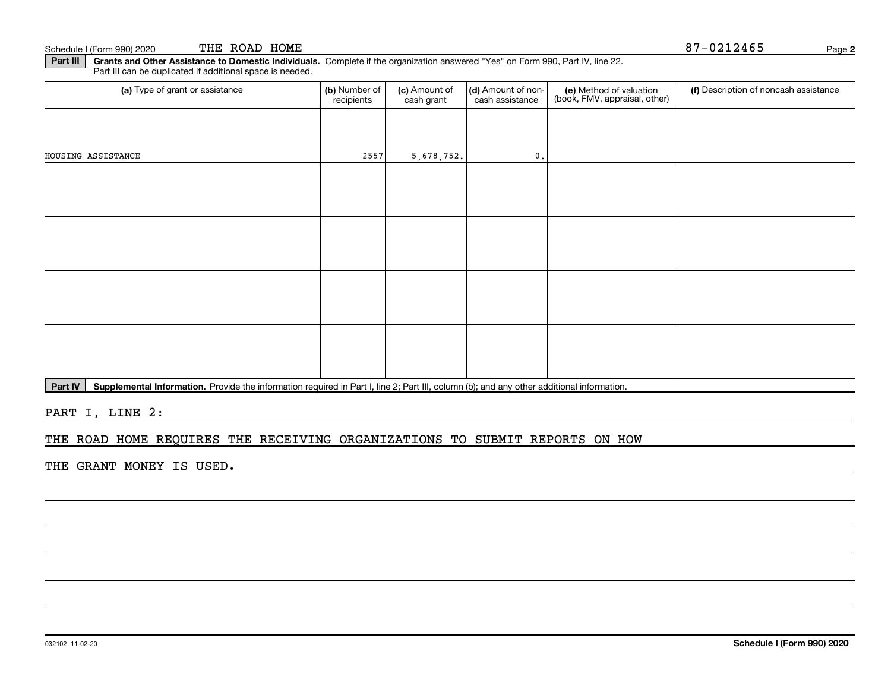Schedule I (Form 990) 2020 THE ROAD HOME  $87-0212465$ THE ROAD HOME

**Part III | Grants and Other Assistance to Domestic Individuals. Complete if the organization answered "Yes" on Form 990, Part IV, line 22.** Part III can be duplicated if additional space is needed.

| (a) Type of grant or assistance | (b) Number of<br>recipients | (c) Amount of<br>cash grant | (d) Amount of non-<br>cash assistance | (e) Method of valuation<br>(book, FMV, appraisal, other) | (f) Description of noncash assistance |
|---------------------------------|-----------------------------|-----------------------------|---------------------------------------|----------------------------------------------------------|---------------------------------------|
|                                 |                             |                             |                                       |                                                          |                                       |
| HOUSING ASSISTANCE              | 2557                        | 5,678,752.                  | $\mathfrak o$ .                       |                                                          |                                       |
|                                 |                             |                             |                                       |                                                          |                                       |
|                                 |                             |                             |                                       |                                                          |                                       |
|                                 |                             |                             |                                       |                                                          |                                       |
|                                 |                             |                             |                                       |                                                          |                                       |
|                                 |                             |                             |                                       |                                                          |                                       |
|                                 |                             |                             |                                       |                                                          |                                       |
|                                 |                             |                             |                                       |                                                          |                                       |
|                                 |                             |                             |                                       |                                                          |                                       |

Part IV | Supplemental Information. Provide the information required in Part I, line 2; Part III, column (b); and any other additional information.

PART I, LINE 2:

### THE ROAD HOME REQUIRES THE RECEIVING ORGANIZATIONS TO SUBMIT REPORTS ON HOW

THE GRANT MONEY IS USED.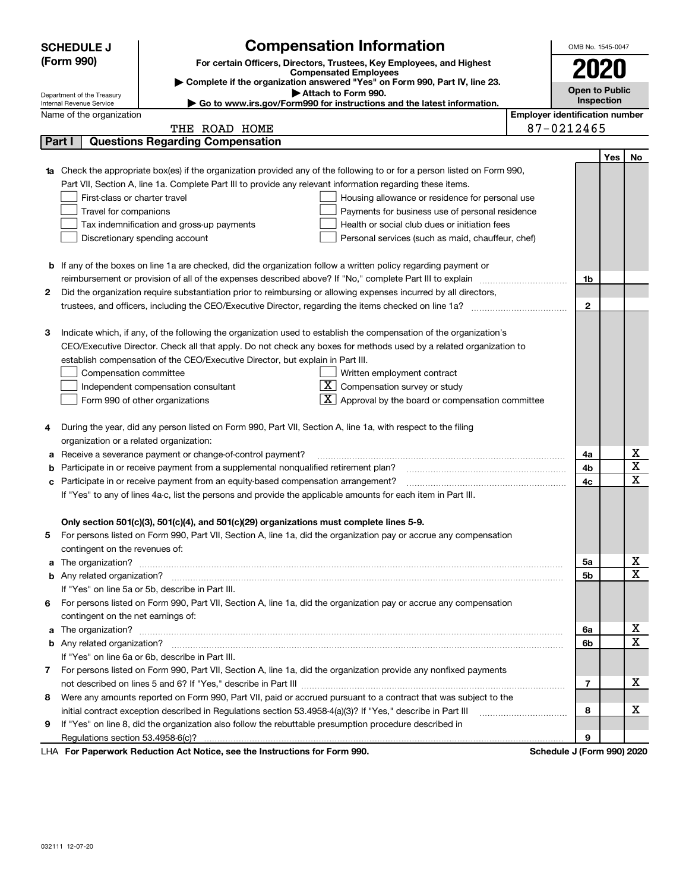|    | <b>SCHEDULE J</b>                                                                   | <b>Compensation Information</b>                                                                                                                                                                                                      |            | OMB No. 1545-0047                     |     |             |
|----|-------------------------------------------------------------------------------------|--------------------------------------------------------------------------------------------------------------------------------------------------------------------------------------------------------------------------------------|------------|---------------------------------------|-----|-------------|
|    | (Form 990)<br>For certain Officers, Directors, Trustees, Key Employees, and Highest |                                                                                                                                                                                                                                      |            |                                       |     |             |
|    |                                                                                     | <b>Compensated Employees</b>                                                                                                                                                                                                         |            | 2020                                  |     |             |
|    | Department of the Treasury                                                          | Complete if the organization answered "Yes" on Form 990, Part IV, line 23.<br>Attach to Form 990.                                                                                                                                    |            | <b>Open to Public</b>                 |     |             |
|    | Internal Revenue Service                                                            |                                                                                                                                                                                                                                      | Inspection |                                       |     |             |
|    | Name of the organization                                                            |                                                                                                                                                                                                                                      |            | <b>Employer identification number</b> |     |             |
|    |                                                                                     | THE ROAD HOME                                                                                                                                                                                                                        |            | 87-0212465                            |     |             |
|    | Part I                                                                              | <b>Questions Regarding Compensation</b>                                                                                                                                                                                              |            |                                       |     |             |
|    |                                                                                     |                                                                                                                                                                                                                                      |            |                                       | Yes | No          |
| 1a |                                                                                     | Check the appropriate box(es) if the organization provided any of the following to or for a person listed on Form 990,                                                                                                               |            |                                       |     |             |
|    |                                                                                     | Part VII, Section A, line 1a. Complete Part III to provide any relevant information regarding these items.                                                                                                                           |            |                                       |     |             |
|    | First-class or charter travel                                                       | Housing allowance or residence for personal use                                                                                                                                                                                      |            |                                       |     |             |
|    | Travel for companions                                                               | Payments for business use of personal residence                                                                                                                                                                                      |            |                                       |     |             |
|    |                                                                                     | Health or social club dues or initiation fees<br>Tax indemnification and gross-up payments                                                                                                                                           |            |                                       |     |             |
|    |                                                                                     | Discretionary spending account<br>Personal services (such as maid, chauffeur, chef)                                                                                                                                                  |            |                                       |     |             |
|    |                                                                                     |                                                                                                                                                                                                                                      |            |                                       |     |             |
|    |                                                                                     | <b>b</b> If any of the boxes on line 1a are checked, did the organization follow a written policy regarding payment or                                                                                                               |            |                                       |     |             |
|    |                                                                                     | reimbursement or provision of all of the expenses described above? If "No," complete Part III to explain                                                                                                                             |            | 1b                                    |     |             |
| 2  |                                                                                     | Did the organization require substantiation prior to reimbursing or allowing expenses incurred by all directors,                                                                                                                     |            |                                       |     |             |
|    |                                                                                     |                                                                                                                                                                                                                                      |            | $\mathbf{2}$                          |     |             |
|    |                                                                                     |                                                                                                                                                                                                                                      |            |                                       |     |             |
| з  |                                                                                     | Indicate which, if any, of the following the organization used to establish the compensation of the organization's                                                                                                                   |            |                                       |     |             |
|    |                                                                                     | CEO/Executive Director. Check all that apply. Do not check any boxes for methods used by a related organization to                                                                                                                   |            |                                       |     |             |
|    |                                                                                     | establish compensation of the CEO/Executive Director, but explain in Part III.                                                                                                                                                       |            |                                       |     |             |
|    | Compensation committee                                                              | Written employment contract                                                                                                                                                                                                          |            |                                       |     |             |
|    |                                                                                     | $\lfloor \underline{X} \rfloor$ Compensation survey or study<br>Independent compensation consultant                                                                                                                                  |            |                                       |     |             |
|    |                                                                                     | $\lfloor x \rfloor$ Approval by the board or compensation committee<br>Form 990 of other organizations                                                                                                                               |            |                                       |     |             |
|    |                                                                                     |                                                                                                                                                                                                                                      |            |                                       |     |             |
| 4  |                                                                                     | During the year, did any person listed on Form 990, Part VII, Section A, line 1a, with respect to the filing                                                                                                                         |            |                                       |     |             |
|    | organization or a related organization:                                             |                                                                                                                                                                                                                                      |            |                                       |     | х           |
| а  |                                                                                     | Receive a severance payment or change-of-control payment?                                                                                                                                                                            |            | 4a                                    |     | X           |
| b  |                                                                                     | Participate in or receive payment from a supplemental nonqualified retirement plan?                                                                                                                                                  |            | 4b                                    |     | $\mathbf x$ |
| с  |                                                                                     | Participate in or receive payment from an equity-based compensation arrangement?                                                                                                                                                     |            | 4с                                    |     |             |
|    |                                                                                     | If "Yes" to any of lines 4a-c, list the persons and provide the applicable amounts for each item in Part III.                                                                                                                        |            |                                       |     |             |
|    |                                                                                     | Only section 501(c)(3), 501(c)(4), and 501(c)(29) organizations must complete lines 5-9.                                                                                                                                             |            |                                       |     |             |
|    |                                                                                     | For persons listed on Form 990, Part VII, Section A, line 1a, did the organization pay or accrue any compensation                                                                                                                    |            |                                       |     |             |
|    | contingent on the revenues of:                                                      |                                                                                                                                                                                                                                      |            |                                       |     |             |
| a  |                                                                                     | The organization? <b>With the contract of the contract of the contract of the contract of the contract of the contract of the contract of the contract of the contract of the contract of the contract of the contract of the co</b> |            | 5а                                    |     | х           |
|    |                                                                                     |                                                                                                                                                                                                                                      |            | 5b                                    |     | X           |
|    |                                                                                     | If "Yes" on line 5a or 5b, describe in Part III.                                                                                                                                                                                     |            |                                       |     |             |
| 6  |                                                                                     | For persons listed on Form 990, Part VII, Section A, line 1a, did the organization pay or accrue any compensation                                                                                                                    |            |                                       |     |             |
|    | contingent on the net earnings of:                                                  |                                                                                                                                                                                                                                      |            |                                       |     |             |
| a  |                                                                                     |                                                                                                                                                                                                                                      |            | 6a                                    |     | х           |
|    |                                                                                     |                                                                                                                                                                                                                                      |            | 6b                                    |     | $\mathbf X$ |
|    |                                                                                     | If "Yes" on line 6a or 6b, describe in Part III.                                                                                                                                                                                     |            |                                       |     |             |
| 7  |                                                                                     | For persons listed on Form 990, Part VII, Section A, line 1a, did the organization provide any nonfixed payments                                                                                                                     |            |                                       |     |             |
|    |                                                                                     |                                                                                                                                                                                                                                      |            | $\overline{7}$                        |     | х           |
| 8  |                                                                                     | Were any amounts reported on Form 990, Part VII, paid or accrued pursuant to a contract that was subject to the                                                                                                                      |            |                                       |     |             |
|    |                                                                                     | initial contract exception described in Regulations section 53.4958-4(a)(3)? If "Yes," describe in Part III                                                                                                                          |            | 8                                     |     | х           |
| 9  |                                                                                     | If "Yes" on line 8, did the organization also follow the rebuttable presumption procedure described in                                                                                                                               |            |                                       |     |             |
|    |                                                                                     |                                                                                                                                                                                                                                      |            | 9                                     |     |             |
|    |                                                                                     | LHA For Departments Reduction Act Notice, and the Instructions for Form 000                                                                                                                                                          |            | Schodule I (Farm 000) 2020            |     |             |

LHA For Paperwork Reduction Act Notice, see the Instructions for Form 990. Schedule J (Form 990) 2020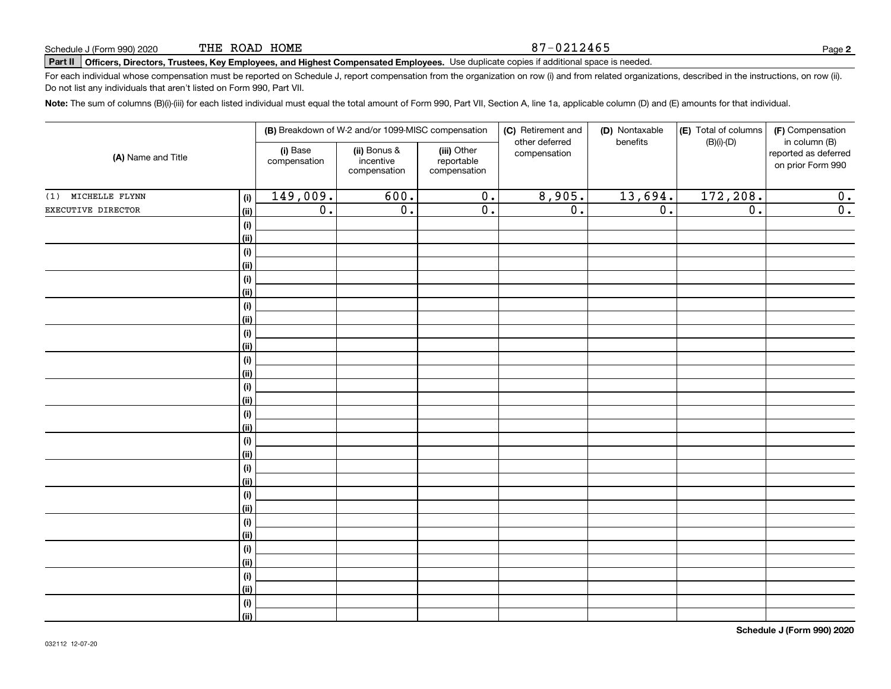#### 87-0212465

# **Part II Officers, Directors, Trustees, Key Employees, and Highest Compensated Employees.**  Schedule J (Form 990) 2020 Page Use duplicate copies if additional space is needed.

For each individual whose compensation must be reported on Schedule J, report compensation from the organization on row (i) and from related organizations, described in the instructions, on row (ii). Do not list any individuals that aren't listed on Form 990, Part VII.

**Note:**  The sum of columns (B)(i)-(iii) for each listed individual must equal the total amount of Form 990, Part VII, Section A, line 1a, applicable column (D) and (E) amounts for that individual.

| (A) Name and Title |             |                          | (B) Breakdown of W-2 and/or 1099-MISC compensation |                                           | (C) Retirement and             | (D) Nontaxable   | (E) Total of columns<br>(F) Compensation |                                                            |  |
|--------------------|-------------|--------------------------|----------------------------------------------------|-------------------------------------------|--------------------------------|------------------|------------------------------------------|------------------------------------------------------------|--|
|                    |             | (i) Base<br>compensation | (ii) Bonus &<br>incentive<br>compensation          | (iii) Other<br>reportable<br>compensation | other deferred<br>compensation | benefits         | $(B)(i)-(D)$                             | in column (B)<br>reported as deferred<br>on prior Form 990 |  |
| (1) MICHELLE FLYNN | (i)         | 149,009.                 | 600.                                               | $\overline{0}$ .                          | 8,905.                         | 13,694.          | 172,208.                                 | 0.                                                         |  |
| EXECUTIVE DIRECTOR | (ii)        | $\overline{0}$ .         | $\overline{0}$ .                                   | $\overline{0}$ .                          | $\overline{0}$ .               | $\overline{0}$ . | $\overline{0}$ .                         | $\overline{0}$ .                                           |  |
|                    | (i)         |                          |                                                    |                                           |                                |                  |                                          |                                                            |  |
|                    | (ii)        |                          |                                                    |                                           |                                |                  |                                          |                                                            |  |
|                    | (i)         |                          |                                                    |                                           |                                |                  |                                          |                                                            |  |
|                    | (ii)        |                          |                                                    |                                           |                                |                  |                                          |                                                            |  |
|                    | (i)         |                          |                                                    |                                           |                                |                  |                                          |                                                            |  |
|                    | (ii)        |                          |                                                    |                                           |                                |                  |                                          |                                                            |  |
|                    | (i)         |                          |                                                    |                                           |                                |                  |                                          |                                                            |  |
|                    | (ii)        |                          |                                                    |                                           |                                |                  |                                          |                                                            |  |
|                    | (i)         |                          |                                                    |                                           |                                |                  |                                          |                                                            |  |
|                    | (ii)        |                          |                                                    |                                           |                                |                  |                                          |                                                            |  |
|                    | (i)         |                          |                                                    |                                           |                                |                  |                                          |                                                            |  |
|                    | (ii)        |                          |                                                    |                                           |                                |                  |                                          |                                                            |  |
|                    | (i)         |                          |                                                    |                                           |                                |                  |                                          |                                                            |  |
|                    | (ii)        |                          |                                                    |                                           |                                |                  |                                          |                                                            |  |
|                    | (i)         |                          |                                                    |                                           |                                |                  |                                          |                                                            |  |
|                    | (ii)<br>(i) |                          |                                                    |                                           |                                |                  |                                          |                                                            |  |
|                    | (ii)        |                          |                                                    |                                           |                                |                  |                                          |                                                            |  |
|                    | (i)         |                          |                                                    |                                           |                                |                  |                                          |                                                            |  |
|                    | (ii)        |                          |                                                    |                                           |                                |                  |                                          |                                                            |  |
|                    | $(\sf{i})$  |                          |                                                    |                                           |                                |                  |                                          |                                                            |  |
|                    | (ii)        |                          |                                                    |                                           |                                |                  |                                          |                                                            |  |
|                    | (i)         |                          |                                                    |                                           |                                |                  |                                          |                                                            |  |
|                    | (ii)        |                          |                                                    |                                           |                                |                  |                                          |                                                            |  |
|                    | (i)         |                          |                                                    |                                           |                                |                  |                                          |                                                            |  |
|                    | (ii)        |                          |                                                    |                                           |                                |                  |                                          |                                                            |  |
|                    | (i)         |                          |                                                    |                                           |                                |                  |                                          |                                                            |  |
|                    | (ii)        |                          |                                                    |                                           |                                |                  |                                          |                                                            |  |
|                    | (i)         |                          |                                                    |                                           |                                |                  |                                          |                                                            |  |
|                    | (ii)        |                          |                                                    |                                           |                                |                  |                                          |                                                            |  |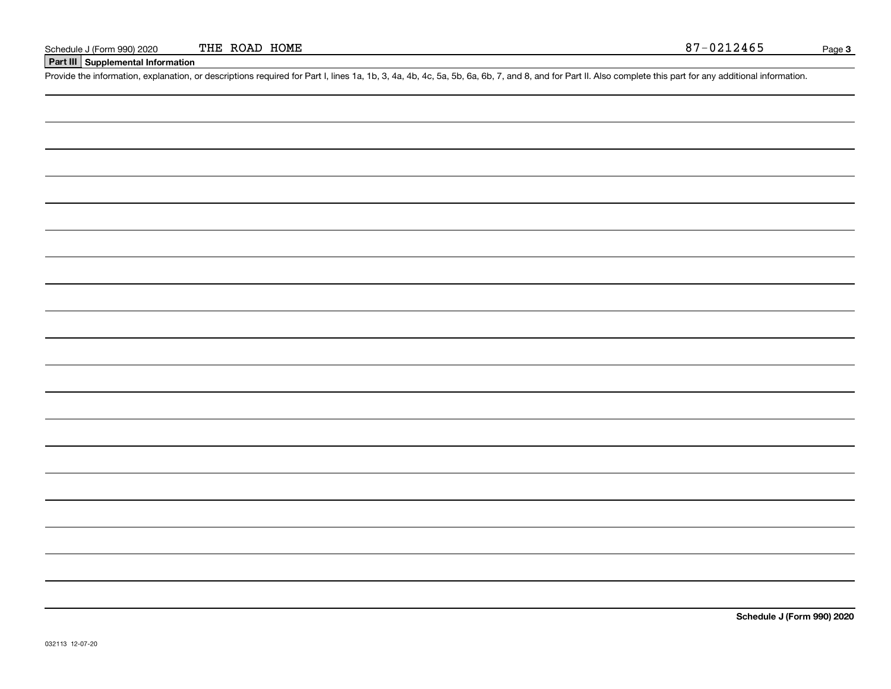## **Part III Supplemental Information**

Schedule J (Form 990) 2020 THE ROAD HOME<br>Part III Supplemental Information<br>Provide the information, explanation, or descriptions required for Part I, lines 1a, 1b, 3, 4a, 4b, 4c, 5a, 5b, 6a, 6b, 7, and 8, and for Part II.

**Schedule J (Form 990) 2020**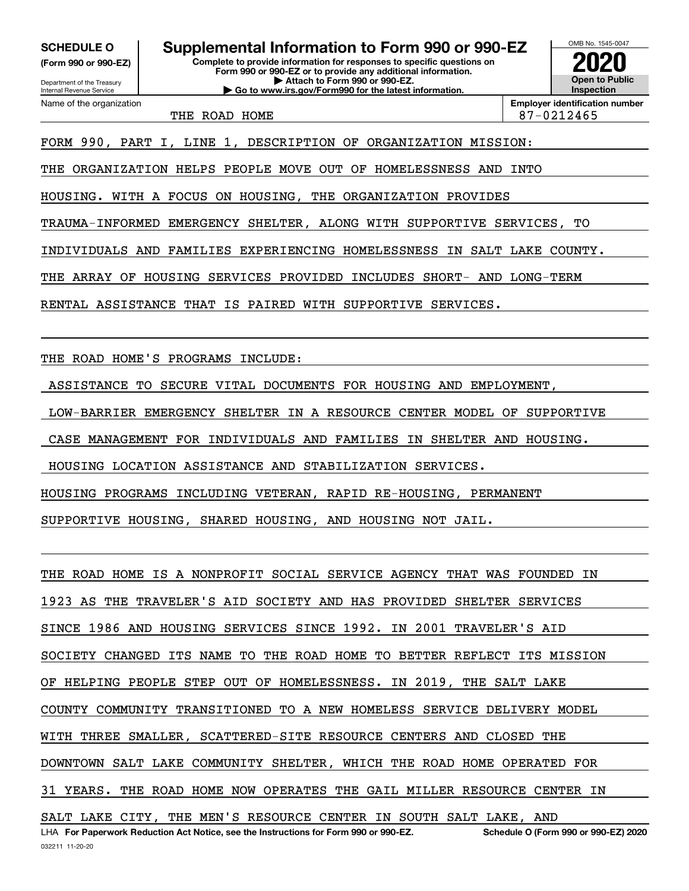Internal Revenue Service

Department of the Treasury **(Form 990 or 990-EZ)**

Name of the organization

**Complete to provide information for responses to specific questions on SCHEDULE O Supplemental Information to Form 990 or 990-EZ**

**Form 990 or 990-EZ or to provide any additional information. | Attach to Form 990 or 990-EZ. | Go to www.irs.gov/Form990 for the latest information.**

OMB No. 1545-0047 **Open to Public Inspection2020**

THE ROAD HOME 87-0212465

**Employer identification number**

FORM 990, PART I, LINE 1, DESCRIPTION OF ORGANIZATION MISSION:

THE ORGANIZATION HELPS PEOPLE MOVE OUT OF HOMELESSNESS AND INTO

HOUSING. WITH A FOCUS ON HOUSING, THE ORGANIZATION PROVIDES

TRAUMA-INFORMED EMERGENCY SHELTER, ALONG WITH SUPPORTIVE SERVICES, TO

INDIVIDUALS AND FAMILIES EXPERIENCING HOMELESSNESS IN SALT LAKE COUNTY.

THE ARRAY OF HOUSING SERVICES PROVIDED INCLUDES SHORT- AND LONG-TERM

RENTAL ASSISTANCE THAT IS PAIRED WITH SUPPORTIVE SERVICES.

THE ROAD HOME'S PROGRAMS INCLUDE:

ASSISTANCE TO SECURE VITAL DOCUMENTS FOR HOUSING AND EMPLOYMENT

LOW-BARRIER EMERGENCY SHELTER IN A RESOURCE CENTER MODEL OF SUPPORTIVE

CASE MANAGEMENT FOR INDIVIDUALS AND FAMILIES IN SHELTER AND HOUSING.

HOUSING LOCATION ASSISTANCE AND STABILIZATION SERVICES.

HOUSING PROGRAMS INCLUDING VETERAN, RAPID RE-HOUSING, PERMANENT

SUPPORTIVE HOUSING, SHARED HOUSING, AND HOUSING NOT JAIL.

LHA For Paperwork Reduction Act Notice, see the Instructions for Form 990 or 990-EZ. Schedule O (Form 990 or 990-EZ) 2020 THE ROAD HOME IS A NONPROFIT SOCIAL SERVICE AGENCY THAT WAS FOUNDED IN 1923 AS THE TRAVELER'S AID SOCIETY AND HAS PROVIDED SHELTER SERVICES SINCE 1986 AND HOUSING SERVICES SINCE 1992. IN 2001 TRAVELER'S AID SOCIETY CHANGED ITS NAME TO THE ROAD HOME TO BETTER REFLECT ITS MISSION OF HELPING PEOPLE STEP OUT OF HOMELESSNESS. IN 2019, THE SALT LAKE COUNTY COMMUNITY TRANSITIONED TO A NEW HOMELESS SERVICE DELIVERY MODEL WITH THREE SMALLER, SCATTERED-SITE RESOURCE CENTERS AND CLOSED THE DOWNTOWN SALT LAKE COMMUNITY SHELTER, WHICH THE ROAD HOME OPERATED FOR 31 YEARS. THE ROAD HOME NOW OPERATES THE GAIL MILLER RESOURCE CENTER IN SALT LAKE CITY, THE MEN'S RESOURCE CENTER IN SOUTH SALT LAKE, AND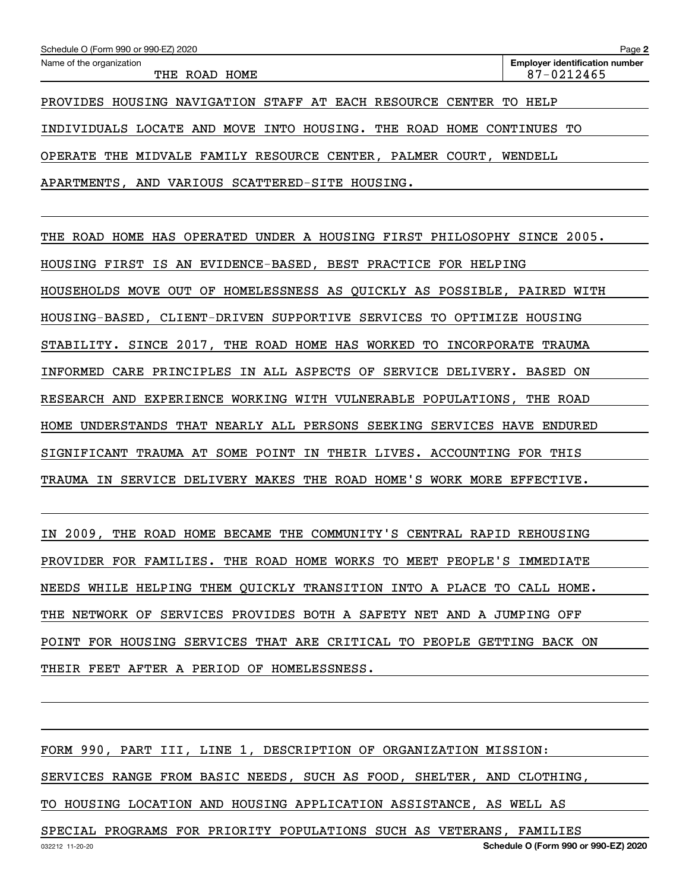OPERATE THE MIDVALE FAMILY RESOURCE CENTER, PALMER COURT, WENDELL

APARTMENTS, AND VARIOUS SCATTERED-SITE HOUSING.

THE ROAD HOME HAS OPERATED UNDER A HOUSING FIRST PHILOSOPHY SINCE 2005. HOUSING FIRST IS AN EVIDENCE-BASED, BEST PRACTICE FOR HELPING HOUSEHOLDS MOVE OUT OF HOMELESSNESS AS QUICKLY AS POSSIBLE, PAIRED WITH HOUSING-BASED, CLIENT-DRIVEN SUPPORTIVE SERVICES TO OPTIMIZE HOUSING STABILITY. SINCE 2017, THE ROAD HOME HAS WORKED TO INCORPORATE TRAUMA INFORMED CARE PRINCIPLES IN ALL ASPECTS OF SERVICE DELIVERY. BASED ON RESEARCH AND EXPERIENCE WORKING WITH VULNERABLE POPULATIONS, THE ROAD HOME UNDERSTANDS THAT NEARLY ALL PERSONS SEEKING SERVICES HAVE ENDURED SIGNIFICANT TRAUMA AT SOME POINT IN THEIR LIVES. ACCOUNTING FOR THIS TRAUMA IN SERVICE DELIVERY MAKES THE ROAD HOME'S WORK MORE EFFECTIVE.

IN 2009, THE ROAD HOME BECAME THE COMMUNITY'S CENTRAL RAPID REHOUSING PROVIDER FOR FAMILIES. THE ROAD HOME WORKS TO MEET PEOPLE'S IMMEDIATE NEEDS WHILE HELPING THEM QUICKLY TRANSITION INTO A PLACE TO CALL HOME. THE NETWORK OF SERVICES PROVIDES BOTH A SAFETY NET AND A JUMPING OFF POINT FOR HOUSING SERVICES THAT ARE CRITICAL TO PEOPLE GETTING BACK ON THEIR FEET AFTER A PERIOD OF HOMELESSNESS.

FORM 990, PART III, LINE 1, DESCRIPTION OF ORGANIZATION MISSION: SERVICES RANGE FROM BASIC NEEDS, SUCH AS FOOD, SHELTER, AND CLOTHING, TO HOUSING LOCATION AND HOUSING APPLICATION ASSISTANCE, AS WELL AS SPECIAL PROGRAMS FOR PRIORITY POPULATIONS SUCH AS VETERANS, FAMILIES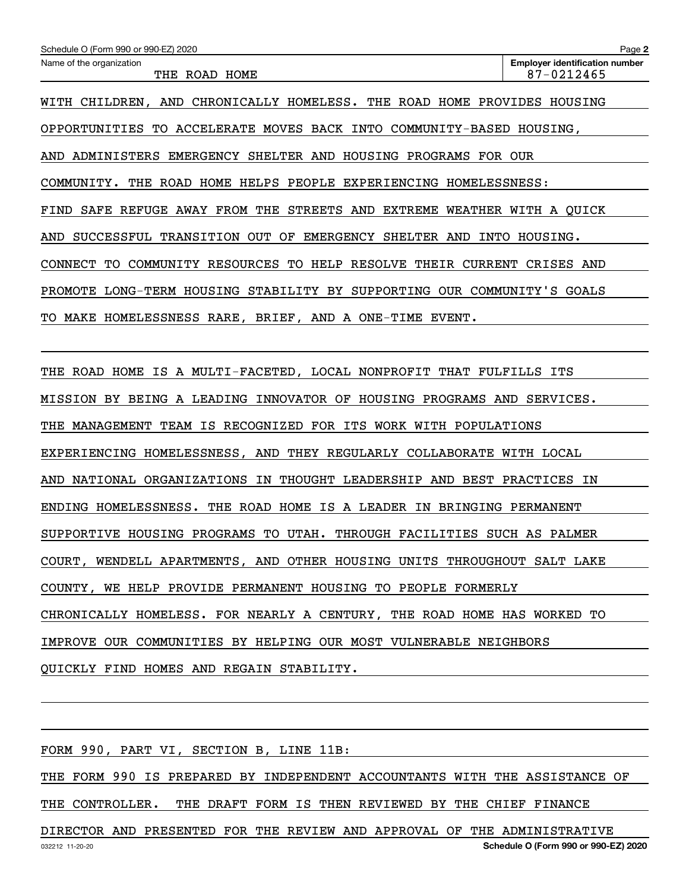| Schedule O (Form 990 or 990-EZ) 2020                                  | Page 2                                              |
|-----------------------------------------------------------------------|-----------------------------------------------------|
| Name of the organization<br>THE ROAD HOME                             | <b>Employer identification number</b><br>87-0212465 |
| WITH CHILDREN, AND CHRONICALLY HOMELESS. THE ROAD HOME                | PROVIDES HOUSING                                    |
| OPPORTUNITIES TO ACCELERATE MOVES BACK INTO COMMUNITY-BASED HOUSING,  |                                                     |
| AND ADMINISTERS EMERGENCY SHELTER AND HOUSING PROGRAMS FOR OUR        |                                                     |
| COMMUNITY. THE ROAD HOME HELPS PEOPLE EXPERIENCING HOMELESSNESS:      |                                                     |
| SAFE REFUGE AWAY FROM THE STREETS AND EXTREME<br>FIND                 | WEATHER WITH A QUICK                                |
| SUCCESSFUL TRANSITION OUT OF EMERGENCY SHELTER AND<br>INTO<br>AND     | HOUSING.                                            |
| COMMUNITY RESOURCES TO HELP RESOLVE THEIR CURRENT<br>CONNECT TO       | CRISES AND                                          |
| LONG-TERM HOUSING STABILITY BY SUPPORTING<br>PROMOTE                  | OUR COMMUNITY'S GOALS                               |
| MAKE HOMELESSNESS RARE, BRIEF, AND A ONE-TIME<br>EVENT.<br>TO.        |                                                     |
|                                                                       |                                                     |
| IS A MULTI-FACETED, LOCAL NONPROFIT THAT FULFILLS<br>ROAD HOME<br>THE | ITS                                                 |

MISSION BY BEING A LEADING INNOVATOR OF HOUSING PROGRAMS AND SERVICES.

THE MANAGEMENT TEAM IS RECOGNIZED FOR ITS WORK WITH POPULATIONS

EXPERIENCING HOMELESSNESS, AND THEY REGULARLY COLLABORATE WITH LOCAL

AND NATIONAL ORGANIZATIONS IN THOUGHT LEADERSHIP AND BEST PRACTICES IN

ENDING HOMELESSNESS. THE ROAD HOME IS A LEADER IN BRINGING PERMANENT

SUPPORTIVE HOUSING PROGRAMS TO UTAH. THROUGH FACILITIES SUCH AS PALMER

COURT, WENDELL APARTMENTS, AND OTHER HOUSING UNITS THROUGHOUT SALT LAKE

COUNTY, WE HELP PROVIDE PERMANENT HOUSING TO PEOPLE FORMERLY

CHRONICALLY HOMELESS. FOR NEARLY A CENTURY, THE ROAD HOME HAS WORKED TO

IMPROVE OUR COMMUNITIES BY HELPING OUR MOST VULNERABLE NEIGHBORS

QUICKLY FIND HOMES AND REGAIN STABILITY.

FORM 990, PART VI, SECTION B, LINE 11B:

THE FORM 990 IS PREPARED BY INDEPENDENT ACCOUNTANTS WITH THE ASSISTANCE OF THE CONTROLLER. THE DRAFT FORM IS THEN REVIEWED BY THE CHIEF FINANCE

DIRECTOR AND PRESENTED FOR THE REVIEW AND APPROVAL OF THE ADMINISTRATIVE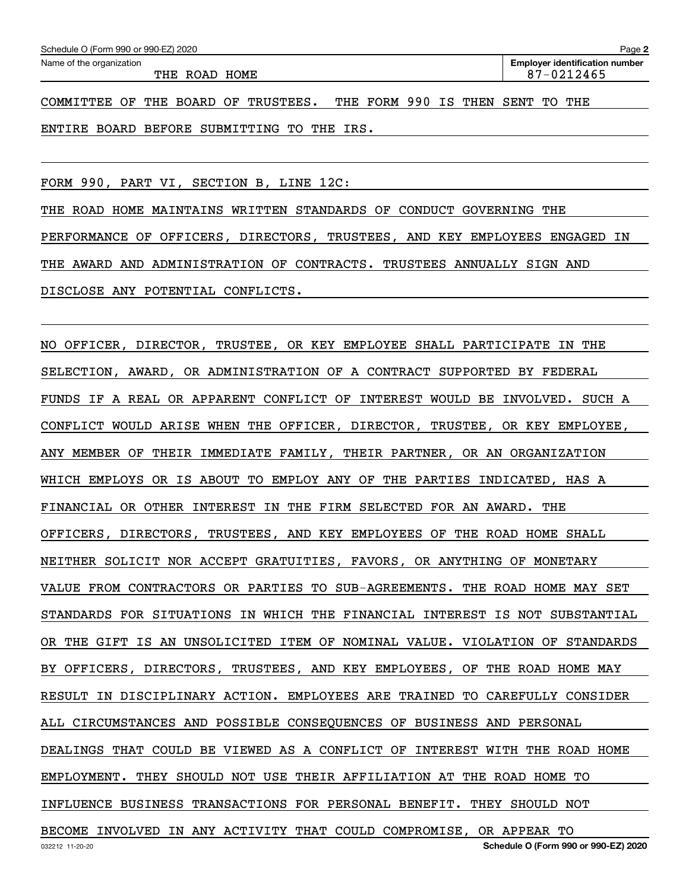| Schedule O (Form 990 or 990-EZ) 2020 |  |  |
|--------------------------------------|--|--|
|                                      |  |  |

THE ROAD HOME 87-0212465

**Employer identification number** Schedule O (Form 990 or 990-EZ) 2020<br>Name of the organization **provided by the organization number of the organization number** 

COMMITTEE OF THE BOARD OF TRUSTEES. THE FORM 990 IS THEN SENT TO THE ENTIRE BOARD BEFORE SUBMITTING TO THE IRS.

FORM 990, PART VI, SECTION B, LINE 12C:

THE ROAD HOME MAINTAINS WRITTEN STANDARDS OF CONDUCT GOVERNING THE PERFORMANCE OF OFFICERS, DIRECTORS, TRUSTEES, AND KEY EMPLOYEES ENGAGED IN THE AWARD AND ADMINISTRATION OF CONTRACTS. TRUSTEES ANNUALLY SIGN AND DISCLOSE ANY POTENTIAL CONFLICTS.

032212 11-20-20 **Schedule O (Form 990 or 990-EZ) 2020** NO OFFICER, DIRECTOR, TRUSTEE, OR KEY EMPLOYEE SHALL PARTICIPATE IN THE SELECTION, AWARD, OR ADMINISTRATION OF A CONTRACT SUPPORTED BY FEDERAL FUNDS IF A REAL OR APPARENT CONFLICT OF INTEREST WOULD BE INVOLVED. SUCH A CONFLICT WOULD ARISE WHEN THE OFFICER, DIRECTOR, TRUSTEE, OR KEY EMPLOYEE, ANY MEMBER OF THEIR IMMEDIATE FAMILY, THEIR PARTNER, OR AN ORGANIZATION WHICH EMPLOYS OR IS ABOUT TO EMPLOY ANY OF THE PARTIES INDICATED, HAS A FINANCIAL OR OTHER INTEREST IN THE FIRM SELECTED FOR AN AWARD. THE OFFICERS, DIRECTORS, TRUSTEES, AND KEY EMPLOYEES OF THE ROAD HOME SHALL NEITHER SOLICIT NOR ACCEPT GRATUITIES, FAVORS, OR ANYTHING OF MONETARY VALUE FROM CONTRACTORS OR PARTIES TO SUB-AGREEMENTS. THE ROAD HOME MAY SET STANDARDS FOR SITUATIONS IN WHICH THE FINANCIAL INTEREST IS NOT SUBSTANTIAL OR THE GIFT IS AN UNSOLICITED ITEM OF NOMINAL VALUE. VIOLATION OF STANDARDS BY OFFICERS, DIRECTORS, TRUSTEES, AND KEY EMPLOYEES, OF THE ROAD HOME MAY RESULT IN DISCIPLINARY ACTION. EMPLOYEES ARE TRAINED TO CAREFULLY CONSIDER ALL CIRCUMSTANCES AND POSSIBLE CONSEQUENCES OF BUSINESS AND PERSONAL DEALINGS THAT COULD BE VIEWED AS A CONFLICT OF INTEREST WITH THE ROAD HOME EMPLOYMENT. THEY SHOULD NOT USE THEIR AFFILIATION AT THE ROAD HOME TO INFLUENCE BUSINESS TRANSACTIONS FOR PERSONAL BENEFIT. THEY SHOULD NOT BECOME INVOLVED IN ANY ACTIVITY THAT COULD COMPROMISE, OR APPEAR TO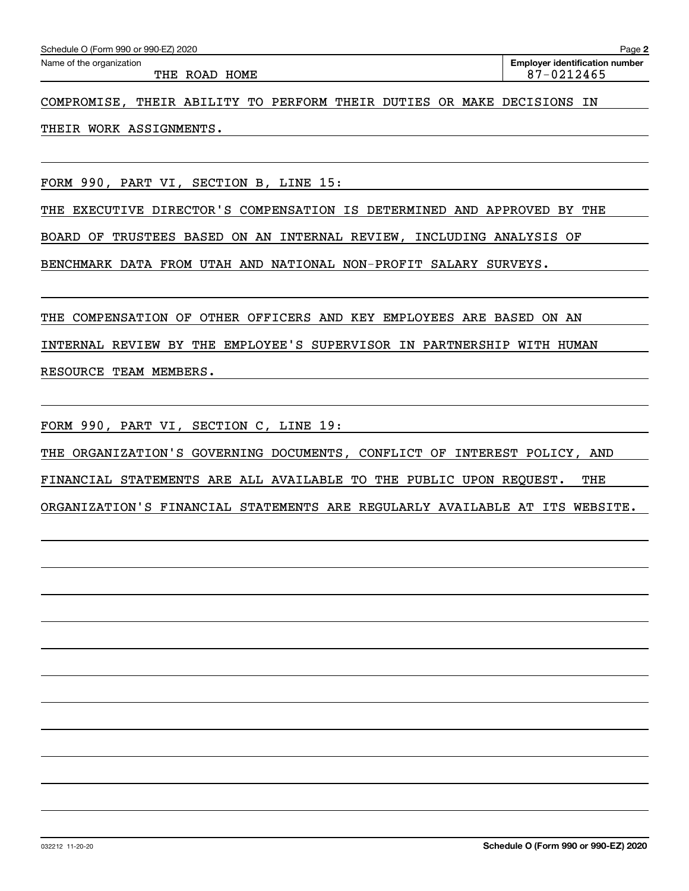| Schedule O (Form 990 or 990-EZ) 2020                                      | Page 2                                |  |  |  |  |
|---------------------------------------------------------------------------|---------------------------------------|--|--|--|--|
| Name of the organization                                                  | <b>Employer identification number</b> |  |  |  |  |
| THE ROAD HOME                                                             | 87-0212465                            |  |  |  |  |
|                                                                           |                                       |  |  |  |  |
| THEIR ABILITY TO PERFORM THEIR DUTIES OR MAKE DECISIONS IN<br>COMPROMISE, |                                       |  |  |  |  |
|                                                                           |                                       |  |  |  |  |
| THEIR WORK ASSIGNMENTS.                                                   |                                       |  |  |  |  |
|                                                                           |                                       |  |  |  |  |

FORM 990, PART VI, SECTION B, LINE 15:

THE EXECUTIVE DIRECTOR'S COMPENSATION IS DETERMINED AND APPROVED BY THE

BOARD OF TRUSTEES BASED ON AN INTERNAL REVIEW, INCLUDING ANALYSIS OF

BENCHMARK DATA FROM UTAH AND NATIONAL NON-PROFIT SALARY SURVEYS.

THE COMPENSATION OF OTHER OFFICERS AND KEY EMPLOYEES ARE BASED ON AN

INTERNAL REVIEW BY THE EMPLOYEE'S SUPERVISOR IN PARTNERSHIP WITH HUMAN

RESOURCE TEAM MEMBERS.

FORM 990, PART VI, SECTION C, LINE 19:

THE ORGANIZATION'S GOVERNING DOCUMENTS, CONFLICT OF INTEREST POLICY, AND

FINANCIAL STATEMENTS ARE ALL AVAILABLE TO THE PUBLIC UPON REQUEST. THE

ORGANIZATION'S FINANCIAL STATEMENTS ARE REGULARLY AVAILABLE AT ITS WEBSITE.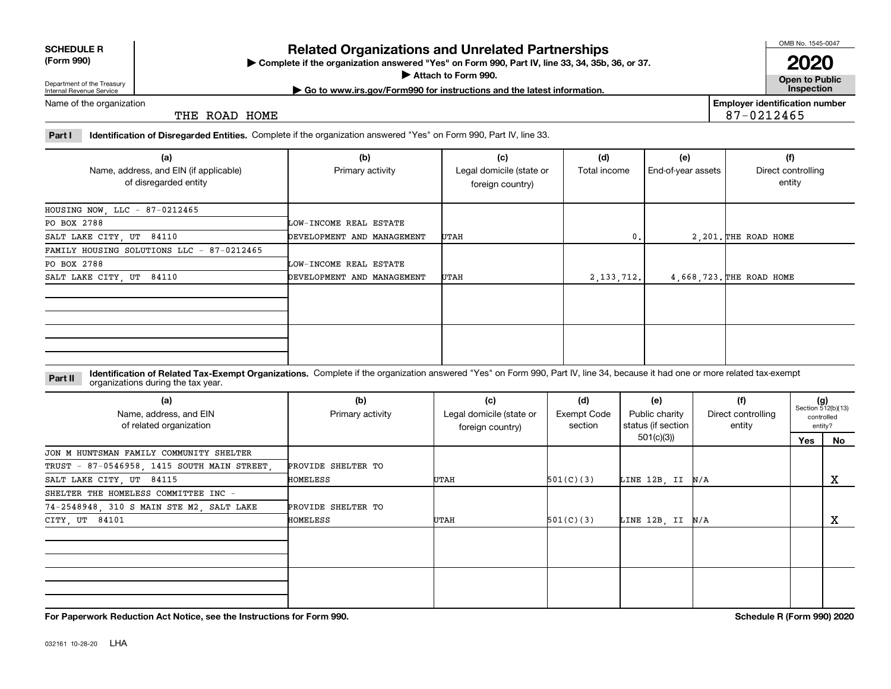|            | <b>SCHEDULE R</b> |
|------------|-------------------|
| $\sqrt{2}$ | -2221             |

**(Form 990)**

## **Related Organizations and Unrelated Partnerships**

**Complete if the organization answered "Yes" on Form 990, Part IV, line 33, 34, 35b, 36, or 37.** |

**Attach to Form 990.**  |

OMB No. 1545-0047

**Open to Public 2020**

Department of the Treasury Internal Revenue Service

**| Go to www.irs.gov/Form990 for instructions and the latest information. Inspection**

Name of the organization

THE ROAD HOME

**Employer identification number** 87-0212465

**Part I Identification of Disregarded Entities.**  Complete if the organization answered "Yes" on Form 990, Part IV, line 33.

| (a)<br>Name, address, and EIN (if applicable) | (b)<br>Primary activity    | (c)<br>Legal domicile (state or | (d)<br>Total income | (e)<br>End-of-year assets | (f)<br>Direct controlling |
|-----------------------------------------------|----------------------------|---------------------------------|---------------------|---------------------------|---------------------------|
| of disregarded entity                         |                            | foreign country)                |                     |                           | entity                    |
| HOUSING NOW, LLC - 87-0212465                 |                            |                                 |                     |                           |                           |
| PO BOX 2788                                   | LOW-INCOME REAL ESTATE     |                                 |                     |                           |                           |
| SALT LAKE CITY, UT 84110                      | DEVELOPMENT AND MANAGEMENT | UTAH                            | 0.                  |                           | 2,201. THE ROAD HOME      |
| FAMILY HOUSING SOLUTIONS LLC - 87-0212465     |                            |                                 |                     |                           |                           |
| PO BOX 2788                                   | LOW-INCOME REAL ESTATE     |                                 |                     |                           |                           |
| SALT LAKE CITY, UT 84110                      | DEVELOPMENT AND MANAGEMENT | UTAH                            | 2,133,712.          |                           | 4,668,723. THE ROAD HOME  |
|                                               |                            |                                 |                     |                           |                           |
|                                               |                            |                                 |                     |                           |                           |
|                                               |                            |                                 |                     |                           |                           |
|                                               |                            |                                 |                     |                           |                           |
|                                               |                            |                                 |                     |                           |                           |
|                                               |                            |                                 |                     |                           |                           |

**Identification of Related Tax-Exempt Organizations.** Complete if the organization answered "Yes" on Form 990, Part IV, line 34, because it had one or more related tax-exempt **Part II** organizations during the tax year.

| (a)<br>Name, address, and EIN<br>of related organization | (b)<br>Primary activity | (c)<br>Legal domicile (state or<br>foreign country) | (d)<br><b>Exempt Code</b><br>section | (e)<br>Public charity<br>status (if section | (f)<br>Direct controlling<br>entity |     | $(g)$<br>Section 512(b)(13)<br>controlled<br>entity? |
|----------------------------------------------------------|-------------------------|-----------------------------------------------------|--------------------------------------|---------------------------------------------|-------------------------------------|-----|------------------------------------------------------|
|                                                          |                         |                                                     |                                      | 501(c)(3))                                  |                                     | Yes | No                                                   |
| JON M HUNTSMAN FAMILY COMMUNITY SHELTER                  |                         |                                                     |                                      |                                             |                                     |     |                                                      |
| TRUST - 87-0546958, 1415 SOUTH MAIN STREET,              | PROVIDE SHELTER TO      |                                                     |                                      |                                             |                                     |     |                                                      |
| SALT LAKE CITY, UT 84115                                 | HOMELESS                | UTAH                                                | 501(C)(3)                            | LINE 12B, II                                | N/A                                 |     | х                                                    |
| SHELTER THE HOMELESS COMMITTEE INC -                     |                         |                                                     |                                      |                                             |                                     |     |                                                      |
| 74-2548948, 310 S MAIN STE M2, SALT LAKE                 | PROVIDE SHELTER TO      |                                                     |                                      |                                             |                                     |     |                                                      |
| CITY UT 84101                                            | HOMELESS                | UTAH                                                | 501(C)(3)                            | LINE 12B, II                                | N/A                                 |     | х                                                    |
|                                                          |                         |                                                     |                                      |                                             |                                     |     |                                                      |
|                                                          |                         |                                                     |                                      |                                             |                                     |     |                                                      |
|                                                          |                         |                                                     |                                      |                                             |                                     |     |                                                      |
|                                                          |                         |                                                     |                                      |                                             |                                     |     |                                                      |
|                                                          |                         |                                                     |                                      |                                             |                                     |     |                                                      |

**For Paperwork Reduction Act Notice, see the Instructions for Form 990. Schedule R (Form 990) 2020**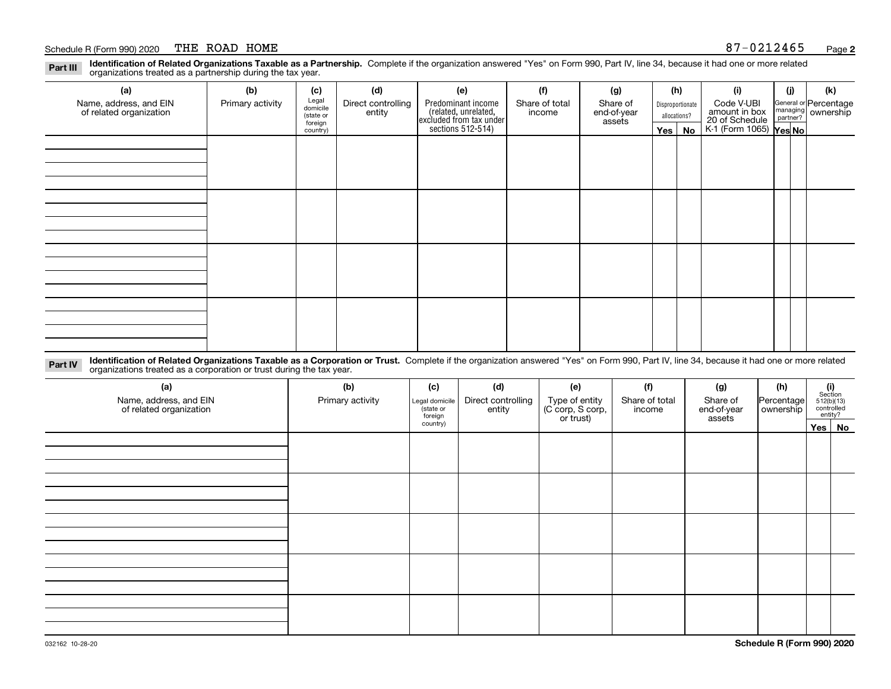#### Schedule R (Form 990) 2020 PHE ROAD HOME (Schedule R (Form 990) 2020 PHE ROAD HOME THE ROAD HOME

**Identification of Related Organizations Taxable as a Partnership.** Complete if the organization answered "Yes" on Form 990, Part IV, line 34, because it had one or more related **Part III** organizations treated as a partnership during the tax year.

| (a)                     | (b)              | (c)                  | (d)                | (e)                | (f)                                                                                                                                                                      | (g) |               | (h)      | (i)                                               | (j) | (k)                   |
|-------------------------|------------------|----------------------|--------------------|--------------------|--------------------------------------------------------------------------------------------------------------------------------------------------------------------------|-----|---------------|----------|---------------------------------------------------|-----|-----------------------|
| Name, address, and EIN  | Primary activity | Legal<br>domicile    | Direct controlling | Predominant income | Share of total<br>Share of<br>Disproportionate<br>related, unrelated,<br>excluded from tax under<br>sections 512-514)<br>end-of-year<br>income<br>allocations?<br>assets |     |               |          | Code V-UBI                                        |     | General or Percentage |
| of related organization |                  | (state or<br>foreign | entity             |                    |                                                                                                                                                                          |     | amount in box |          | managing ownership                                |     |                       |
|                         |                  | country)             |                    |                    |                                                                                                                                                                          |     |               | Yes   No | 20 of Schedule Partner?<br>K-1 (Form 1065) Yes No |     |                       |
|                         |                  |                      |                    |                    |                                                                                                                                                                          |     |               |          |                                                   |     |                       |
|                         |                  |                      |                    |                    |                                                                                                                                                                          |     |               |          |                                                   |     |                       |
|                         |                  |                      |                    |                    |                                                                                                                                                                          |     |               |          |                                                   |     |                       |
|                         |                  |                      |                    |                    |                                                                                                                                                                          |     |               |          |                                                   |     |                       |
|                         |                  |                      |                    |                    |                                                                                                                                                                          |     |               |          |                                                   |     |                       |
|                         |                  |                      |                    |                    |                                                                                                                                                                          |     |               |          |                                                   |     |                       |
|                         |                  |                      |                    |                    |                                                                                                                                                                          |     |               |          |                                                   |     |                       |
|                         |                  |                      |                    |                    |                                                                                                                                                                          |     |               |          |                                                   |     |                       |
|                         |                  |                      |                    |                    |                                                                                                                                                                          |     |               |          |                                                   |     |                       |
|                         |                  |                      |                    |                    |                                                                                                                                                                          |     |               |          |                                                   |     |                       |
|                         |                  |                      |                    |                    |                                                                                                                                                                          |     |               |          |                                                   |     |                       |
|                         |                  |                      |                    |                    |                                                                                                                                                                          |     |               |          |                                                   |     |                       |
|                         |                  |                      |                    |                    |                                                                                                                                                                          |     |               |          |                                                   |     |                       |
|                         |                  |                      |                    |                    |                                                                                                                                                                          |     |               |          |                                                   |     |                       |
|                         |                  |                      |                    |                    |                                                                                                                                                                          |     |               |          |                                                   |     |                       |
|                         |                  |                      |                    |                    |                                                                                                                                                                          |     |               |          |                                                   |     |                       |
|                         |                  |                      |                    |                    |                                                                                                                                                                          |     |               |          |                                                   |     |                       |

**Identification of Related Organizations Taxable as a Corporation or Trust.** Complete if the organization answered "Yes" on Form 990, Part IV, line 34, because it had one or more related **Part IV** organizations treated as a corporation or trust during the tax year.

| (a)<br>Name, address, and EIN<br>of related organization | (b)<br>Primary activity | (c)<br>Legal domicile<br>state or<br>foreign | (d)<br>Direct controlling<br>entity | (e)<br>Type of entity<br>(C corp, S corp,<br>or trust) | (f)<br>Share of total<br>income | (g)<br>Share of<br>end-of-year<br>assets | (h)<br>Percentage<br>ownership | $(i)$ Section<br>512(b)(13)<br>controlled<br>entity? |        |
|----------------------------------------------------------|-------------------------|----------------------------------------------|-------------------------------------|--------------------------------------------------------|---------------------------------|------------------------------------------|--------------------------------|------------------------------------------------------|--------|
|                                                          |                         | country)                                     |                                     |                                                        |                                 |                                          |                                |                                                      | Yes No |
|                                                          |                         |                                              |                                     |                                                        |                                 |                                          |                                |                                                      |        |
|                                                          |                         |                                              |                                     |                                                        |                                 |                                          |                                |                                                      |        |
|                                                          |                         |                                              |                                     |                                                        |                                 |                                          |                                |                                                      |        |
|                                                          |                         |                                              |                                     |                                                        |                                 |                                          |                                |                                                      |        |
|                                                          |                         |                                              |                                     |                                                        |                                 |                                          |                                |                                                      |        |
|                                                          |                         |                                              |                                     |                                                        |                                 |                                          |                                |                                                      |        |
|                                                          |                         |                                              |                                     |                                                        |                                 |                                          |                                |                                                      |        |
|                                                          |                         |                                              |                                     |                                                        |                                 |                                          |                                |                                                      |        |
|                                                          |                         |                                              |                                     |                                                        |                                 |                                          |                                |                                                      |        |
|                                                          |                         |                                              |                                     |                                                        |                                 |                                          |                                |                                                      |        |
|                                                          |                         |                                              |                                     |                                                        |                                 |                                          |                                |                                                      |        |
|                                                          |                         |                                              |                                     |                                                        |                                 |                                          |                                |                                                      |        |
|                                                          |                         |                                              |                                     |                                                        |                                 |                                          |                                |                                                      |        |
|                                                          |                         |                                              |                                     |                                                        |                                 |                                          |                                |                                                      |        |
|                                                          |                         |                                              |                                     |                                                        |                                 |                                          |                                |                                                      |        |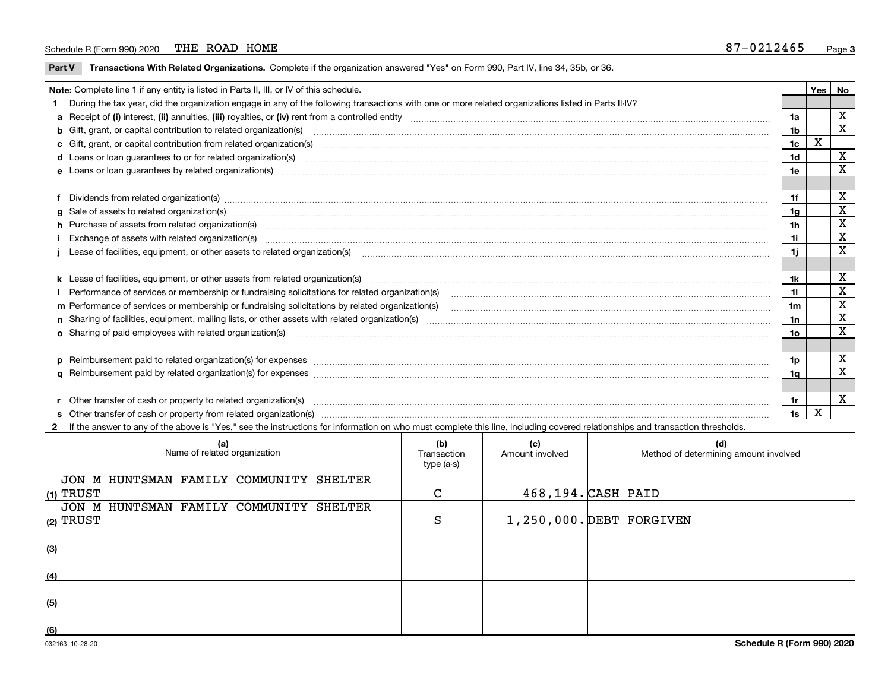#### Schedule R (Form 990) 2020 PHE ROAD HOME (SCHEDULE 1999) 2020 PHE ROAD HOME THE ROAD HOME

 $\overline{\phantom{a}}$ 

**Part V** T**ransactions With Related Organizations.** Complete if the organization answered "Yes" on Form 990, Part IV, line 34, 35b, or 36.

| Note: Complete line 1 if any entity is listed in Parts II, III, or IV of this schedule. |                                                                                                                                                                                                                                |     |   |             |  |  |
|-----------------------------------------------------------------------------------------|--------------------------------------------------------------------------------------------------------------------------------------------------------------------------------------------------------------------------------|-----|---|-------------|--|--|
|                                                                                         | 1 During the tax year, did the organization engage in any of the following transactions with one or more related organizations listed in Parts II-IV?                                                                          |     |   |             |  |  |
|                                                                                         |                                                                                                                                                                                                                                | 1a  |   | x           |  |  |
|                                                                                         | b Gift, grant, or capital contribution to related organization(s) material contracts and contribution to related organization(s)                                                                                               | 1b  |   | X           |  |  |
|                                                                                         | c Gift, grant, or capital contribution from related organization(s) material contents and contribution from related organization(s) material contents and content of the content of the content of content of content of conte | 1c  | X |             |  |  |
|                                                                                         |                                                                                                                                                                                                                                | 1d  |   | х           |  |  |
|                                                                                         |                                                                                                                                                                                                                                | 1e  |   | X           |  |  |
|                                                                                         |                                                                                                                                                                                                                                |     |   |             |  |  |
|                                                                                         | f Dividends from related organization(s) manufactured contains and contained a series of the contact of the contact of the contact of the contact of the contact of the contact of the contact of the contact of the contact o | 1f  |   | х           |  |  |
|                                                                                         | g Sale of assets to related organization(s) www.assettion.com/www.assettion.com/www.assettion.com/www.assettion.com/www.assettion.com/www.assettion.com/www.assettion.com/www.assettion.com/www.assettion.com/www.assettion.co | 1g  |   | x           |  |  |
|                                                                                         | h Purchase of assets from related organization(s) manufactured and content and content and content and content and content and content and content and content and content and content and content and content and content and | 1h  |   | X           |  |  |
|                                                                                         | Exchange of assets with related organization(s) manufactured and content to the content of the content of the content of the content of the content of the content of the content of the content of the content of the content | 1i  |   | X           |  |  |
|                                                                                         |                                                                                                                                                                                                                                | 1i. |   | X           |  |  |
|                                                                                         |                                                                                                                                                                                                                                |     |   |             |  |  |
|                                                                                         | k Lease of facilities, equipment, or other assets from related organization(s) manufaction content and content to the content of facilities, equipment, or other assets from related organization(s) manufaction content and c | 1k  |   | х           |  |  |
|                                                                                         | Performance of services or membership or fundraising solicitations for related organization(s)                                                                                                                                 | 11  |   | $\mathbf x$ |  |  |
|                                                                                         | m Performance of services or membership or fundraising solicitations by related organization(s)                                                                                                                                | 1m  |   | X           |  |  |
|                                                                                         |                                                                                                                                                                                                                                | 1n  |   | X           |  |  |
|                                                                                         | <b>o</b> Sharing of paid employees with related organization(s)                                                                                                                                                                | 10  |   | X           |  |  |
|                                                                                         |                                                                                                                                                                                                                                |     |   |             |  |  |
|                                                                                         | p Reimbursement paid to related organization(s) for expenses [1111] and manufactured manufactured manufactured manufactured manufactured manufactured manufactured manufactured manufactured manufactured manufactured manufac | 1p. |   | х           |  |  |
|                                                                                         |                                                                                                                                                                                                                                | 1a  |   | X           |  |  |
|                                                                                         |                                                                                                                                                                                                                                |     |   |             |  |  |
|                                                                                         | r Other transfer of cash or property to related organization(s)                                                                                                                                                                | 1r  |   | X           |  |  |
|                                                                                         |                                                                                                                                                                                                                                | 1s  | X |             |  |  |

**2**If the answer to any of the above is "Yes," see the instructions for information on who must complete this line, including covered relationships and transaction thresholds.

| (a)<br>Name of related organization                  | (b)<br>Transaction<br>type (a-s) | (c)<br>Amount involved | (d)<br>Method of determining amount involved |
|------------------------------------------------------|----------------------------------|------------------------|----------------------------------------------|
| JON M HUNTSMAN FAMILY COMMUNITY SHELTER              | $\mathsf{C}$                     |                        | 468,194. CASH PAID                           |
| (1) TRUST<br>JON M HUNTSMAN FAMILY COMMUNITY SHELTER |                                  |                        |                                              |
| (2) TRUST                                            | S                                |                        | 1,250,000. DEBT FORGIVEN                     |
| (3)                                                  |                                  |                        |                                              |
| (4)                                                  |                                  |                        |                                              |
| (5)                                                  |                                  |                        |                                              |
| (6)                                                  |                                  |                        |                                              |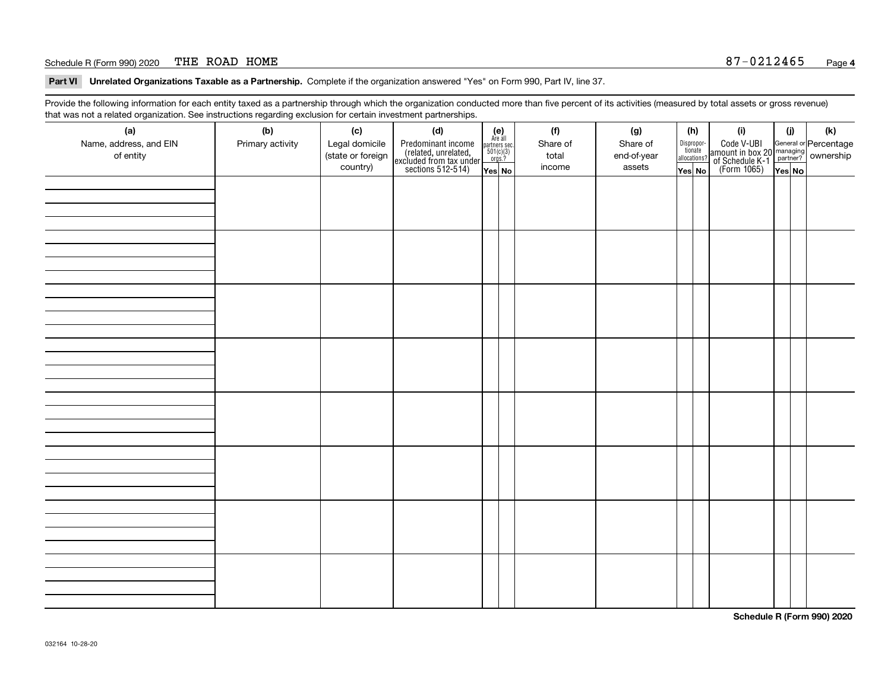#### Schedule R (Form 990) 2020 THE ROAD HOME  $87-0212465$ THE ROAD HOME

**Part VI Unrelated Organizations Taxable as a Partnership. Complete if the organization answered "Yes" on Form 990, Part IV, line 37.** 

Provide the following information for each entity taxed as a partnership through which the organization conducted more than five percent of its activities (measured by total assets or gross revenue) that was not a related organization. See instructions regarding exclusion for certain investment partnerships.

| (a)<br>Name, address, and EIN<br>of entity | (b)<br>Primary activity | (c)<br>Legal domicile<br>(state or foreign<br>country) | (d)<br>Predominant income<br>(related, unrelated,<br>excluded from tax under<br>sections 512-514) | $\begin{array}{c} \textbf{(e)}\\ \text{Are all} \\ \text{partners sec.}\\ 501(c)(3)\\ \text{orgs.?} \end{array}$<br>Yes No | (f)<br>Share of<br>total<br>income | (g)<br>Share of<br>end-of-year<br>assets | (h)<br>Dispropor-<br>tionate<br>allocations?<br>Yes No | (i)<br>Code V-UBI<br>  amount in box 20 managing<br>  of Schedule K-1 partner? ownership<br>  of Schedule K-1 partner? ownership<br>  Yes No | (i)<br>Yes No | (k) |
|--------------------------------------------|-------------------------|--------------------------------------------------------|---------------------------------------------------------------------------------------------------|----------------------------------------------------------------------------------------------------------------------------|------------------------------------|------------------------------------------|--------------------------------------------------------|----------------------------------------------------------------------------------------------------------------------------------------------|---------------|-----|
|                                            |                         |                                                        |                                                                                                   |                                                                                                                            |                                    |                                          |                                                        |                                                                                                                                              |               |     |
|                                            |                         |                                                        |                                                                                                   |                                                                                                                            |                                    |                                          |                                                        |                                                                                                                                              |               |     |
|                                            |                         |                                                        |                                                                                                   |                                                                                                                            |                                    |                                          |                                                        |                                                                                                                                              |               |     |
|                                            |                         |                                                        |                                                                                                   |                                                                                                                            |                                    |                                          |                                                        |                                                                                                                                              |               |     |
|                                            |                         |                                                        |                                                                                                   |                                                                                                                            |                                    |                                          |                                                        |                                                                                                                                              |               |     |
|                                            |                         |                                                        |                                                                                                   |                                                                                                                            |                                    |                                          |                                                        |                                                                                                                                              |               |     |
|                                            |                         |                                                        |                                                                                                   |                                                                                                                            |                                    |                                          |                                                        |                                                                                                                                              |               |     |
|                                            |                         |                                                        |                                                                                                   |                                                                                                                            |                                    |                                          |                                                        |                                                                                                                                              |               |     |

**Schedule R (Form 990) 2020**